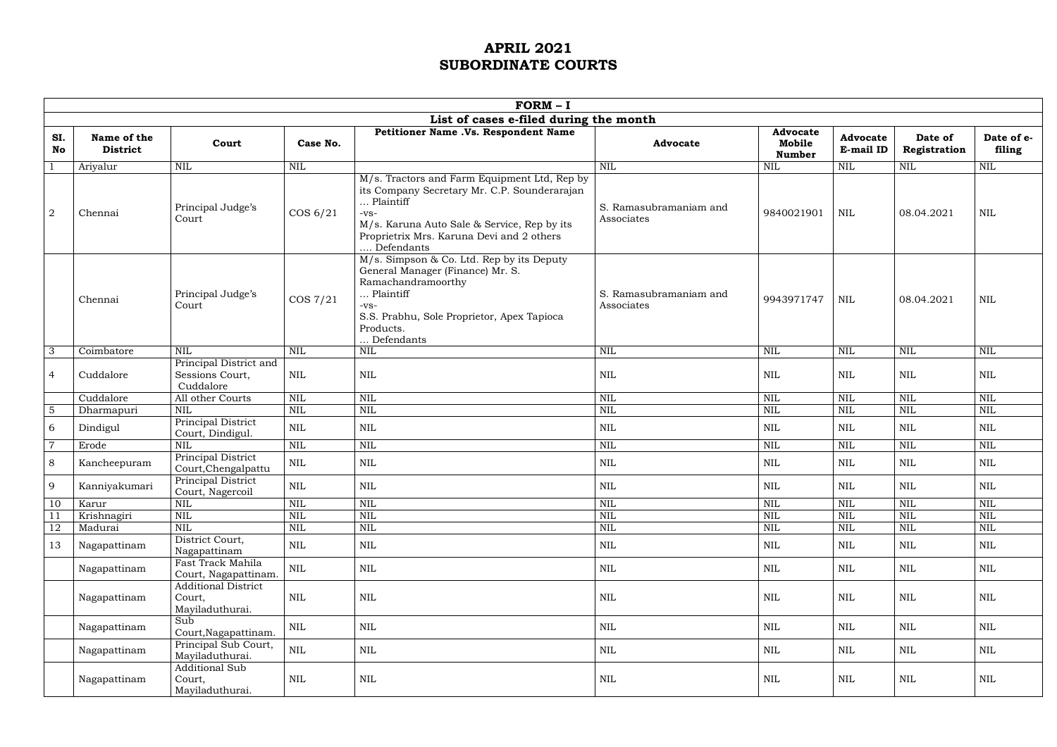|                | $FORM - I$                     |                                                         |                         |                                                                                                                                                                                                                               |                                      |                                            |                              |                         |                         |  |
|----------------|--------------------------------|---------------------------------------------------------|-------------------------|-------------------------------------------------------------------------------------------------------------------------------------------------------------------------------------------------------------------------------|--------------------------------------|--------------------------------------------|------------------------------|-------------------------|-------------------------|--|
|                |                                |                                                         |                         | List of cases e-filed during the month                                                                                                                                                                                        |                                      |                                            |                              |                         |                         |  |
| SI.<br>No      | Name of the<br><b>District</b> | Court                                                   | Case No.                | Petitioner Name .Vs. Respondent Name                                                                                                                                                                                          | <b>Advocate</b>                      | <b>Advocate</b><br>Mobile<br><b>Number</b> | <b>Advocate</b><br>E-mail ID | Date of<br>Registration | Date of e-<br>filing    |  |
|                | Ariyalur                       | $\mbox{NIL}$                                            | $\mbox{NIL}$            |                                                                                                                                                                                                                               | <b>NIL</b>                           | <b>NIL</b>                                 | NIL                          | $\mbox{NIL}$            | NIL                     |  |
| $\overline{2}$ | Chennai                        | Principal Judge's<br>Court                              | COS 6/21                | M/s. Tractors and Farm Equipment Ltd, Rep by<br>its Company Secretary Mr. C.P. Sounderarajan<br>Plaintiff<br>$-VS-$<br>M/s. Karuna Auto Sale & Service, Rep by its<br>Proprietrix Mrs. Karuna Devi and 2 others<br>Defendants | S. Ramasubramaniam and<br>Associates | 9840021901                                 | <b>NIL</b>                   | 08.04.2021              | <b>NIL</b>              |  |
|                | Chennai                        | Principal Judge's<br>Court                              | $\cos 7/21$             | M/s. Simpson & Co. Ltd. Rep by its Deputy<br>General Manager (Finance) Mr. S.<br>Ramachandramoorthy<br>Plaintiff<br>$-VS-$<br>S.S. Prabhu, Sole Proprietor, Apex Tapioca<br>Products.<br>Defendants                           | S. Ramasubramaniam and<br>Associates | 9943971747                                 | <b>NIL</b>                   | 08.04.2021              | <b>NIL</b>              |  |
| $\overline{3}$ | Coimbatore                     | <b>NIL</b>                                              | <b>NIL</b>              | NIL                                                                                                                                                                                                                           | <b>NIL</b>                           | <b>NIL</b>                                 | $\mbox{NIL}$                 | $\mbox{NIL}$            | NIL                     |  |
| $\overline{4}$ | Cuddalore                      | Principal District and<br>Sessions Court,<br>Cuddalore  | NIL                     | <b>NIL</b>                                                                                                                                                                                                                    | <b>NIL</b>                           | <b>NIL</b>                                 | $\mbox{NIL}$                 | $\mbox{NIL}$            | $\mbox{NIL}$            |  |
|                | Cuddalore                      | All other Courts                                        | <b>NIL</b>              | <b>NIL</b>                                                                                                                                                                                                                    | <b>NIL</b>                           | <b>NIL</b>                                 | <b>NIL</b>                   | <b>NIL</b>              | <b>NIL</b>              |  |
| $\overline{5}$ | Dharmapuri                     | <b>NIL</b>                                              | <b>NIL</b>              | <b>NIL</b>                                                                                                                                                                                                                    | <b>NIL</b>                           | <b>NIL</b>                                 | <b>NIL</b>                   | <b>NIL</b>              | NIL                     |  |
| 6              | Dindigul                       | Principal District<br>Court, Dindigul.                  | $\mbox{NIL}$            | <b>NIL</b>                                                                                                                                                                                                                    | <b>NIL</b>                           | <b>NIL</b>                                 | $\mbox{NIL}$                 | $\text{NIL}$            | <b>NIL</b>              |  |
| $\overline{7}$ | Erode                          | <b>NIL</b>                                              | $\mbox{NIL}$            | <b>NIL</b>                                                                                                                                                                                                                    | <b>NIL</b>                           | <b>NIL</b>                                 | $\mbox{NIL}$                 | NIL                     | $\mbox{NIL}$            |  |
| 8              | Kancheepuram                   | Principal District<br>Court, Chengalpattu               | $\mbox{NIL}$            | $\mbox{NIL}$                                                                                                                                                                                                                  | $\mbox{NIL}$                         | <b>NIL</b>                                 | <b>NIL</b>                   | $\mbox{NIL}$            | <b>NIL</b>              |  |
| 9              | Kanniyakumari                  | Principal District<br>Court, Nagercoil                  | $\mbox{NIL}$            | <b>NIL</b>                                                                                                                                                                                                                    | <b>NIL</b>                           | <b>NIL</b>                                 | $\mbox{NIL}$                 | $\text{NIL}$            | $\mbox{NIL}$            |  |
| 10             | Karur                          | <b>NIL</b>                                              | <b>NIL</b>              | <b>NIL</b>                                                                                                                                                                                                                    | <b>NIL</b>                           | <b>NIL</b>                                 | <b>NIL</b>                   | <b>NIL</b>              | <b>NIL</b>              |  |
|                | Krishnagiri                    | <b>NIL</b>                                              | <b>NIL</b>              | NIL                                                                                                                                                                                                                           | NIL                                  | <b>NIL</b>                                 | <b>NIL</b>                   | $\overline{\text{NIL}}$ | $\overline{\text{NIL}}$ |  |
| <sup>12</sup>  | Madurai                        | $\mbox{NIL}$                                            | $\overline{\text{NIL}}$ | NIL                                                                                                                                                                                                                           | $\overline{\text{NIL}}$              | $\mbox{NIL}$                               | $\mbox{NIL}$                 | $\overline{\text{NIL}}$ | $\overline{\text{NIL}}$ |  |
| 13             | Nagapattinam                   | District Court,<br>Nagapattinam                         | $\mbox{NIL}$            | $\mbox{NIL}$                                                                                                                                                                                                                  | $\mbox{NIL}$                         | NIL                                        | $\mbox{NIL}$                 | $\mbox{NIL}$            | $\mbox{NIL}$            |  |
|                | Nagapattinam                   | Fast Track Mahila<br>Court, Nagapattinam.               | $\mbox{NIL}$            | $\mbox{NIL}$                                                                                                                                                                                                                  | $\mbox{NIL}$                         | $\mbox{NIL}$                               | $\mbox{NIL}$                 | $\mbox{NIL}$            | $\mbox{NIL}$            |  |
|                | Nagapattinam                   | <b>Additional District</b><br>Court,<br>Mayiladuthurai. | NIL                     | $\mbox{NIL}$                                                                                                                                                                                                                  | $\mbox{NIL}$                         | $\mbox{NIL}$                               | NIL                          | $\mbox{NIL}$            | $\mbox{NIL}$            |  |
|                | Nagapattinam                   | Sub<br>Court, Nagapattinam.                             | $\mbox{NIL}$            | $\mbox{NIL}$                                                                                                                                                                                                                  | $\mbox{NIL}$                         | $\mbox{NIL}$                               | $\mbox{NIL}$                 | $\mbox{NIL}$            | $\mbox{NIL}$            |  |
|                | Nagapattinam                   | Principal Sub Court,<br>Mayiladuthurai.                 | $\mbox{NIL}$            | $\mbox{NIL}$                                                                                                                                                                                                                  | $\mbox{NIL}$                         | $\mbox{NIL}$                               | $\mbox{NIL}$                 | $\mbox{NIL}$            | $\mbox{NIL}$            |  |
|                | Nagapattinam                   | Additional Sub<br>Court,<br>Mayiladuthurai.             | NIL                     | $\mbox{NIL}$                                                                                                                                                                                                                  | NIL                                  | $\mbox{NIL}$                               | NIL                          | $\mbox{NIL}$            | $\mbox{NIL}$            |  |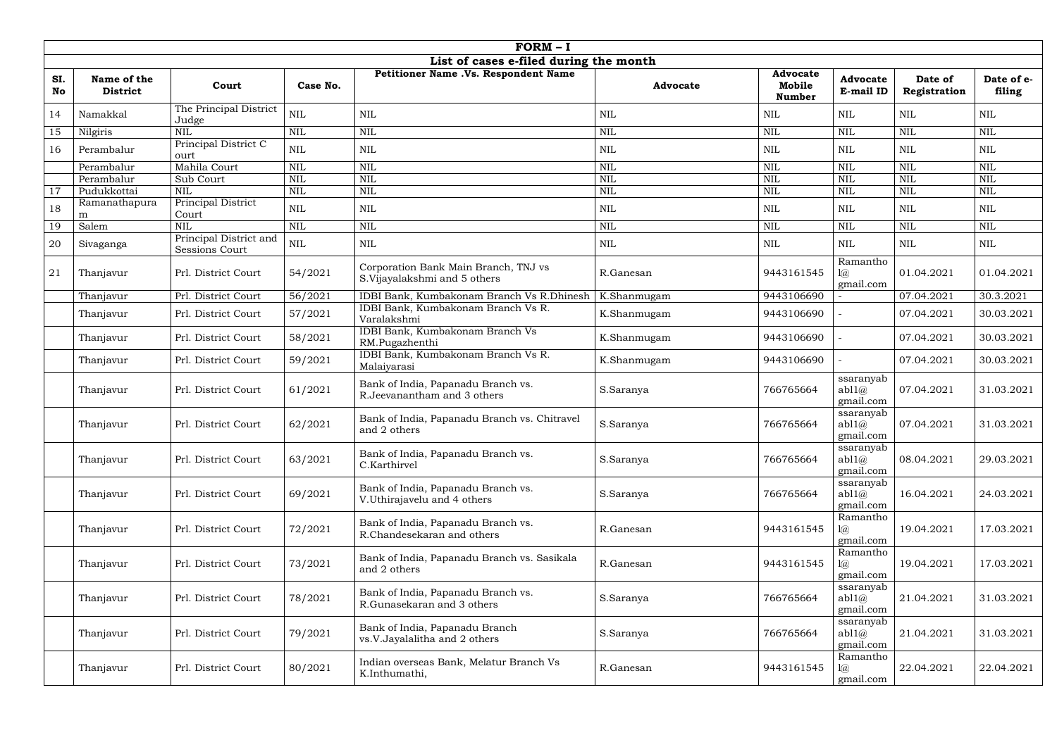|           | $FORM - I$                     |                                                 |              |                                                                      |                 |                                            |                                                   |                         |                      |  |
|-----------|--------------------------------|-------------------------------------------------|--------------|----------------------------------------------------------------------|-----------------|--------------------------------------------|---------------------------------------------------|-------------------------|----------------------|--|
|           |                                |                                                 |              | List of cases e-filed during the month                               |                 |                                            |                                                   |                         |                      |  |
| SI.<br>No | Name of the<br><b>District</b> | Court                                           | Case No.     | Petitioner Name .Vs. Respondent Name                                 | <b>Advocate</b> | <b>Advocate</b><br>Mobile<br><b>Number</b> | <b>Advocate</b><br>E-mail ID                      | Date of<br>Registration | Date of e-<br>filing |  |
| 14        | Namakkal                       | The Principal District<br>Judge                 | $\mbox{NIL}$ | $\mbox{NIL}$                                                         | <b>NIL</b>      | <b>NIL</b>                                 | <b>NIL</b>                                        | $\text{NIL}$            | <b>NIL</b>           |  |
| 15        | Nilgiris                       | $\overline{\text{NIL}}$                         | $\mbox{NIL}$ | <b>NIL</b>                                                           | <b>NIL</b>      | <b>NIL</b>                                 | $\mbox{NIL}$                                      | NIL                     | <b>NIL</b>           |  |
| 16        | Perambalur                     | Principal District C<br>ourt                    | $\mbox{NIL}$ | <b>NIL</b>                                                           | <b>NIL</b>      | <b>NIL</b>                                 | <b>NIL</b>                                        | $\text{NIL}$            | NIL                  |  |
|           | Perambalur                     | Mahila Court                                    | <b>NIL</b>   | <b>NIL</b>                                                           | <b>NIL</b>      | <b>NIL</b>                                 | <b>NIL</b>                                        | <b>NIL</b>              | NIL                  |  |
|           | Perambalur                     | Sub Court                                       | <b>NIL</b>   | <b>NIL</b>                                                           | <b>NIL</b>      | <b>NIL</b>                                 | <b>NIL</b>                                        | <b>NIL</b>              | <b>NIL</b>           |  |
| 17        | Pudukkottai                    | <b>NIL</b>                                      | $\mbox{NIL}$ | <b>NIL</b>                                                           | <b>NIL</b>      | <b>NIL</b>                                 | <b>NIL</b>                                        | $\mbox{NIL}$            | <b>NIL</b>           |  |
| 18        | Ramanathapura<br>m             | Principal District<br>Court                     | $\mbox{NIL}$ | $\mbox{NIL}$                                                         | <b>NIL</b>      | <b>NIL</b>                                 | <b>NIL</b>                                        | <b>NIL</b>              | NIL                  |  |
| 19        | Salem                          | <b>NIL</b>                                      | <b>NIL</b>   | <b>NIL</b>                                                           | <b>NIL</b>      | <b>NIL</b>                                 | $\mbox{NIL}$                                      | <b>NIL</b>              | NIL                  |  |
| 20        | Sivaganga                      | Principal District and<br><b>Sessions Court</b> | $\mbox{NIL}$ | $\mbox{NIL}$                                                         | <b>NIL</b>      | <b>NIL</b>                                 | NIL                                               | <b>NIL</b>              | NIL                  |  |
| 21        | Thanjavur                      | Prl. District Court                             | 54/2021      | Corporation Bank Main Branch, TNJ vs<br>S.Vijayalakshmi and 5 others | R.Ganesan       | 9443161545                                 | Ramantho<br>$l(\widehat{a})$<br>gmail.com         | 01.04.2021              | 01.04.2021           |  |
|           | Thanjavur                      | Prl. District Court                             | 56/2021      | IDBI Bank, Kumbakonam Branch Vs R.Dhinesh                            | K.Shanmugam     | 9443106690                                 |                                                   | 07.04.2021              | 30.3.2021            |  |
|           | Thanjavur                      | Prl. District Court                             | 57/2021      | IDBI Bank, Kumbakonam Branch Vs R.<br>Varalakshmi                    | K.Shanmugam     | 9443106690                                 |                                                   | 07.04.2021              | 30.03.2021           |  |
|           | Thanjavur                      | Prl. District Court                             | 58/2021      | IDBI Bank, Kumbakonam Branch Vs<br>RM.Pugazhenthi                    | K.Shanmugam     | 9443106690                                 |                                                   | 07.04.2021              | 30.03.2021           |  |
|           | Thanjavur                      | Prl. District Court                             | 59/2021      | IDBI Bank, Kumbakonam Branch Vs R.<br>Malaiyarasi                    | K.Shanmugam     | 9443106690                                 |                                                   | 07.04.2021              | 30.03.2021           |  |
|           | Thanjavur                      | Prl. District Court                             | 61/2021      | Bank of India, Papanadu Branch vs.<br>R. Jeevanantham and 3 others   | S.Saranya       | 766765664                                  | ssaranyab<br>ab11(a)<br>gmail.com                 | 07.04.2021              | 31.03.2021           |  |
|           | Thanjavur                      | Prl. District Court                             | 62/2021      | Bank of India, Papanadu Branch vs. Chitravel<br>and 2 others         | S.Saranya       | 766765664                                  | ssaranyab<br>ab11@<br>gmail.com                   | 07.04.2021              | 31.03.2021           |  |
|           | Thanjavur                      | Prl. District Court                             | 63/2021      | Bank of India, Papanadu Branch vs.<br>C.Karthirvel                   | S.Saranya       | 766765664                                  | ssaranyab<br>ab11@<br>gmail.com                   | 08.04.2021              | 29.03.2021           |  |
|           | Thanjavur                      | Prl. District Court                             | 69/2021      | Bank of India, Papanadu Branch vs.<br>V.Uthirajavelu and 4 others    | S.Saranya       | 766765664                                  | ssaranyab<br>ab11@<br>gmail.com                   | 16.04.2021              | 24.03.2021           |  |
|           | Thanjavur                      | Prl. District Court                             | 72/2021      | Bank of India, Papanadu Branch vs.<br>R.Chandesekaran and others     | R.Ganesan       | 9443161545                                 | Ramantho<br>$l(\widehat{a})$<br>gmail.com         | 19.04.2021              | 17.03.2021           |  |
|           | Thanjavur                      | Prl. District Court                             | 73/2021      | Bank of India, Papanadu Branch vs. Sasikala<br>and 2 others          | R.Ganesan       | 9443161545                                 | Ramantho<br>$1\!\!\overline{\omega}$<br>gmail.com | 19.04.2021              | 17.03.2021           |  |
|           | Thanjavur                      | Prl. District Court                             | 78/2021      | Bank of India, Papanadu Branch vs.<br>R.Gunasekaran and 3 others     | S.Saranya       | 766765664                                  | ssaranyab<br>ab11(a)<br>gmail.com                 | 21.04.2021              | 31.03.2021           |  |
|           | Thanjavur                      | Prl. District Court                             | 79/2021      | Bank of India, Papanadu Branch<br>vs.V.Jayalalitha and 2 others      | S.Saranya       | 766765664                                  | ssaranyab<br>ab11@<br>gmail.com                   | 21.04.2021              | 31.03.2021           |  |
|           | Thanjavur                      | Prl. District Court                             | 80/2021      | Indian overseas Bank, Melatur Branch Vs<br>K.Inthumathi,             | R.Ganesan       | 9443161545                                 | Ramantho<br>$l(\widehat{a})$<br>gmail.com         | 22.04.2021              | 22.04.2021           |  |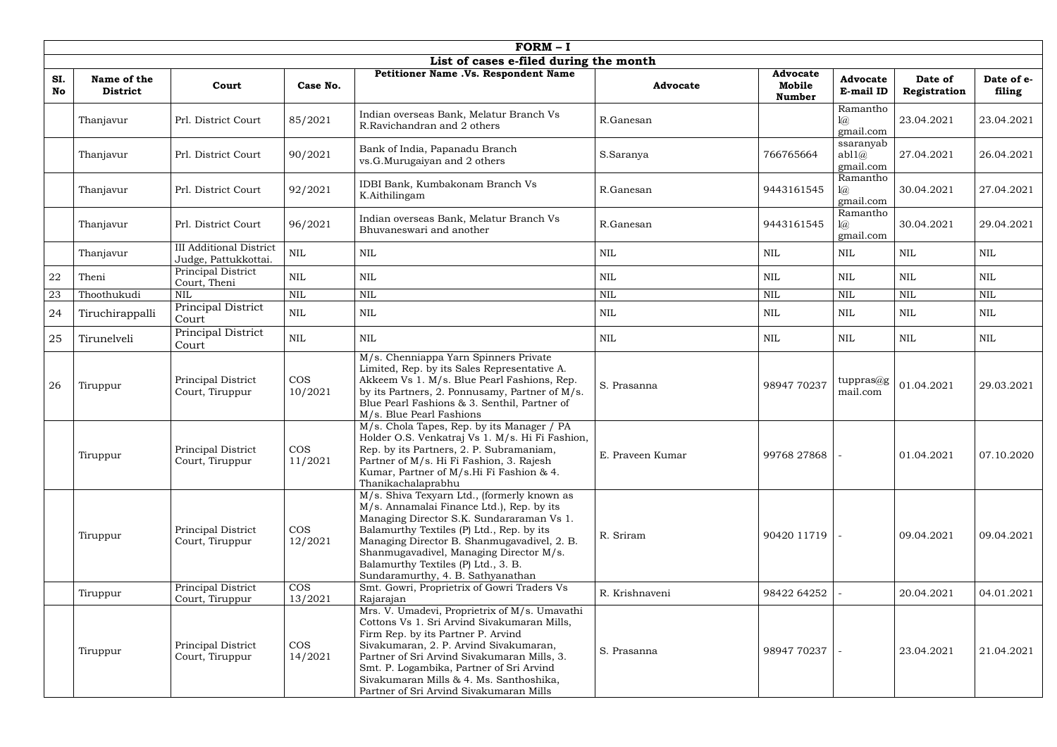|            | $FORM - I$                                                                                                                                                                                                                                                                                                                                                                                                                                         |                                                        |                       |                                                                                                                                                                                                                                                                                                                                                          |                  |                                            |                                          |                         |                      |  |
|------------|----------------------------------------------------------------------------------------------------------------------------------------------------------------------------------------------------------------------------------------------------------------------------------------------------------------------------------------------------------------------------------------------------------------------------------------------------|--------------------------------------------------------|-----------------------|----------------------------------------------------------------------------------------------------------------------------------------------------------------------------------------------------------------------------------------------------------------------------------------------------------------------------------------------------------|------------------|--------------------------------------------|------------------------------------------|-------------------------|----------------------|--|
|            |                                                                                                                                                                                                                                                                                                                                                                                                                                                    |                                                        |                       | List of cases e-filed during the month                                                                                                                                                                                                                                                                                                                   |                  |                                            |                                          |                         |                      |  |
| SI.<br>No  | Name of the<br><b>District</b>                                                                                                                                                                                                                                                                                                                                                                                                                     | Court                                                  | Case No.              | Petitioner Name .Vs. Respondent Name                                                                                                                                                                                                                                                                                                                     | <b>Advocate</b>  | <b>Advocate</b><br>Mobile<br><b>Number</b> | <b>Advocate</b><br>E-mail ID             | Date of<br>Registration | Date of e-<br>filing |  |
|            | Thanjavur                                                                                                                                                                                                                                                                                                                                                                                                                                          | Prl. District Court                                    | 85/2021               | Indian overseas Bank, Melatur Branch Vs<br>R.Ravichandran and 2 others                                                                                                                                                                                                                                                                                   | R.Ganesan        |                                            | Ramantho<br>$1\omega$<br>gmail.com       | 23.04.2021              | 23.04.2021           |  |
|            | Thanjavur                                                                                                                                                                                                                                                                                                                                                                                                                                          | Prl. District Court                                    | 90/2021               | Bank of India, Papanadu Branch<br>vs.G.Murugaiyan and 2 others                                                                                                                                                                                                                                                                                           | S.Saranya        | 766765664                                  | ssaranyab<br>ab11@<br>gmail.com          | 27.04.2021              | 26.04.2021           |  |
|            | Thanjavur                                                                                                                                                                                                                                                                                                                                                                                                                                          | Prl. District Court                                    | 92/2021               | IDBI Bank, Kumbakonam Branch Vs<br>K.Aithilingam                                                                                                                                                                                                                                                                                                         | R.Ganesan        | 9443161545                                 | Ramantho<br>$1\!\!\!\alpha$<br>gmail.com | 30.04.2021              | 27.04.2021           |  |
|            | Thanjavur                                                                                                                                                                                                                                                                                                                                                                                                                                          | Prl. District Court                                    | 96/2021               | Indian overseas Bank, Melatur Branch Vs<br>Bhuvaneswari and another                                                                                                                                                                                                                                                                                      | R.Ganesan        | 9443161545                                 | Ramantho<br>$1\!\!\alpha$<br>gmail.com   | 30.04.2021              | 29.04.2021           |  |
|            | Thanjavur                                                                                                                                                                                                                                                                                                                                                                                                                                          | <b>III Additional District</b><br>Judge, Pattukkottai. | $\mbox{NIL}$          | $\mbox{NIL}$                                                                                                                                                                                                                                                                                                                                             | <b>NIL</b>       | <b>NIL</b>                                 | <b>NIL</b>                               | $\mbox{NIL}$            | <b>NIL</b>           |  |
| ${\bf 22}$ | Theni                                                                                                                                                                                                                                                                                                                                                                                                                                              | Principal District<br>Court, Theni                     | $\mbox{NIL}$          | $\mbox{NIL}$                                                                                                                                                                                                                                                                                                                                             | <b>NIL</b>       | <b>NIL</b>                                 | <b>NIL</b>                               | $\mbox{NIL}$            | <b>NIL</b>           |  |
| 23         | Thoothukudi                                                                                                                                                                                                                                                                                                                                                                                                                                        | <b>NIL</b>                                             | <b>NIL</b>            | $\mbox{NIL}$                                                                                                                                                                                                                                                                                                                                             | <b>NIL</b>       | <b>NIL</b>                                 | $\mbox{NIL}$                             | $\mbox{NIL}$            | $\mbox{NIL}$         |  |
| 24         | Tiruchirappalli                                                                                                                                                                                                                                                                                                                                                                                                                                    | Principal District<br>Court                            | $\mbox{NIL}$          | $\mbox{NIL}$                                                                                                                                                                                                                                                                                                                                             | <b>NIL</b>       | NIL                                        | <b>NIL</b>                               | <b>NIL</b>              | <b>NIL</b>           |  |
| 25         | Tirunelveli                                                                                                                                                                                                                                                                                                                                                                                                                                        | Principal District<br>Court                            | $\mbox{NIL}$          | $\mbox{NIL}$                                                                                                                                                                                                                                                                                                                                             | <b>NIL</b>       | NIL                                        | <b>NIL</b>                               | $\mbox{NIL}$            | $\mbox{NIL}$         |  |
| 26         | Tiruppur                                                                                                                                                                                                                                                                                                                                                                                                                                           | Principal District<br>Court, Tiruppur                  | <b>COS</b><br>10/2021 | M/s. Chenniappa Yarn Spinners Private<br>Limited, Rep. by its Sales Representative A.<br>Akkeem Vs 1. M/s. Blue Pearl Fashions, Rep.<br>by its Partners, 2. Ponnusamy, Partner of M/s.<br>Blue Pearl Fashions & 3. Senthil, Partner of<br>M/s. Blue Pearl Fashions                                                                                       | S. Prasanna      | 98947 70237                                | tuppras $@g$<br>mail.com                 | 01.04.2021              | 29.03.2021           |  |
|            | Tiruppur                                                                                                                                                                                                                                                                                                                                                                                                                                           | Principal District<br>Court, Tiruppur                  | <b>COS</b><br>11/2021 | M/s. Chola Tapes, Rep. by its Manager / PA<br>Holder O.S. Venkatraj Vs 1. M/s. Hi Fi Fashion,<br>Rep. by its Partners, 2. P. Subramaniam,<br>Partner of M/s. Hi Fi Fashion, 3. Rajesh<br>Kumar, Partner of M/s.Hi Fi Fashion & 4.<br>Thanikachalaprabhu                                                                                                  | E. Praveen Kumar | 99768 27868                                |                                          | 01.04.2021              | 07.10.2020           |  |
|            | Tiruppur                                                                                                                                                                                                                                                                                                                                                                                                                                           | <b>Principal District</b><br>Court, Tiruppur           | <b>COS</b><br>12/2021 | M/s. Shiva Texyarn Ltd., (formerly known as<br>M/s. Annamalai Finance Ltd.), Rep. by its<br>Managing Director S.K. Sundararaman Vs 1.<br>Balamurthy Textiles (P) Ltd., Rep. by its<br>Managing Director B. Shanmugavadivel, 2. B.<br>Shanmugavadivel, Managing Director M/s.<br>Balamurthy Textiles (P) Ltd., 3. B.<br>Sundaramurthy, 4. B. Sathyanathan | R. Sriram        | 90420 11719                                |                                          | 09.04.2021              | 09.04.2021           |  |
|            | Tiruppur                                                                                                                                                                                                                                                                                                                                                                                                                                           | Principal District<br>Court, Tiruppur                  | <b>COS</b><br>13/2021 | Smt. Gowri, Proprietrix of Gowri Traders Vs<br>Rajarajan                                                                                                                                                                                                                                                                                                 | R. Krishnaveni   | 98422 64252                                |                                          | 20.04.2021              | 04.01.2021           |  |
|            | Mrs. V. Umadevi, Proprietrix of M/s. Umavathi<br>Cottons Vs 1. Sri Arvind Sivakumaran Mills,<br>Firm Rep. by its Partner P. Arvind<br><b>COS</b><br>Sivakumaran, 2. P. Arvind Sivakumaran,<br><b>Principal District</b><br>Tiruppur<br>Court, Tiruppur<br>Partner of Sri Arvind Sivakumaran Mills, 3.<br>14/2021<br>Smt. P. Logambika, Partner of Sri Arvind<br>Sivakumaran Mills & 4. Ms. Santhoshika,<br>Partner of Sri Arvind Sivakumaran Mills |                                                        | S. Prasanna           | 98947 70237                                                                                                                                                                                                                                                                                                                                              |                  | 23.04.2021                                 | 21.04.2021                               |                         |                      |  |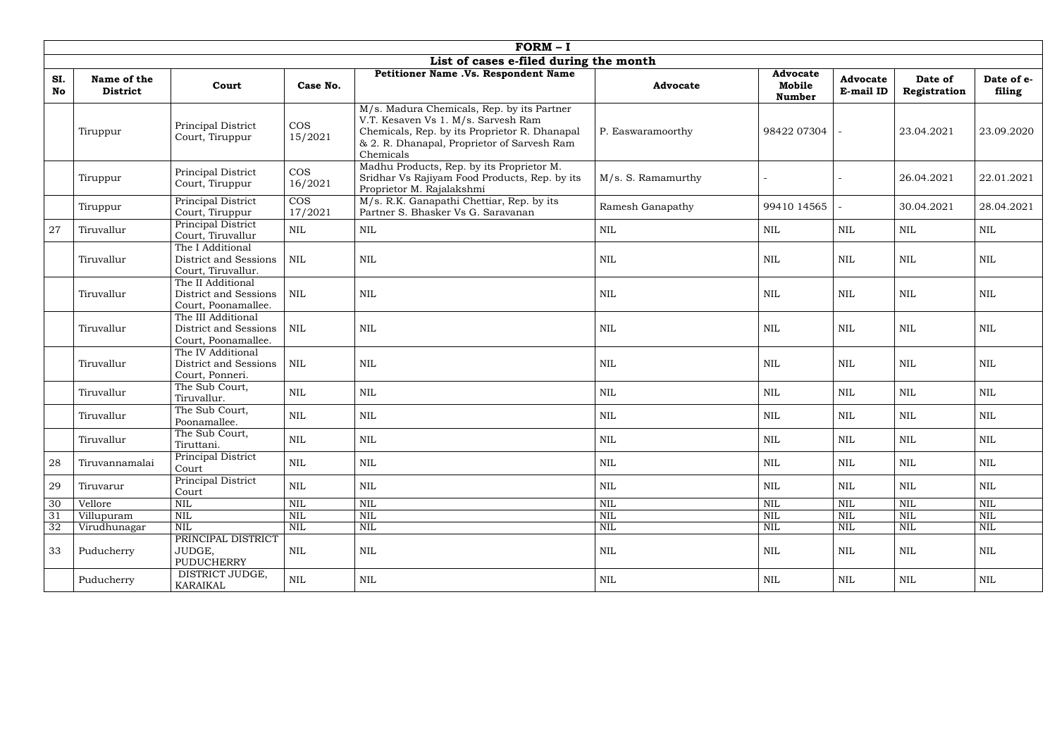|           | $FORM - I$                     |                                                                    |                                    |                                                                                                                                                                                                |                    |                                            |                              |                         |                      |  |
|-----------|--------------------------------|--------------------------------------------------------------------|------------------------------------|------------------------------------------------------------------------------------------------------------------------------------------------------------------------------------------------|--------------------|--------------------------------------------|------------------------------|-------------------------|----------------------|--|
|           |                                |                                                                    |                                    | List of cases e-filed during the month                                                                                                                                                         |                    |                                            |                              |                         |                      |  |
| SI.<br>No | Name of the<br><b>District</b> | Court                                                              | Case No.                           | Petitioner Name .Vs. Respondent Name                                                                                                                                                           | <b>Advocate</b>    | <b>Advocate</b><br>Mobile<br><b>Number</b> | <b>Advocate</b><br>E-mail ID | Date of<br>Registration | Date of e-<br>filing |  |
|           | Tiruppur                       | Principal District<br>Court, Tiruppur                              | <b>COS</b><br>15/2021              | M/s. Madura Chemicals, Rep. by its Partner<br>V.T. Kesaven Vs 1. M/s. Sarvesh Ram<br>Chemicals, Rep. by its Proprietor R. Dhanapal<br>& 2. R. Dhanapal, Proprietor of Sarvesh Ram<br>Chemicals | P. Easwaramoorthy  | 98422 07304                                |                              | 23.04.2021              | 23.09.2020           |  |
|           | Tiruppur                       | Principal District<br>Court, Tiruppur                              | <b>COS</b><br>16/2021              | Madhu Products, Rep. by its Proprietor M.<br>Sridhar Vs Rajiyam Food Products, Rep. by its<br>Proprietor M. Rajalakshmi                                                                        | M/s. S. Ramamurthy |                                            |                              | 26.04.2021              | 22.01.2021           |  |
|           | Tiruppur                       | Principal District<br>Court, Tiruppur                              | $\overline{\text{COS}}$<br>17/2021 | M/s. R.K. Ganapathi Chettiar, Rep. by its<br>Partner S. Bhasker Vs G. Saravanan                                                                                                                | Ramesh Ganapathy   | 99410 14565                                |                              | 30.04.2021              | 28.04.2021           |  |
| $27\,$    | Tiruvallur                     | Principal District<br>Court, Tiruvallur                            | $\mbox{NIL}$                       | <b>NIL</b>                                                                                                                                                                                     | <b>NIL</b>         | $\mbox{NIL}$                               | <b>NIL</b>                   | <b>NIL</b>              | $\mbox{NIL}$         |  |
|           | Tiruvallur                     | The I Additional<br>District and Sessions<br>Court, Tiruvallur.    | $\mbox{NIL}$                       | $\mbox{NIL}$                                                                                                                                                                                   | <b>NIL</b>         | <b>NIL</b>                                 | NIL                          | <b>NIL</b>              | $\mbox{NIL}$         |  |
|           | Tiruvallur                     | The II Additional<br>District and Sessions<br>Court, Poonamallee.  | <b>NIL</b>                         | $\mbox{NIL}$                                                                                                                                                                                   | <b>NIL</b>         | <b>NIL</b>                                 | NIL                          | <b>NIL</b>              | <b>NIL</b>           |  |
|           | Tiruvallur                     | The III Additional<br>District and Sessions<br>Court, Poonamallee. | $\mbox{NIL}$                       | <b>NIL</b>                                                                                                                                                                                     | <b>NIL</b>         | <b>NIL</b>                                 | <b>NIL</b>                   | $\mbox{NIL}$            | $\text{NIL}$         |  |
|           | Tiruvallur                     | The IV Additional<br>District and Sessions<br>Court, Ponneri.      | $\mbox{NIL}$                       | $\mbox{NIL}$                                                                                                                                                                                   | <b>NIL</b>         | <b>NIL</b>                                 | NIL                          | $\mbox{NIL}$            | $\text{NIL}$         |  |
|           | Tiruvallur                     | The Sub Court,<br>Tiruvallur.                                      | <b>NIL</b>                         | <b>NIL</b>                                                                                                                                                                                     | <b>NIL</b>         | <b>NIL</b>                                 | NIL                          | <b>NIL</b>              | <b>NIL</b>           |  |
|           | Tiruvallur                     | The Sub Court,<br>Poonamallee.                                     | $\mbox{NIL}$                       | $\mbox{NIL}$                                                                                                                                                                                   | <b>NIL</b>         | $\mbox{NIL}$                               | <b>NIL</b>                   | <b>NIL</b>              | <b>NIL</b>           |  |
|           | Tiruvallur                     | The Sub Court,<br>Tiruttani.                                       | $\mbox{NIL}$                       | $\mbox{NIL}$                                                                                                                                                                                   | <b>NIL</b>         | $\mbox{NIL}$                               | $\mbox{NIL}$                 | <b>NIL</b>              | $\mbox{NIL}$         |  |
| 28        | Tiruvannamalai                 | Principal District<br>Court                                        | <b>NIL</b>                         | $\mbox{NIL}$                                                                                                                                                                                   | NIL                | <b>NIL</b>                                 | NIL                          | <b>NIL</b>              | <b>NIL</b>           |  |
| 29        | Tiruvarur                      | Principal District<br>Court                                        | $\mbox{NIL}$                       | <b>NIL</b>                                                                                                                                                                                     | <b>NIL</b>         | <b>NIL</b>                                 | NIL                          | NIL                     | <b>NIL</b>           |  |
| 30        | Vellore                        | $\mbox{NIL}$                                                       | NIL                                | <b>NIL</b>                                                                                                                                                                                     | <b>NIL</b>         | <b>NIL</b>                                 | <b>NIL</b>                   | <b>NIL</b>              | NIL                  |  |
| 31        | Villupuram                     | <b>NIL</b>                                                         | <b>NIL</b>                         | $\mbox{NIL}$                                                                                                                                                                                   | <b>NIL</b>         | <b>NIL</b>                                 | NIL                          | $\mbox{NIL}$            | <b>NIL</b>           |  |
| 32        | Virudhunagar                   | <b>NIL</b>                                                         | $\mbox{NIL}$                       | $\mbox{NIL}$                                                                                                                                                                                   | <b>NIL</b>         | <b>NIL</b>                                 | NIL                          | <b>NIL</b>              | <b>NIL</b>           |  |
| 33        | Puducherry                     | PRINCIPAL DISTRICT<br>JUDGE,<br><b>PUDUCHERRY</b>                  | NIL                                | <b>NIL</b>                                                                                                                                                                                     | <b>NIL</b>         | <b>NIL</b>                                 | NIL                          | <b>NIL</b>              | <b>NIL</b>           |  |
|           | Puducherry                     | DISTRICT JUDGE,<br>KARAIKAL                                        | <b>NIL</b>                         | $\mbox{NIL}$                                                                                                                                                                                   | $\mbox{NIL}$       | NIL                                        | NIL                          | NIL                     | <b>NIL</b>           |  |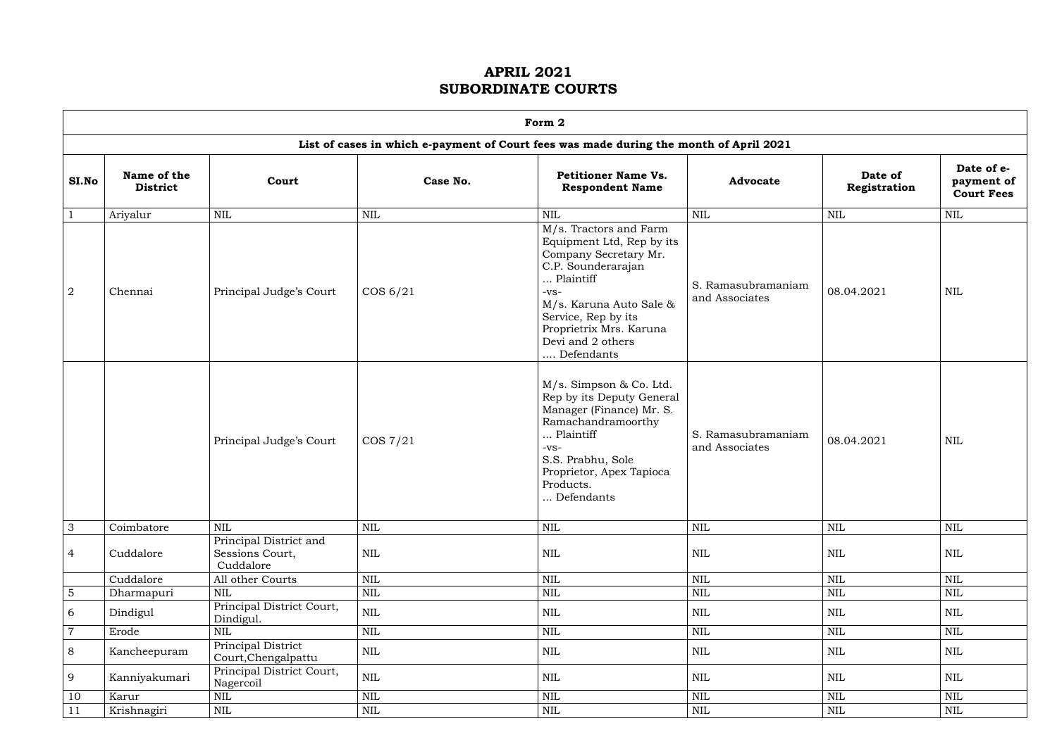|                | Form 2                         |                                                        |              |                                                                                                                                                                                                                                           |                                      |                         |                                               |  |  |  |  |
|----------------|--------------------------------|--------------------------------------------------------|--------------|-------------------------------------------------------------------------------------------------------------------------------------------------------------------------------------------------------------------------------------------|--------------------------------------|-------------------------|-----------------------------------------------|--|--|--|--|
|                |                                |                                                        |              | List of cases in which e-payment of Court fees was made during the month of April 2021                                                                                                                                                    |                                      |                         |                                               |  |  |  |  |
| SI.No          | Name of the<br><b>District</b> | Court                                                  | Case No.     | <b>Petitioner Name Vs.</b><br><b>Respondent Name</b>                                                                                                                                                                                      | <b>Advocate</b>                      | Date of<br>Registration | Date of e-<br>payment of<br><b>Court Fees</b> |  |  |  |  |
|                | Ariyalur                       | <b>NIL</b>                                             | <b>NIL</b>   | <b>NIL</b>                                                                                                                                                                                                                                | <b>NIL</b>                           | <b>NIL</b>              | $\text{NIL}$                                  |  |  |  |  |
| $\overline{2}$ | Chennai                        | Principal Judge's Court                                | $\cos 6/21$  | M/s. Tractors and Farm<br>Equipment Ltd, Rep by its<br>Company Secretary Mr.<br>C.P. Sounderarajan<br>Plaintiff<br>$-VS-$<br>M/s. Karuna Auto Sale &<br>Service, Rep by its<br>Proprietrix Mrs. Karuna<br>Devi and 2 others<br>Defendants | S. Ramasubramaniam<br>and Associates | 08.04.2021              | <b>NIL</b>                                    |  |  |  |  |
|                |                                | Principal Judge's Court                                | $\cos 7/21$  | M/s. Simpson & Co. Ltd.<br>Rep by its Deputy General<br>Manager (Finance) Mr. S.<br>Ramachandramoorthy<br>Plaintiff<br>$-VS-$<br>S.S. Prabhu, Sole<br>Proprietor, Apex Tapioca<br>Products.<br>Defendants                                 | S. Ramasubramaniam<br>and Associates | 08.04.2021              | <b>NIL</b>                                    |  |  |  |  |
| $\mathfrak{Z}$ | Coimbatore                     | <b>NIL</b>                                             | NIL          | <b>NIL</b>                                                                                                                                                                                                                                | $\mbox{NIL}$                         | <b>NIL</b>              | $\mbox{NIL}$                                  |  |  |  |  |
| 4              | Cuddalore                      | Principal District and<br>Sessions Court,<br>Cuddalore | $\mbox{NIL}$ | $\mbox{NIL}$                                                                                                                                                                                                                              | $\mbox{NIL}$                         | NIL                     | NIL                                           |  |  |  |  |
|                | Cuddalore                      | All other Courts                                       | NIL          | $\mbox{NIL}$                                                                                                                                                                                                                              | $\mbox{NIL}$                         | <b>NIL</b>              | $\mbox{NIL}$                                  |  |  |  |  |
| $\sqrt{5}$     | Dharmapuri                     | $\mbox{NIL}$                                           | $\mbox{NIL}$ | $\mbox{NIL}$                                                                                                                                                                                                                              | $\mbox{NIL}$                         | $\mbox{NIL}$            | $\mbox{NIL}$                                  |  |  |  |  |
| 6              | Dindigul                       | Principal District Court,<br>Dindigul.                 | $\mbox{NIL}$ | <b>NIL</b>                                                                                                                                                                                                                                | <b>NIL</b>                           | NIL                     | $\text{NIL}$                                  |  |  |  |  |
| $\overline{7}$ | Erode                          | <b>NIL</b>                                             | NIL          | $\mbox{NIL}$                                                                                                                                                                                                                              | $\mbox{NIL}$                         | $\mbox{NIL}$            | $\mbox{NIL}$                                  |  |  |  |  |
| 8              | Kancheepuram                   | Principal District<br>Court, Chengalpattu              | $\mbox{NIL}$ | $\mbox{NIL}$                                                                                                                                                                                                                              | $\mbox{NIL}$                         | NIL                     | NIL                                           |  |  |  |  |
| 9              | Kanniyakumari                  | Principal District Court,<br>Nagercoil                 | $\mbox{NIL}$ | NIL                                                                                                                                                                                                                                       | <b>NIL</b>                           | NIL                     | NIL                                           |  |  |  |  |
| 10             | Karur                          | $\mbox{NIL}$                                           | $\mbox{NIL}$ | $\mbox{NIL}$                                                                                                                                                                                                                              | $\mbox{NIL}$                         | $\mbox{NIL}$            | $\mbox{NIL}$                                  |  |  |  |  |
| 11             | Krishnagiri                    | $\mbox{NIL}$                                           | $\mbox{NIL}$ | $\mbox{NIL}$                                                                                                                                                                                                                              | $\mbox{NIL}$                         | $\mbox{NIL}$            | $\mbox{NIL}$                                  |  |  |  |  |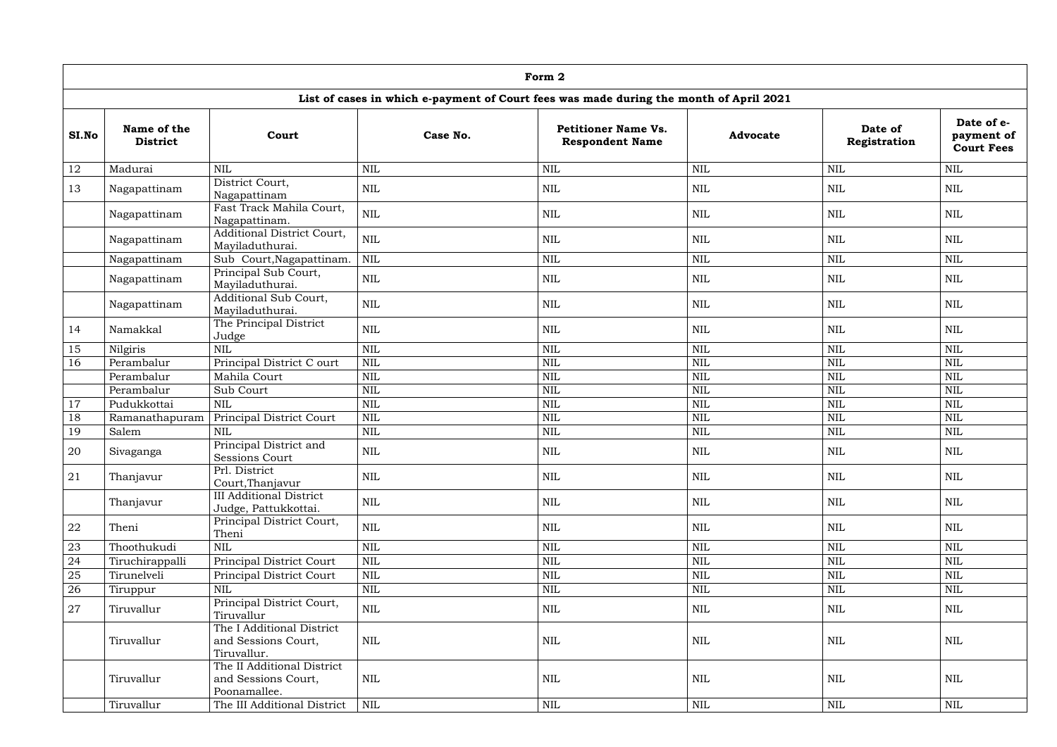|       | Form 2                         |                                                                   |              |                                                                                        |                 |                         |                                               |  |  |  |
|-------|--------------------------------|-------------------------------------------------------------------|--------------|----------------------------------------------------------------------------------------|-----------------|-------------------------|-----------------------------------------------|--|--|--|
|       |                                |                                                                   |              | List of cases in which e-payment of Court fees was made during the month of April 2021 |                 |                         |                                               |  |  |  |
| SI.No | Name of the<br><b>District</b> | Court                                                             | Case No.     | <b>Petitioner Name Vs.</b><br><b>Respondent Name</b>                                   | <b>Advocate</b> | Date of<br>Registration | Date of e-<br>payment of<br><b>Court Fees</b> |  |  |  |
| 12    | Madurai                        | <b>NIL</b>                                                        | <b>NIL</b>   | <b>NIL</b>                                                                             | <b>NIL</b>      | <b>NIL</b>              | <b>NIL</b>                                    |  |  |  |
| 13    | Nagapattinam                   | District Court,<br>Nagapattinam                                   | <b>NIL</b>   | <b>NIL</b>                                                                             | $\mbox{NIL}$    | NIL                     | <b>NIL</b>                                    |  |  |  |
|       | Nagapattinam                   | Fast Track Mahila Court,<br>Nagapattinam.                         | <b>NIL</b>   | <b>NIL</b>                                                                             | <b>NIL</b>      | <b>NIL</b>              | <b>NIL</b>                                    |  |  |  |
|       | Nagapattinam                   | Additional District Court,<br>Mayiladuthurai.                     | <b>NIL</b>   | <b>NIL</b>                                                                             | <b>NIL</b>      | <b>NIL</b>              | <b>NIL</b>                                    |  |  |  |
|       | Nagapattinam                   | Sub Court, Nagapattinam.                                          | <b>NIL</b>   | <b>NIL</b>                                                                             | <b>NIL</b>      | <b>NIL</b>              | <b>NIL</b>                                    |  |  |  |
|       | Nagapattinam                   | Principal Sub Court,<br>Mayiladuthurai.                           | <b>NIL</b>   | <b>NIL</b>                                                                             | <b>NIL</b>      | <b>NIL</b>              | <b>NIL</b>                                    |  |  |  |
|       | Nagapattinam                   | Additional Sub Court,<br>Mayiladuthurai.                          | <b>NIL</b>   | NIL                                                                                    | <b>NIL</b>      | <b>NIL</b>              | <b>NIL</b>                                    |  |  |  |
| 14    | Namakkal                       | The Principal District<br>Judge                                   | <b>NIL</b>   | <b>NIL</b>                                                                             | <b>NIL</b>      | <b>NIL</b>              | <b>NIL</b>                                    |  |  |  |
| 15    | Nilgiris                       | <b>NIL</b>                                                        | <b>NIL</b>   | <b>NIL</b>                                                                             | <b>NIL</b>      | <b>NIL</b>              | <b>NIL</b>                                    |  |  |  |
| 16    | Perambalur                     | Principal District C ourt                                         | NIL          | <b>NIL</b>                                                                             | <b>NIL</b>      | <b>NIL</b>              | <b>NIL</b>                                    |  |  |  |
|       | Perambalur                     | Mahila Court                                                      | <b>NIL</b>   | <b>NIL</b>                                                                             | <b>NIL</b>      | <b>NIL</b>              | <b>NIL</b>                                    |  |  |  |
|       | Perambalur                     | Sub Court                                                         | <b>NIL</b>   | <b>NIL</b>                                                                             | <b>NIL</b>      | <b>NIL</b>              | <b>NIL</b>                                    |  |  |  |
| 17    | Pudukkottai                    | <b>NIL</b>                                                        | <b>NIL</b>   | <b>NIL</b>                                                                             | <b>NIL</b>      | <b>NIL</b>              | <b>NIL</b>                                    |  |  |  |
| 18    | Ramanathapuram                 | Principal District Court                                          | <b>NIL</b>   | <b>NIL</b>                                                                             | $\mbox{NIL}$    | <b>NIL</b>              | <b>NIL</b>                                    |  |  |  |
| 19    | Salem                          | <b>NIL</b>                                                        | <b>NIL</b>   | <b>NIL</b>                                                                             | $\mbox{NIL}$    | NIL                     | <b>NIL</b>                                    |  |  |  |
| 20    | Sivaganga                      | Principal District and<br><b>Sessions Court</b>                   | <b>NIL</b>   | NIL                                                                                    | <b>NIL</b>      | <b>NIL</b>              | <b>NIL</b>                                    |  |  |  |
| 21    | Thanjavur                      | Prl. District<br>Court, Thanjavur                                 | <b>NIL</b>   | <b>NIL</b>                                                                             | <b>NIL</b>      | <b>NIL</b>              | $\mbox{NIL}$                                  |  |  |  |
|       | Thanjavur                      | <b>III</b> Additional District<br>Judge, Pattukkottai.            | $\mbox{NIL}$ | <b>NIL</b>                                                                             | $\mbox{NIL}$    | NIL                     | $\mbox{NIL}$                                  |  |  |  |
| 22    | Theni                          | Principal District Court,<br>Theni                                | $\mbox{NIL}$ | <b>NIL</b>                                                                             | <b>NIL</b>      | <b>NIL</b>              | $\text{NIL}$                                  |  |  |  |
| 23    | Thoothukudi                    | <b>NIL</b>                                                        | <b>NIL</b>   | <b>NIL</b>                                                                             | $\mbox{NIL}$    | <b>NIL</b>              | <b>NIL</b>                                    |  |  |  |
| 24    | Tiruchirappalli                | Principal District Court                                          | <b>NIL</b>   | <b>NIL</b>                                                                             | $\mbox{NIL}$    | <b>NIL</b>              | <b>NIL</b>                                    |  |  |  |
| 25    | Tirunelveli                    | Principal District Court                                          | <b>NIL</b>   | <b>NIL</b>                                                                             | $\mbox{NIL}$    | $\mbox{NIL}$            | <b>NIL</b>                                    |  |  |  |
| 26    | Tiruppur                       | <b>NIL</b>                                                        | $\mbox{NIL}$ | <b>NIL</b>                                                                             | $\mbox{NIL}$    | $\mbox{NIL}$            | <b>NIL</b>                                    |  |  |  |
| 27    | Tiruvallur                     | Principal District Court,<br>Tiruvallur                           | $\mbox{NIL}$ | <b>NIL</b>                                                                             | $\mbox{NIL}$    | <b>NIL</b>              | $\mbox{NIL}$                                  |  |  |  |
|       | Tiruvallur                     | The I Additional District<br>and Sessions Court,<br>Tiruvallur.   | <b>NIL</b>   | <b>NIL</b>                                                                             | <b>NIL</b>      | <b>NIL</b>              | $\mbox{NIL}$                                  |  |  |  |
|       | Tiruvallur                     | The II Additional District<br>and Sessions Court,<br>Poonamallee. | <b>NIL</b>   | <b>NIL</b>                                                                             | $\mbox{NIL}$    | NIL                     | $\mbox{NIL}$                                  |  |  |  |
|       | Tiruvallur                     | The III Additional District                                       | NIL          | $\mbox{NIL}$                                                                           | $\mbox{NIL}$    | $\mbox{NIL}$            | $\mbox{NIL}$                                  |  |  |  |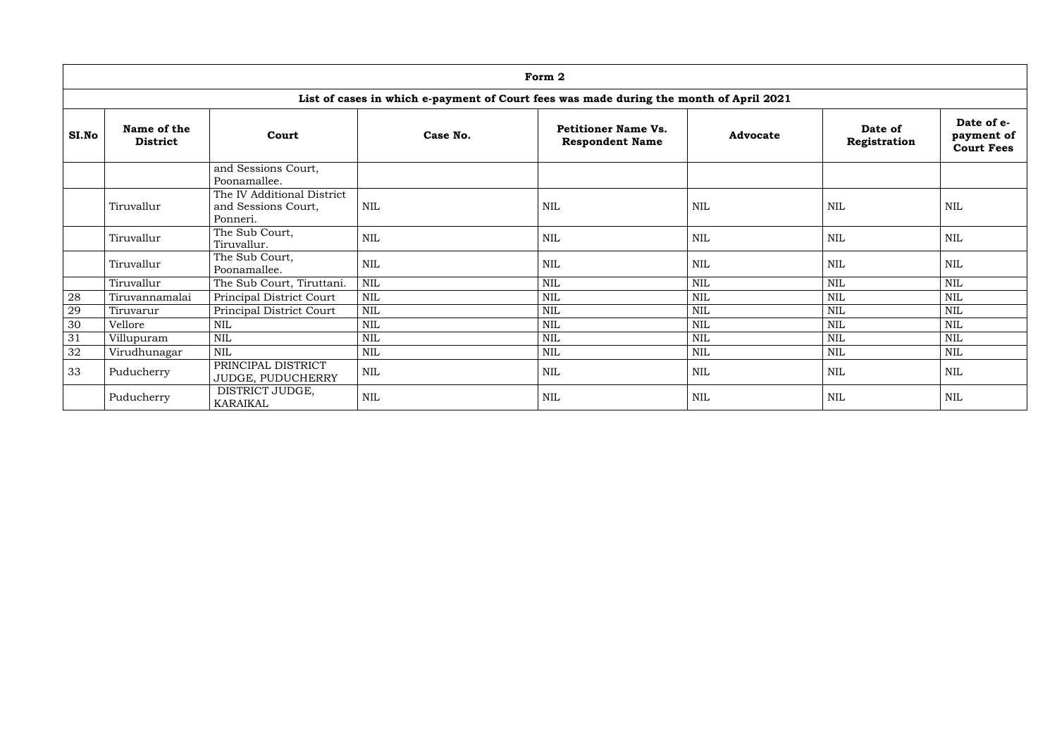|       |                                |                                                               |            | Form 2                                                                                 |                 |                         |                                               |
|-------|--------------------------------|---------------------------------------------------------------|------------|----------------------------------------------------------------------------------------|-----------------|-------------------------|-----------------------------------------------|
|       |                                |                                                               |            | List of cases in which e-payment of Court fees was made during the month of April 2021 |                 |                         |                                               |
| SI.No | Name of the<br><b>District</b> | Court                                                         | Case No.   | <b>Petitioner Name Vs.</b><br><b>Respondent Name</b>                                   | <b>Advocate</b> | Date of<br>Registration | Date of e-<br>payment of<br><b>Court Fees</b> |
|       |                                | and Sessions Court,<br>Poonamallee.                           |            |                                                                                        |                 |                         |                                               |
|       | Tiruvallur                     | The IV Additional District<br>and Sessions Court,<br>Ponneri. | <b>NIL</b> | NIL                                                                                    | <b>NIL</b>      | <b>NIL</b>              | <b>NIL</b>                                    |
|       | Tiruvallur                     | The Sub Court,<br>Tiruvallur.                                 | <b>NIL</b> | NIL                                                                                    | $\textsc{nil}$  | $\mbox{NIL}$            | NIL                                           |
|       | Tiruvallur                     | The Sub Court,<br>Poonamallee.                                | <b>NIL</b> | <b>NIL</b>                                                                             | <b>NIL</b>      | <b>NIL</b>              | <b>NIL</b>                                    |
|       | Tiruvallur                     | The Sub Court, Tiruttani.                                     | <b>NIL</b> | <b>NIL</b>                                                                             | $\mbox{NIL}$    | <b>NIL</b>              | <b>NIL</b>                                    |
| 28    | Tiruvannamalai                 | Principal District Court                                      | <b>NIL</b> | <b>NIL</b>                                                                             | $\mbox{NIL}$    | <b>NIL</b>              | <b>NIL</b>                                    |
| 29    | Tiruvarur                      | Principal District Court                                      | <b>NIL</b> | <b>NIL</b>                                                                             | NIL             | <b>NIL</b>              | <b>NIL</b>                                    |
| 30    | Vellore                        | <b>NIL</b>                                                    | NIL        | <b>NIL</b>                                                                             | $\mbox{NIL}$    | <b>NIL</b>              | <b>NIL</b>                                    |
| 31    | Villupuram                     | <b>NIL</b>                                                    | <b>NIL</b> | <b>NIL</b>                                                                             | <b>NIL</b>      | <b>NIL</b>              | <b>NIL</b>                                    |
| 32    | Virudhunagar                   | <b>NIL</b>                                                    | <b>NIL</b> | <b>NIL</b>                                                                             | $\mbox{NIL}$    | <b>NIL</b>              | <b>NIL</b>                                    |
| 33    | Puducherry                     | PRINCIPAL DISTRICT<br>JUDGE, PUDUCHERRY                       | <b>NIL</b> | <b>NIL</b>                                                                             | <b>NIL</b>      | <b>NIL</b>              | <b>NIL</b>                                    |
|       | Puducherry                     | DISTRICT JUDGE,<br><b>KARAIKAL</b>                            | <b>NIL</b> | NIL                                                                                    | $\textsc{nil}$  | $\mbox{NIL}$            | <b>NIL</b>                                    |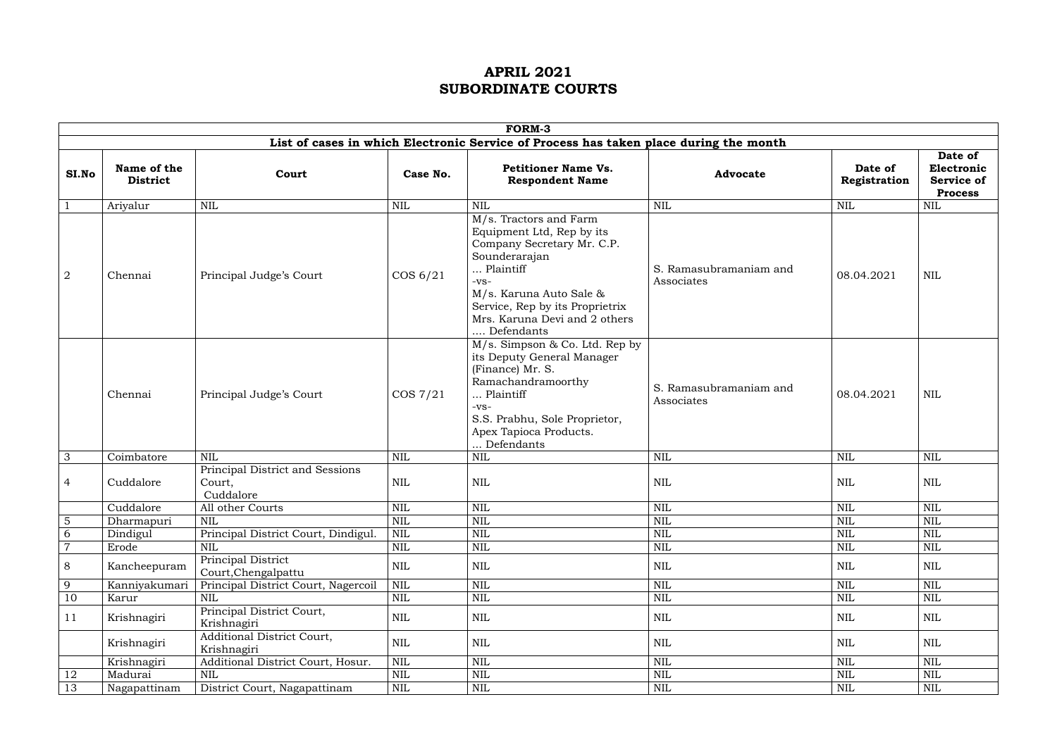|                |                                |                                                        |              | <b>FORM-3</b>                                                                                                                                                                                                                          |                                      |                         |                                                              |
|----------------|--------------------------------|--------------------------------------------------------|--------------|----------------------------------------------------------------------------------------------------------------------------------------------------------------------------------------------------------------------------------------|--------------------------------------|-------------------------|--------------------------------------------------------------|
|                |                                |                                                        |              | List of cases in which Electronic Service of Process has taken place during the month                                                                                                                                                  |                                      |                         |                                                              |
| SI.No          | Name of the<br><b>District</b> | Court                                                  | Case No.     | <b>Petitioner Name Vs.</b><br><b>Respondent Name</b>                                                                                                                                                                                   | <b>Advocate</b>                      | Date of<br>Registration | Date of<br>Electronic<br><b>Service of</b><br><b>Process</b> |
|                | Ariyalur                       | <b>NIL</b>                                             | <b>NIL</b>   | <b>NIL</b>                                                                                                                                                                                                                             | NIL                                  | <b>NIL</b>              | $\mbox{NIL}$                                                 |
| $\overline{2}$ | Chennai                        | Principal Judge's Court                                | $\cos 6/21$  | M/s. Tractors and Farm<br>Equipment Ltd, Rep by its<br>Company Secretary Mr. C.P.<br>Sounderarajan<br>Plaintiff<br>$-VS-$<br>M/s. Karuna Auto Sale &<br>Service, Rep by its Proprietrix<br>Mrs. Karuna Devi and 2 others<br>Defendants | S. Ramasubramaniam and<br>Associates | 08.04.2021              | NIL                                                          |
|                | Chennai                        | Principal Judge's Court                                | $\cos 7/21$  | $M/s$ . Simpson & Co. Ltd. Rep by<br>its Deputy General Manager<br>(Finance) Mr. S.<br>Ramachandramoorthy<br>Plaintiff<br>$-VS-$<br>S.S. Prabhu, Sole Proprietor,<br>Apex Tapioca Products.<br>Defendants                              | S. Ramasubramaniam and<br>Associates | 08.04.2021              | NIL                                                          |
| 3              | Coimbatore                     | <b>NIL</b>                                             | <b>NIL</b>   | $\mbox{NIL}$                                                                                                                                                                                                                           | <b>NIL</b>                           | <b>NIL</b>              | <b>NIL</b>                                                   |
| 4              | Cuddalore                      | Principal District and Sessions<br>Court,<br>Cuddalore | NIL          | <b>NIL</b>                                                                                                                                                                                                                             | NIL                                  | <b>NIL</b>              | NIL                                                          |
|                | Cuddalore                      | All other Courts                                       | <b>NIL</b>   | $\mbox{NIL}$                                                                                                                                                                                                                           | NIL                                  | <b>NIL</b>              | $\mbox{NIL}$                                                 |
| 5              | Dharmapuri                     | NIL                                                    | NIL          | NIL                                                                                                                                                                                                                                    | NIL                                  | NIL                     | NIL                                                          |
| 6              | Dindigul                       | Principal District Court, Dindigul.                    | <b>NIL</b>   | $\text{NIL}$                                                                                                                                                                                                                           | $\mbox{NIL}$                         | <b>NIL</b>              | $\mbox{NIL}$                                                 |
| $\overline{7}$ | Erode                          | <b>NIL</b>                                             | <b>NIL</b>   | $\mbox{NIL}$                                                                                                                                                                                                                           | $\mbox{NIL}$                         | <b>NIL</b>              | $\mbox{NIL}$                                                 |
| 8              | Kancheepuram                   | Principal District<br>Court, Chengalpattu              | $\mbox{NIL}$ | $\mbox{NIL}$                                                                                                                                                                                                                           | <b>NIL</b>                           | $\mbox{NIL}$            | <b>NIL</b>                                                   |
| 9              | Kanniyakumari                  | Principal District Court, Nagercoil                    | <b>NIL</b>   | $\mbox{NIL}$                                                                                                                                                                                                                           | <b>NIL</b>                           | <b>NIL</b>              | $\mbox{NIL}$                                                 |
| 10             | Karur                          | <b>NIL</b>                                             | $\mbox{NIL}$ | $\mbox{NIL}$                                                                                                                                                                                                                           | $\mbox{NIL}$                         | <b>NIL</b>              | $\mbox{NIL}$                                                 |
| 11             | Krishnagiri                    | Principal District Court,<br>Krishnagiri               | $\mbox{NIL}$ | $\mbox{NIL}$                                                                                                                                                                                                                           | <b>NIL</b>                           | $\mbox{NIL}$            | <b>NIL</b>                                                   |
|                | Krishnagiri                    | Additional District Court,<br>Krishnagiri              | <b>NIL</b>   | <b>NIL</b>                                                                                                                                                                                                                             | NIL                                  | $\mbox{NIL}$            | <b>NIL</b>                                                   |
|                | Krishnagiri                    | Additional District Court, Hosur.                      | $\mbox{NIL}$ | $\text{NIL}$                                                                                                                                                                                                                           | $\mbox{NIL}$                         | <b>NIL</b>              | $\mbox{NIL}$                                                 |
| 12             | Madurai                        | <b>NIL</b>                                             | <b>NIL</b>   | $\mbox{NIL}$                                                                                                                                                                                                                           | $\mbox{NIL}$                         | <b>NIL</b>              | <b>NIL</b>                                                   |
| 13             | Nagapattinam                   | District Court, Nagapattinam                           | $\mbox{NIL}$ | $\mbox{NIL}$                                                                                                                                                                                                                           | $\mbox{NIL}$                         | NIL                     | <b>NIL</b>                                                   |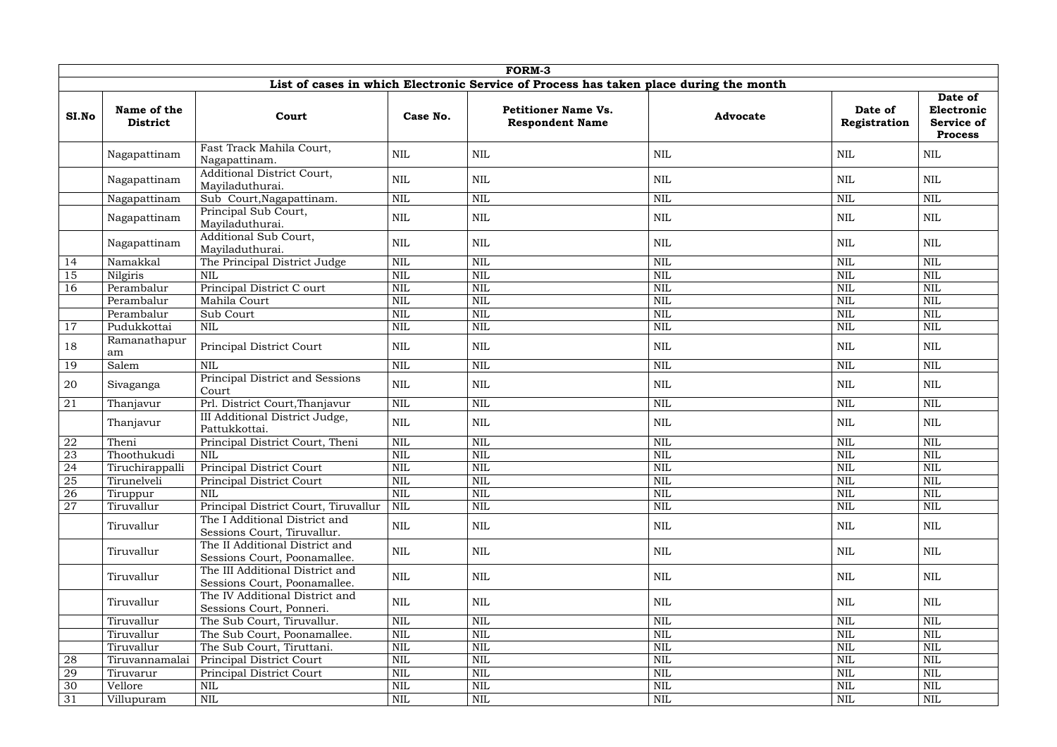|       | <b>FORM-3</b>                                                                         |                                                                 |              |                                                      |                 |                         |                                                              |  |  |  |  |
|-------|---------------------------------------------------------------------------------------|-----------------------------------------------------------------|--------------|------------------------------------------------------|-----------------|-------------------------|--------------------------------------------------------------|--|--|--|--|
|       | List of cases in which Electronic Service of Process has taken place during the month |                                                                 |              |                                                      |                 |                         |                                                              |  |  |  |  |
| SI.No | Name of the<br><b>District</b>                                                        | Court                                                           | Case No.     | <b>Petitioner Name Vs.</b><br><b>Respondent Name</b> | <b>Advocate</b> | Date of<br>Registration | Date of<br>Electronic<br><b>Service of</b><br><b>Process</b> |  |  |  |  |
|       | Nagapattinam                                                                          | Fast Track Mahila Court,<br>Nagapattinam.                       | $\mbox{NIL}$ | <b>NIL</b>                                           | <b>NIL</b>      | $\mbox{NIL}$            | <b>NIL</b>                                                   |  |  |  |  |
|       | Nagapattinam                                                                          | Additional District Court,<br>Mayiladuthurai.                   | $\mbox{NIL}$ | <b>NIL</b>                                           | <b>NIL</b>      | <b>NIL</b>              | <b>NIL</b>                                                   |  |  |  |  |
|       | Nagapattinam                                                                          | Sub Court, Nagapattinam.                                        | NIL          | <b>NIL</b>                                           | <b>NIL</b>      | <b>NIL</b>              | <b>NIL</b>                                                   |  |  |  |  |
|       | Nagapattinam                                                                          | Principal Sub Court,<br>Mayiladuthurai.                         | <b>NIL</b>   | NIL                                                  | <b>NIL</b>      | <b>NIL</b>              | <b>NIL</b>                                                   |  |  |  |  |
|       | Nagapattinam                                                                          | Additional Sub Court,<br>Mayiladuthurai.                        | <b>NIL</b>   | <b>NIL</b>                                           | <b>NIL</b>      | <b>NIL</b>              | <b>NIL</b>                                                   |  |  |  |  |
| 14    | Namakkal                                                                              | The Principal District Judge                                    | <b>NIL</b>   | <b>NIL</b>                                           | <b>NIL</b>      | <b>NIL</b>              | <b>NIL</b>                                                   |  |  |  |  |
| 15    | Nilgiris                                                                              | <b>NIL</b>                                                      | <b>NIL</b>   | <b>NIL</b>                                           | <b>NIL</b>      | <b>NIL</b>              | <b>NIL</b>                                                   |  |  |  |  |
| 16    | Perambalur                                                                            | Principal District C ourt                                       | $\mbox{NIL}$ | <b>NIL</b>                                           | <b>NIL</b>      | <b>NIL</b>              | <b>NIL</b>                                                   |  |  |  |  |
|       | Perambalur                                                                            | Mahila Court                                                    | <b>NIL</b>   | <b>NIL</b>                                           | <b>NIL</b>      | <b>NIL</b>              | <b>NIL</b>                                                   |  |  |  |  |
|       | Perambalur                                                                            | Sub Court                                                       | <b>NIL</b>   | <b>NIL</b>                                           | <b>NIL</b>      | <b>NIL</b>              | <b>NIL</b>                                                   |  |  |  |  |
| 17    | Pudukkottai                                                                           | $\mbox{NIL}$                                                    | $\mbox{NIL}$ | <b>NIL</b>                                           | <b>NIL</b>      | <b>NIL</b>              | <b>NIL</b>                                                   |  |  |  |  |
| 18    | Ramanathapur<br>am                                                                    | Principal District Court                                        | <b>NIL</b>   | NIL                                                  | <b>NIL</b>      | <b>NIL</b>              | <b>NIL</b>                                                   |  |  |  |  |
| 19    | Salem                                                                                 | <b>NIL</b>                                                      | $\mbox{NIL}$ | <b>NIL</b>                                           | <b>NIL</b>      | <b>NIL</b>              | <b>NIL</b>                                                   |  |  |  |  |
| 20    | Sivaganga                                                                             | Principal District and Sessions<br>Court                        | $\mbox{NIL}$ | NIL                                                  | <b>NIL</b>      | $\mbox{NIL}$            | <b>NIL</b>                                                   |  |  |  |  |
| 21    | Thanjavur                                                                             | Prl. District Court, Thanjavur                                  | NIL          | <b>NIL</b>                                           | <b>NIL</b>      | <b>NIL</b>              | <b>NIL</b>                                                   |  |  |  |  |
|       | Thanjavur                                                                             | III Additional District Judge,<br>Pattukkottai.                 | <b>NIL</b>   | <b>NIL</b>                                           | <b>NIL</b>      | <b>NIL</b>              | <b>NIL</b>                                                   |  |  |  |  |
| 22    | Theni                                                                                 | Principal District Court, Theni                                 | $\mbox{NIL}$ | <b>NIL</b>                                           | <b>NIL</b>      | <b>NIL</b>              | <b>NIL</b>                                                   |  |  |  |  |
| 23    | Thoothukudi                                                                           | <b>NIL</b>                                                      | $\mbox{NIL}$ | <b>NIL</b>                                           | <b>NIL</b>      | <b>NIL</b>              | <b>NIL</b>                                                   |  |  |  |  |
| 24    | Tiruchirappalli                                                                       | <b>Principal District Court</b>                                 | <b>NIL</b>   | <b>NIL</b>                                           | <b>NIL</b>      | <b>NIL</b>              | <b>NIL</b>                                                   |  |  |  |  |
| 25    | Tirunelveli                                                                           | <b>Principal District Court</b>                                 | $\mbox{NIL}$ | <b>NIL</b>                                           | <b>NIL</b>      | <b>NIL</b>              | <b>NIL</b>                                                   |  |  |  |  |
| 26    | Tiruppur                                                                              | <b>NIL</b>                                                      | <b>NIL</b>   | <b>NIL</b>                                           | <b>NIL</b>      | <b>NIL</b>              | <b>NIL</b>                                                   |  |  |  |  |
| 27    | Tiruvallur                                                                            | Principal District Court, Tiruvallur                            | $\mbox{NIL}$ | $\mbox{NIL}$                                         | <b>NIL</b>      | <b>NIL</b>              | $\mbox{NIL}$                                                 |  |  |  |  |
|       | Tiruvallur                                                                            | The I Additional District and<br>Sessions Court, Tiruvallur.    | $\mbox{NIL}$ | <b>NIL</b>                                           | <b>NIL</b>      | <b>NIL</b>              | <b>NIL</b>                                                   |  |  |  |  |
|       | Tiruvallur                                                                            | The II Additional District and<br>Sessions Court, Poonamallee.  | <b>NIL</b>   | <b>NIL</b>                                           | <b>NIL</b>      | $\mbox{NIL}$            | <b>NIL</b>                                                   |  |  |  |  |
|       | Tiruvallur                                                                            | The III Additional District and<br>Sessions Court, Poonamallee. | $\mbox{NIL}$ | <b>NIL</b>                                           | $\mbox{NIL}$    | $\mbox{NIL}$            | $\mbox{NIL}$                                                 |  |  |  |  |
|       | Tiruvallur                                                                            | The IV Additional District and<br>Sessions Court, Ponneri.      | <b>NIL</b>   | NIL                                                  | <b>NIL</b>      | <b>NIL</b>              | <b>NIL</b>                                                   |  |  |  |  |
|       | Tiruvallur                                                                            | The Sub Court, Tiruvallur.                                      | $\mbox{NIL}$ | <b>NIL</b>                                           | <b>NIL</b>      | <b>NIL</b>              | <b>NIL</b>                                                   |  |  |  |  |
|       | Tiruvallur                                                                            | The Sub Court, Poonamallee.                                     | $\mbox{NIL}$ | <b>NIL</b>                                           | <b>NIL</b>      | <b>NIL</b>              | $\mbox{NIL}$                                                 |  |  |  |  |
|       | Tiruvallur                                                                            | The Sub Court, Tiruttani.                                       | $\mbox{NIL}$ | <b>NIL</b>                                           | <b>NIL</b>      | <b>NIL</b>              | $\mbox{NIL}$                                                 |  |  |  |  |
| 28    | Tiruvannamalai                                                                        | Principal District Court                                        | $\mbox{NIL}$ | <b>NIL</b>                                           | <b>NIL</b>      | <b>NIL</b>              | $\mbox{NIL}$                                                 |  |  |  |  |
| 29    | Tiruvarur                                                                             | Principal District Court                                        | $\mbox{NIL}$ | <b>NIL</b>                                           | <b>NIL</b>      | <b>NIL</b>              | $\text{NIL}$                                                 |  |  |  |  |
| 30    | Vellore                                                                               | <b>NIL</b>                                                      | <b>NIL</b>   | <b>NIL</b>                                           | <b>NIL</b>      | <b>NIL</b>              | $\mbox{NIL}$                                                 |  |  |  |  |
| 31    | Villupuram                                                                            | $\mbox{NIL}$                                                    | $\mbox{NIL}$ | $\mbox{NIL}$                                         | $\mbox{NIL}$    | <b>NIL</b>              | $\mbox{NIL}$                                                 |  |  |  |  |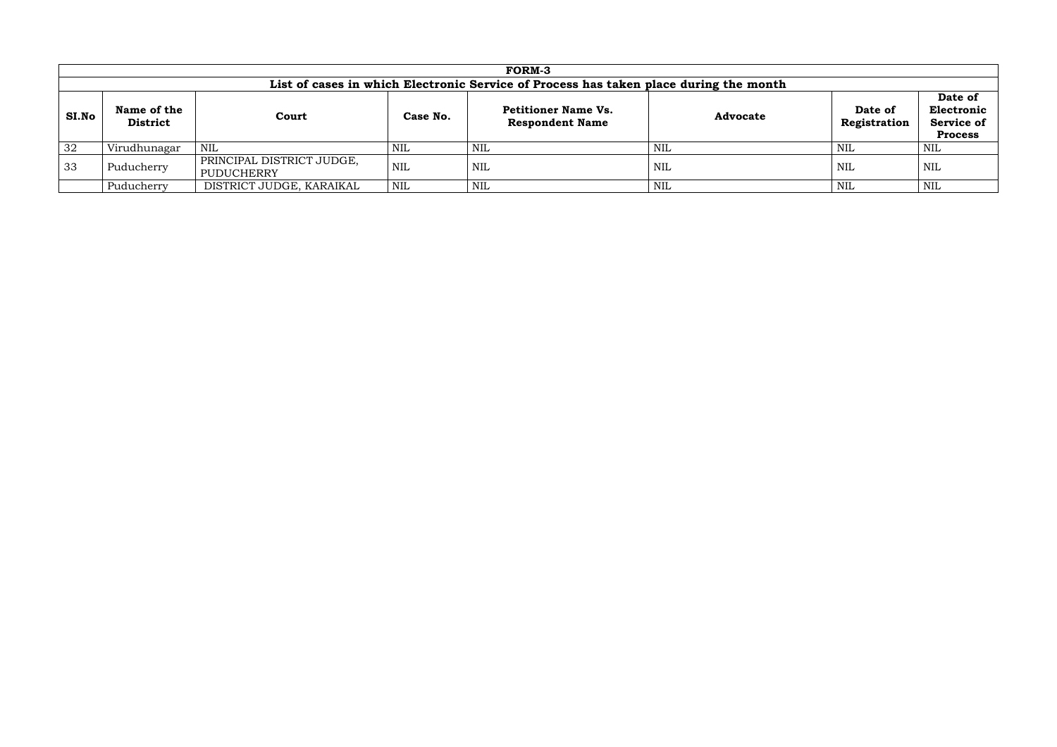|       |                                                                                       |                                                |            | <b>FORM-3</b>                                        |                 |                         |                                                              |  |
|-------|---------------------------------------------------------------------------------------|------------------------------------------------|------------|------------------------------------------------------|-----------------|-------------------------|--------------------------------------------------------------|--|
|       | List of cases in which Electronic Service of Process has taken place during the month |                                                |            |                                                      |                 |                         |                                                              |  |
| SI.No | Name of the<br><b>District</b>                                                        | Court                                          | Case No.   | <b>Petitioner Name Vs.</b><br><b>Respondent Name</b> | <b>Advocate</b> | Date of<br>Registration | Date of<br>Electronic<br><b>Service of</b><br><b>Process</b> |  |
| 32    | Virudhunagar                                                                          | NIL                                            | <b>NIL</b> | NIL                                                  | NIL             | NIL                     | NIL                                                          |  |
| 33    | Puducherry                                                                            | PRINCIPAL DISTRICT JUDGE,<br><b>PUDUCHERRY</b> | <b>NIL</b> | NIL                                                  | NIL             | NIL                     | <b>NIL</b>                                                   |  |
|       | Puducherry                                                                            | DISTRICT JUDGE, KARAIKAL                       | NIL        | <b>NIL</b>                                           | <b>NIL</b>      | NIL                     | NIL                                                          |  |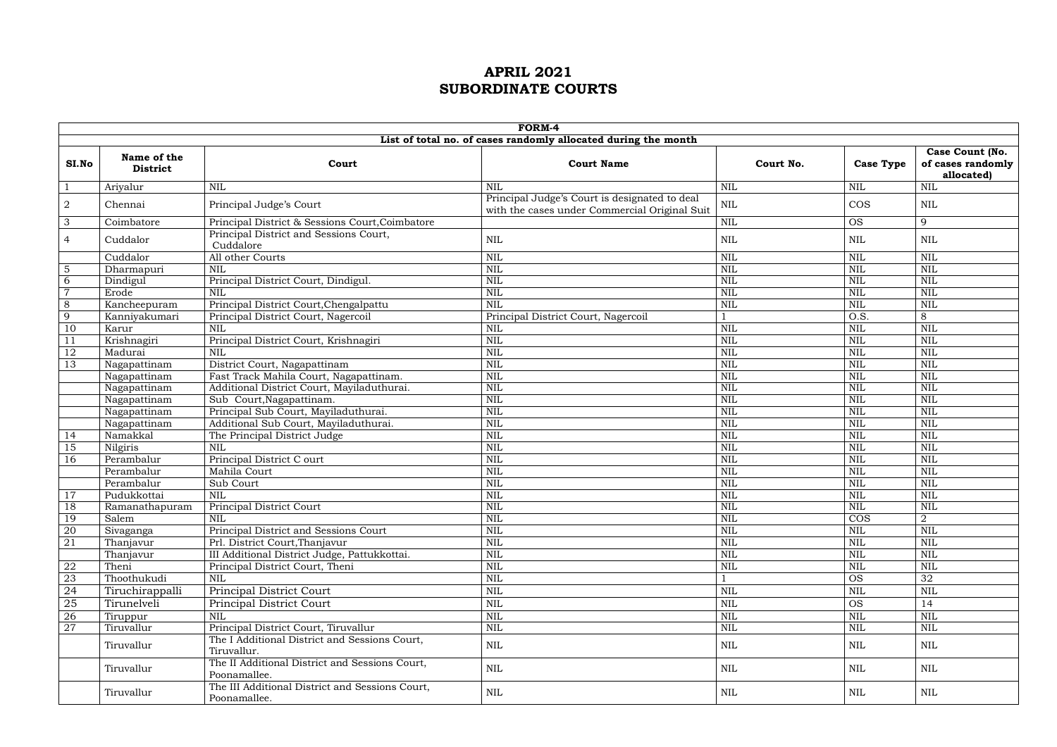|                 | FORM-4                         |                                                                 |                                                                                                |              |                   |                                                    |  |  |  |  |
|-----------------|--------------------------------|-----------------------------------------------------------------|------------------------------------------------------------------------------------------------|--------------|-------------------|----------------------------------------------------|--|--|--|--|
|                 |                                |                                                                 | List of total no. of cases randomly allocated during the month                                 |              |                   |                                                    |  |  |  |  |
| SI.No           | Name of the<br><b>District</b> | Court                                                           | <b>Court Name</b>                                                                              | Court No.    | <b>Case Type</b>  | Case Count (No.<br>of cases randomly<br>allocated) |  |  |  |  |
|                 | Ariyalur                       | NIL                                                             | <b>NIL</b>                                                                                     | <b>NIL</b>   | <b>NIL</b>        | <b>NIL</b>                                         |  |  |  |  |
| $\overline{2}$  | Chennai                        | Principal Judge's Court                                         | Principal Judge's Court is designated to deal<br>with the cases under Commercial Original Suit | $\mbox{NIL}$ | <b>COS</b>        | <b>NIL</b>                                         |  |  |  |  |
| $\mathbf{3}$    | Coimbatore                     | Principal District & Sessions Court, Coimbatore                 |                                                                                                | <b>NIL</b>   | <b>OS</b>         | 9                                                  |  |  |  |  |
| 4               | Cuddalor                       | Principal District and Sessions Court,<br>Cuddalore             | <b>NIL</b>                                                                                     | <b>NIL</b>   | <b>NIL</b>        | <b>NIL</b>                                         |  |  |  |  |
|                 | Cuddalor                       | All other Courts                                                | <b>NIL</b>                                                                                     | <b>NIL</b>   | <b>NIL</b>        | <b>NIL</b>                                         |  |  |  |  |
| $5\overline{)}$ | Dharmapuri                     | <b>NIL</b>                                                      | <b>NIL</b>                                                                                     | <b>NIL</b>   | <b>NIL</b>        | <b>NIL</b>                                         |  |  |  |  |
| 6               | Dindigul                       | Principal District Court, Dindigul.                             | <b>NIL</b>                                                                                     | <b>NIL</b>   | <b>NIL</b>        | <b>NIL</b>                                         |  |  |  |  |
| $\overline{7}$  | Erode                          | <b>NIL</b>                                                      | <b>NIL</b>                                                                                     | <b>NIL</b>   | <b>NIL</b>        | NIL                                                |  |  |  |  |
| 8               | Kancheepuram                   | Principal District Court, Chengalpattu                          | NIL                                                                                            | <b>NIL</b>   | <b>NIL</b>        | <b>NIL</b>                                         |  |  |  |  |
| 9               | Kanniyakumari                  | Principal District Court, Nagercoil                             | Principal District Court, Nagercoil                                                            |              | $\overline{O.S.}$ | 8                                                  |  |  |  |  |
| 10              | Karur                          | <b>NIL</b>                                                      | <b>NIL</b>                                                                                     | <b>NIL</b>   | <b>NIL</b>        | <b>NIL</b>                                         |  |  |  |  |
| 11              | Krishnagiri                    | Principal District Court, Krishnagiri                           | NIL                                                                                            | <b>NIL</b>   | <b>NIL</b>        | <b>NIL</b>                                         |  |  |  |  |
| 12              | Madurai                        | <b>NIL</b>                                                      | <b>NIL</b>                                                                                     | <b>NIL</b>   | <b>NIL</b>        | <b>NIL</b>                                         |  |  |  |  |
| 13              | Nagapattinam                   | District Court, Nagapattinam                                    | <b>NIL</b>                                                                                     | <b>NIL</b>   | <b>NIL</b>        | <b>NIL</b>                                         |  |  |  |  |
|                 | Nagapattinam                   | Fast Track Mahila Court, Nagapattinam.                          | <b>NIL</b>                                                                                     | <b>NIL</b>   | <b>NIL</b>        | <b>NIL</b>                                         |  |  |  |  |
|                 | Nagapattinam                   | Additional District Court, Mayiladuthurai.                      | <b>NIL</b>                                                                                     | <b>NIL</b>   | <b>NIL</b>        | <b>NIL</b>                                         |  |  |  |  |
|                 | Nagapattinam                   | Sub Court, Nagapattinam.                                        | NIL                                                                                            | <b>NIL</b>   | <b>NIL</b>        | <b>NIL</b>                                         |  |  |  |  |
|                 | Nagapattinam                   | Principal Sub Court, Mayiladuthurai.                            | NIL                                                                                            | <b>NIL</b>   | <b>NIL</b>        | <b>NIL</b>                                         |  |  |  |  |
|                 | Nagapattinam                   | Additional Sub Court, Mayiladuthurai.                           | <b>NIL</b>                                                                                     | <b>NIL</b>   | <b>NIL</b>        | <b>NIL</b>                                         |  |  |  |  |
| 14              | Namakkal                       | The Principal District Judge                                    | NIL                                                                                            | <b>NIL</b>   | <b>NIL</b>        | <b>NIL</b>                                         |  |  |  |  |
| 15              | Nilgiris                       | <b>NIL</b>                                                      | <b>NIL</b>                                                                                     | <b>NIL</b>   | <b>NIL</b>        | <b>NIL</b>                                         |  |  |  |  |
| 16              | Perambalur                     | Principal District C ourt                                       | <b>NIL</b>                                                                                     | <b>NIL</b>   | <b>NIL</b>        | <b>NIL</b>                                         |  |  |  |  |
|                 | Perambalur                     | Mahila Court                                                    | NIL                                                                                            | <b>NIL</b>   | <b>NIL</b>        | <b>NIL</b>                                         |  |  |  |  |
|                 | Perambalur                     | Sub Court                                                       | <b>NIL</b>                                                                                     | <b>NIL</b>   | <b>NIL</b>        | <b>NIL</b>                                         |  |  |  |  |
| 17              | Pudukkottai                    | <b>NIL</b>                                                      | <b>NIL</b>                                                                                     | <b>NIL</b>   | <b>NIL</b>        | <b>NIL</b>                                         |  |  |  |  |
| 18              | Ramanathapuram                 | Principal District Court                                        | <b>NIL</b>                                                                                     | <b>NIL</b>   | <b>NIL</b>        | <b>NIL</b>                                         |  |  |  |  |
| <sup>19</sup>   | Salem                          | <b>NIL</b>                                                      | NIL                                                                                            | <b>NIL</b>   | $\overline{\cos}$ | $\overline{2}$                                     |  |  |  |  |
| 20              | Sivaganga                      | Principal District and Sessions Court                           | <b>NIL</b>                                                                                     | <b>NIL</b>   | <b>NIL</b>        | <b>NIL</b>                                         |  |  |  |  |
| 21              | Thanjavur                      | Prl. District Court, Thanjavur                                  | <b>NIL</b>                                                                                     | <b>NIL</b>   | <b>NIL</b>        | <b>NIL</b>                                         |  |  |  |  |
|                 | Thanjavur                      | III Additional District Judge, Pattukkottai.                    | NIL                                                                                            | <b>NIL</b>   | <b>NIL</b>        | <b>NIL</b>                                         |  |  |  |  |
| 22              | Theni                          | Principal District Court, Theni                                 | <b>NIL</b>                                                                                     | <b>NIL</b>   | <b>NIL</b>        | <b>NIL</b>                                         |  |  |  |  |
| 23              | Thoothukudi                    | <b>NIL</b>                                                      | <b>NIL</b>                                                                                     |              | <b>OS</b>         | 32                                                 |  |  |  |  |
| 24              | Tiruchirappalli                | Principal District Court                                        | <b>NIL</b>                                                                                     | <b>NIL</b>   | <b>NIL</b>        | <b>NIL</b>                                         |  |  |  |  |
| 25              | Tirunelveli                    | <b>Principal District Court</b>                                 | <b>NIL</b>                                                                                     | <b>NIL</b>   | <b>OS</b>         | 14                                                 |  |  |  |  |
| 26              | Tiruppur                       | <b>NIL</b>                                                      | <b>NIL</b>                                                                                     | <b>NIL</b>   | <b>NIL</b>        | <b>NIL</b>                                         |  |  |  |  |
| 27              | Tiruvallur                     | Principal District Court, Tiruvallur                            | <b>NIL</b>                                                                                     | <b>NIL</b>   | <b>NIL</b>        | <b>NIL</b>                                         |  |  |  |  |
|                 | Tiruvallur                     | The I Additional District and Sessions Court,<br>Tiruvallur.    | $\mbox{NIL}$                                                                                   | <b>NIL</b>   | $\mbox{NIL}$      | <b>NIL</b>                                         |  |  |  |  |
|                 | Tiruvallur                     | The II Additional District and Sessions Court,<br>Poonamallee.  | <b>NIL</b>                                                                                     | <b>NIL</b>   | <b>NIL</b>        | <b>NIL</b>                                         |  |  |  |  |
|                 | Tiruvallur                     | The III Additional District and Sessions Court,<br>Poonamallee. | $\mbox{NIL}$                                                                                   | <b>NIL</b>   | <b>NIL</b>        | NIL                                                |  |  |  |  |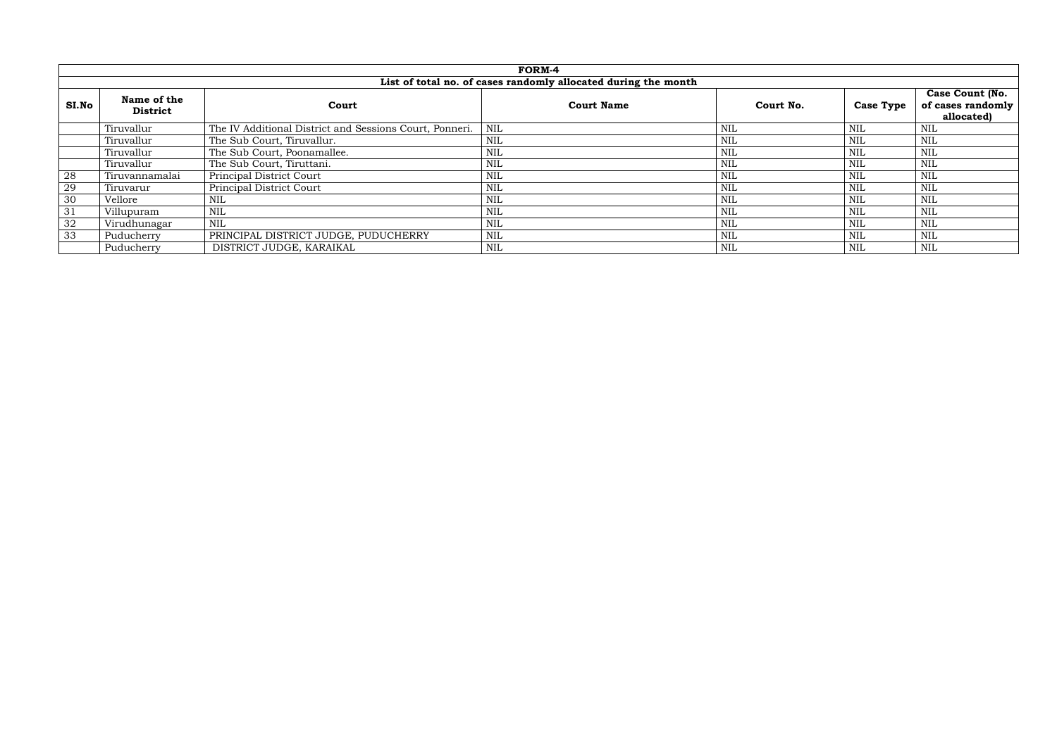|                | FORM-4                                                         |                                                         |                   |            |                  |                                             |  |  |  |
|----------------|----------------------------------------------------------------|---------------------------------------------------------|-------------------|------------|------------------|---------------------------------------------|--|--|--|
|                | List of total no. of cases randomly allocated during the month |                                                         |                   |            |                  |                                             |  |  |  |
| SI.No          | Name of the<br><b>District</b>                                 | Court                                                   | <b>Court Name</b> | Court No.  | <b>Case Type</b> | <b>Case Count (No.</b><br>of cases randomly |  |  |  |
|                |                                                                |                                                         |                   |            |                  | allocated)                                  |  |  |  |
|                | Tiruvallur                                                     | The IV Additional District and Sessions Court, Ponneri. | NIL               | <b>NIL</b> | <b>NIL</b>       | <b>NIL</b>                                  |  |  |  |
|                | Tiruvallur                                                     | The Sub Court, Tiruvallur.                              | <b>NIL</b>        | <b>NIL</b> | <b>NIL</b>       | <b>NIL</b>                                  |  |  |  |
|                | Tiruvallur                                                     | The Sub Court, Poonamallee.                             | $\text{NIL}$      | <b>NIL</b> | <b>NIL</b>       | <b>NIL</b>                                  |  |  |  |
|                | Tiruvallur                                                     | The Sub Court, Tiruttani.                               | NIL               | <b>NIL</b> | <b>NIL</b>       | <b>NIL</b>                                  |  |  |  |
| 28             | Tiruvannamalai                                                 | <b>Principal District Court</b>                         | $\mbox{NIL}$      | <b>NIL</b> | <b>NIL</b>       | <b>NIL</b>                                  |  |  |  |
| $\frac{29}{2}$ | Tiruvarur                                                      | Principal District Court                                | <b>NIL</b>        | <b>NIL</b> | <b>NIL</b>       | <b>NIL</b>                                  |  |  |  |
| 30             | Vellore                                                        | <b>NIL</b>                                              | $\text{NIL}$      | <b>NIL</b> | <b>NIL</b>       | <b>NIL</b>                                  |  |  |  |
| 31             | Villupuram                                                     | NIL                                                     | $\mbox{NIL}$      | <b>NIL</b> | <b>NIL</b>       | <b>NIL</b>                                  |  |  |  |
| 32             | Virudhunagar                                                   | <b>NIL</b>                                              | $\mbox{NIL}$      | <b>NIL</b> | <b>NIL</b>       | <b>NIL</b>                                  |  |  |  |
| 33             | Puducherry                                                     | PRINCIPAL DISTRICT JUDGE, PUDUCHERRY                    | $\mbox{NIL}$      | <b>NIL</b> | <b>NIL</b>       | <b>NIL</b>                                  |  |  |  |
|                | Puducherry                                                     | DISTRICT JUDGE, KARAIKAL                                | <b>NIL</b>        | <b>NIL</b> | <b>NIL</b>       | <b>NIL</b>                                  |  |  |  |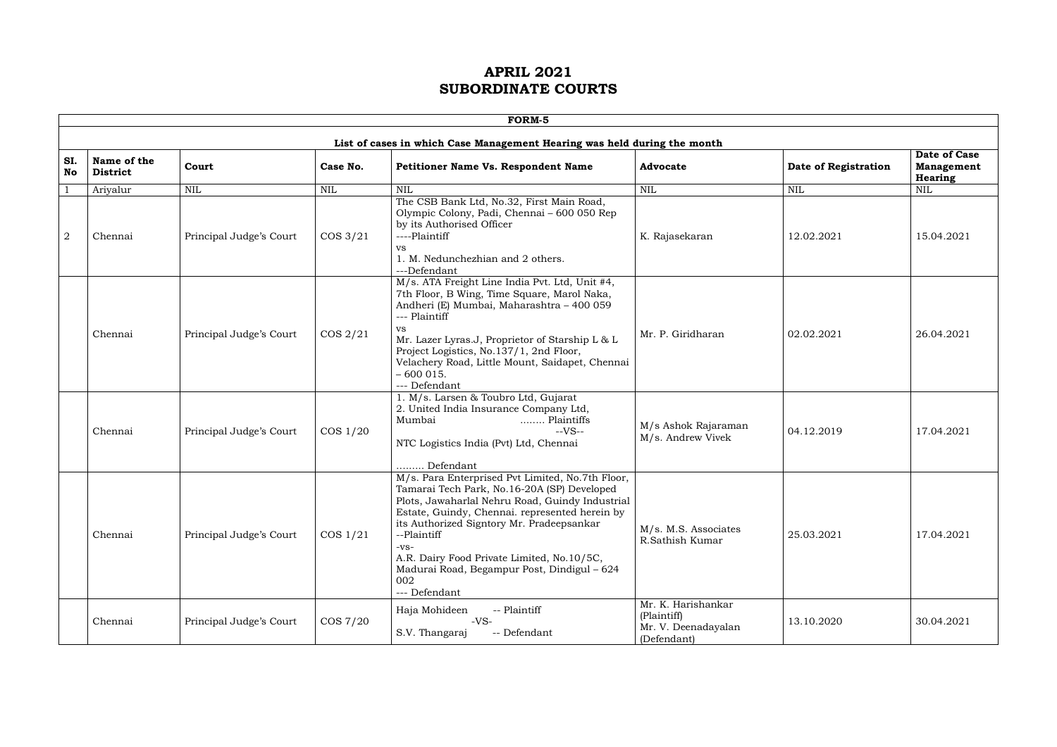| R<br>, , |  |
|----------|--|

|           |                                |                         |             | FORM-5                                                                                                                                                                                                                                                                                                                                                                                          |                                                                         |                      |                                              |
|-----------|--------------------------------|-------------------------|-------------|-------------------------------------------------------------------------------------------------------------------------------------------------------------------------------------------------------------------------------------------------------------------------------------------------------------------------------------------------------------------------------------------------|-------------------------------------------------------------------------|----------------------|----------------------------------------------|
|           |                                |                         |             | List of cases in which Case Management Hearing was held during the month                                                                                                                                                                                                                                                                                                                        |                                                                         |                      |                                              |
| SI.<br>No | Name of the<br><b>District</b> | Court                   | Case No.    | <b>Petitioner Name Vs. Respondent Name</b>                                                                                                                                                                                                                                                                                                                                                      | <b>Advocate</b>                                                         | Date of Registration | Date of Case<br><b>Management</b><br>Hearing |
|           | Ariyalur                       | <b>NIL</b>              | <b>NIL</b>  | <b>NIL</b>                                                                                                                                                                                                                                                                                                                                                                                      | $\mbox{NIL}$                                                            | <b>NIL</b>           | $\mbox{NIL}$                                 |
| 2         | Chennai                        | Principal Judge's Court | $\cos 3/21$ | The CSB Bank Ltd, No.32, First Main Road,<br>Olympic Colony, Padi, Chennai - 600 050 Rep<br>by its Authorised Officer<br>----Plaintiff<br><b>VS</b><br>1. M. Nedunchezhian and 2 others.<br>---Defendant                                                                                                                                                                                        | K. Rajasekaran                                                          | 12.02.2021           | 15.04.2021                                   |
|           | Chennai                        | Principal Judge's Court | $\cos 2/21$ | M/s. ATA Freight Line India Pvt. Ltd, Unit #4,<br>7th Floor, B Wing, Time Square, Marol Naka,<br>Andheri (E) Mumbai, Maharashtra - 400 059<br>--- Plaintiff<br><b>VS</b><br>Mr. Lazer Lyras.J, Proprietor of Starship L & L<br>Project Logistics, No.137/1, 2nd Floor,<br>Velachery Road, Little Mount, Saidapet, Chennai<br>$-600015.$<br>--- Defendant                                        | Mr. P. Giridharan                                                       | 02.02.2021           | 26.04.2021                                   |
|           | Chennai                        | Principal Judge's Court | $\cos 1/20$ | 1. M/s. Larsen & Toubro Ltd, Gujarat<br>2. United India Insurance Company Ltd,<br>Mumbai<br>Plaintiffs<br>$-VS-$<br>NTC Logistics India (Pvt) Ltd, Chennai<br>Defendant                                                                                                                                                                                                                         | M/s Ashok Rajaraman<br>M/s. Andrew Vivek                                | 04.12.2019           | 17.04.2021                                   |
|           | Chennai                        | Principal Judge's Court | $\cos 1/21$ | M/s. Para Enterprised Pvt Limited, No.7th Floor,<br>Tamarai Tech Park, No.16-20A (SP) Developed<br>Plots, Jawaharlal Nehru Road, Guindy Industrial<br>Estate, Guindy, Chennai. represented herein by<br>its Authorized Signtory Mr. Pradeepsankar<br>--Plaintiff<br>$-VS-$<br>A.R. Dairy Food Private Limited, No.10/5C,<br>Madurai Road, Begampur Post, Dindigul – 624<br>002<br>--- Defendant | M/s. M.S. Associates<br>R.Sathish Kumar                                 | 25.03.2021           | 17.04.2021                                   |
|           | Chennai                        | Principal Judge's Court | COS 7/20    | -- Plaintiff<br>Haja Mohideen<br>$-VS-$<br>-- Defendant<br>S.V. Thangaraj                                                                                                                                                                                                                                                                                                                       | Mr. K. Harishankar<br>(Plaintiff)<br>Mr. V. Deenadayalan<br>(Defendant) | 13.10.2020           | 30.04.2021                                   |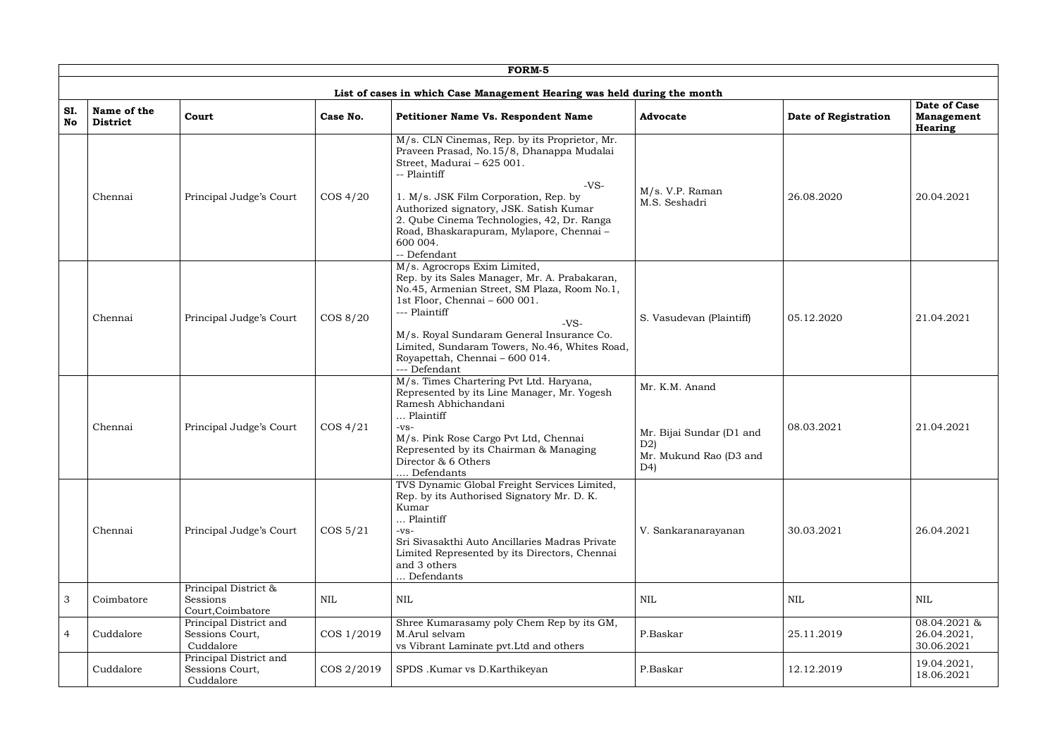|                |                                |                                                        |             | FORM-5                                                                                                                                                                                                                                                                                                                                                      |                                                                                   |                      |                                                     |
|----------------|--------------------------------|--------------------------------------------------------|-------------|-------------------------------------------------------------------------------------------------------------------------------------------------------------------------------------------------------------------------------------------------------------------------------------------------------------------------------------------------------------|-----------------------------------------------------------------------------------|----------------------|-----------------------------------------------------|
|                |                                |                                                        |             | List of cases in which Case Management Hearing was held during the month                                                                                                                                                                                                                                                                                    |                                                                                   |                      |                                                     |
| SI.<br>No      | Name of the<br><b>District</b> | Court                                                  | Case No.    | <b>Petitioner Name Vs. Respondent Name</b>                                                                                                                                                                                                                                                                                                                  | <b>Advocate</b>                                                                   | Date of Registration | Date of Case<br><b>Management</b><br><b>Hearing</b> |
|                | Chennai                        | Principal Judge's Court                                | $\cos 4/20$ | M/s. CLN Cinemas, Rep. by its Proprietor, Mr.<br>Praveen Prasad, No.15/8, Dhanappa Mudalai<br>Street, Madurai - 625 001.<br>-- Plaintiff<br>$-VS-$<br>1. M/s. JSK Film Corporation, Rep. by<br>Authorized signatory, JSK. Satish Kumar<br>2. Qube Cinema Technologies, 42, Dr. Ranga<br>Road, Bhaskarapuram, Mylapore, Chennai-<br>600 004.<br>-- Defendant | $M/s$ . V.P. Raman<br>M.S. Seshadri                                               | 26.08.2020           | 20.04.2021                                          |
|                | Chennai                        | Principal Judge's Court                                | COS 8/20    | M/s. Agrocrops Exim Limited,<br>Rep. by its Sales Manager, Mr. A. Prabakaran,<br>No.45, Armenian Street, SM Plaza, Room No.1,<br>1st Floor, Chennai - 600 001.<br>--- Plaintiff<br>$-VS-$<br>M/s. Royal Sundaram General Insurance Co.<br>Limited, Sundaram Towers, No.46, Whites Road,<br>Royapettah, Chennai - 600 014.<br>--- Defendant                  | S. Vasudevan (Plaintiff)                                                          | 05.12.2020           | 21.04.2021                                          |
|                | Chennai                        | Principal Judge's Court                                | $\cos 4/21$ | M/s. Times Chartering Pvt Ltd. Haryana,<br>Represented by its Line Manager, Mr. Yogesh<br>Ramesh Abhichandani<br>Plaintiff<br>$-VS-$<br>M/s. Pink Rose Cargo Pvt Ltd, Chennai<br>Represented by its Chairman & Managing<br>Director & 6 Others<br>Defendants                                                                                                | Mr. K.M. Anand<br>Mr. Bijai Sundar (D1 and<br>D2)<br>Mr. Mukund Rao (D3 and<br>D4 | 08.03.2021           | 21.04.2021                                          |
|                | Chennai                        | Principal Judge's Court                                | $\cos 5/21$ | TVS Dynamic Global Freight Services Limited,<br>Rep. by its Authorised Signatory Mr. D. K.<br>Kumar<br>Plaintiff<br>$-VS-$<br>Sri Sivasakthi Auto Ancillaries Madras Private<br>Limited Represented by its Directors, Chennai<br>and 3 others<br>. Defendants                                                                                               | V. Sankaranarayanan                                                               | 30.03.2021           | 26.04.2021                                          |
| 3              | Coimbatore                     | Principal District &<br>Sessions<br>Court, Coimbatore  | <b>NIL</b>  | <b>NIL</b>                                                                                                                                                                                                                                                                                                                                                  | <b>NIL</b>                                                                        | <b>NIL</b>           | <b>NIL</b>                                          |
| $\overline{4}$ | Cuddalore                      | Principal District and<br>Sessions Court,<br>Cuddalore | COS 1/2019  | Shree Kumarasamy poly Chem Rep by its GM,<br>M.Arul selvam<br>vs Vibrant Laminate pvt. Ltd and others                                                                                                                                                                                                                                                       | P.Baskar                                                                          | 25.11.2019           | 08.04.2021 &<br>26.04.2021,<br>30.06.2021           |
|                | Cuddalore                      | Principal District and<br>Sessions Court,<br>Cuddalore | COS 2/2019  | SPDS .Kumar vs D.Karthikeyan                                                                                                                                                                                                                                                                                                                                | P.Baskar                                                                          | 12.12.2019           | 19.04.2021,<br>18.06.2021                           |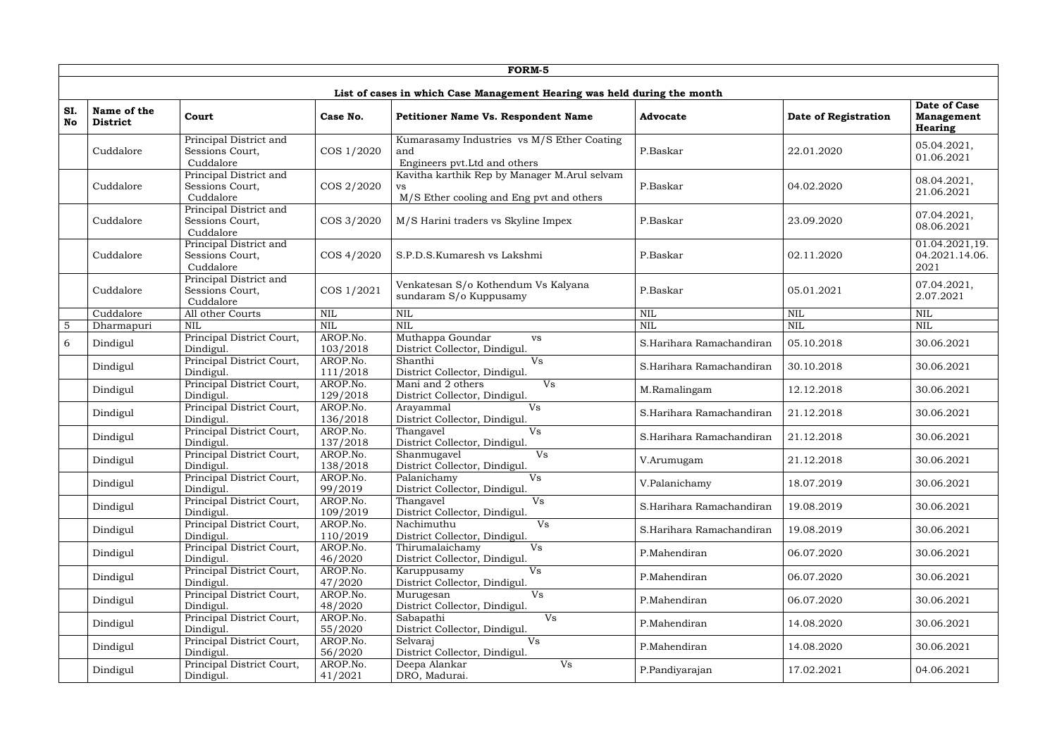|                |                                |                                                        |                      | FORM-5                                                                                          |                          |                      |                                              |
|----------------|--------------------------------|--------------------------------------------------------|----------------------|-------------------------------------------------------------------------------------------------|--------------------------|----------------------|----------------------------------------------|
|                |                                |                                                        |                      | List of cases in which Case Management Hearing was held during the month                        |                          |                      |                                              |
| SI.<br>No      | Name of the<br><b>District</b> | Court                                                  | Case No.             | <b>Petitioner Name Vs. Respondent Name</b>                                                      | <b>Advocate</b>          | Date of Registration | Date of Case<br><b>Management</b><br>Hearing |
|                | Cuddalore                      | Principal District and<br>Sessions Court,<br>Cuddalore | COS 1/2020           | Kumarasamy Industries vs M/S Ether Coating<br>and<br>Engineers pvt. Ltd and others              | P.Baskar                 | 22.01.2020           | 05.04.2021,<br>01.06.2021                    |
|                | Cuddalore                      | Principal District and<br>Sessions Court,<br>Cuddalore | COS 2/2020           | Kavitha karthik Rep by Manager M. Arul selvam<br>VS<br>M/S Ether cooling and Eng pvt and others | P.Baskar                 | 04.02.2020           | 08.04.2021,<br>21.06.2021                    |
|                | Cuddalore                      | Principal District and<br>Sessions Court,<br>Cuddalore | COS 3/2020           | M/S Harini traders vs Skyline Impex                                                             | P.Baskar                 | 23.09.2020           | 07.04.2021,<br>08.06.2021                    |
|                | Cuddalore                      | Principal District and<br>Sessions Court,<br>Cuddalore | COS 4/2020           | S.P.D.S.Kumaresh vs Lakshmi                                                                     | P.Baskar                 | 02.11.2020           | 01.04.2021,19.<br>04.2021.14.06.<br>2021     |
|                | Cuddalore                      | Principal District and<br>Sessions Court,<br>Cuddalore | COS 1/2021           | Venkatesan S/o Kothendum Vs Kalyana<br>sundaram S/o Kuppusamy                                   | P.Baskar                 | 05.01.2021           | 07.04.2021,<br>2.07.2021                     |
|                | Cuddalore                      | All other Courts                                       | <b>NIL</b>           | <b>NIL</b>                                                                                      | <b>NIL</b>               | NIL                  | <b>NIL</b>                                   |
| $\overline{5}$ | Dharmapuri                     | <b>NIL</b>                                             | <b>NIL</b>           | <b>NIL</b>                                                                                      | <b>NIL</b>               | <b>NIL</b>           | $\mbox{NIL}$                                 |
| 6              | Dindigul                       | Principal District Court,<br>Dindigul.                 | AROP.No.<br>103/2018 | Muthappa Goundar<br><b>VS</b><br>District Collector, Dindigul.                                  | S.Harihara Ramachandiran | 05.10.2018           | 30.06.2021                                   |
|                | Dindigul                       | Principal District Court,<br>Dindigul.                 | AROP.No.<br>111/2018 | V <sub>S</sub><br>Shanthi<br>District Collector, Dindigul.                                      | S.Harihara Ramachandiran | 30.10.2018           | 30.06.2021                                   |
|                | Dindigul                       | Principal District Court,<br>Dindigul.                 | AROP.No.<br>129/2018 | <b>Vs</b><br>Mani and 2 others<br>District Collector, Dindigul.                                 | M.Ramalingam             | 12.12.2018           | 30.06.2021                                   |
|                | Dindigul                       | Principal District Court,<br>Dindigul.                 | AROP.No.<br>136/2018 | Vs<br>Arayammal<br>District Collector, Dindigul.                                                | S.Harihara Ramachandiran | 21.12.2018           | 30.06.2021                                   |
|                | Dindigul                       | Principal District Court,<br>Dindigul.                 | AROP.No.<br>137/2018 | <b>Vs</b><br>Thangavel<br>District Collector, Dindigul.                                         | S.Harihara Ramachandiran | 21.12.2018           | 30.06.2021                                   |
|                | Dindigul                       | Principal District Court,<br>Dindigul.                 | AROP.No.<br>138/2018 | Vs<br>Shanmugavel<br>District Collector, Dindigul.                                              | V.Arumugam               | 21.12.2018           | 30.06.2021                                   |
|                | Dindigul                       | Principal District Court,<br>Dindigul.                 | AROP.No.<br>99/2019  | Palanichamy<br>Vs<br>District Collector, Dindigul.                                              | V.Palanichamy            | 18.07.2019           | 30.06.2021                                   |
|                | Dindigul                       | Principal District Court,<br>Dindigul.                 | AROP.No.<br>109/2019 | Vs<br>Thangavel<br>District Collector, Dindigul.                                                | S.Harihara Ramachandiran | 19.08.2019           | 30.06.2021                                   |
|                | Dindigul                       | Principal District Court,<br>Dindigul.                 | AROP.No.<br>110/2019 | Vs<br>Nachimuthu<br>District Collector, Dindigul.                                               | S.Harihara Ramachandiran | 19.08.2019           | 30.06.2021                                   |
|                | Dindigul                       | Principal District Court,<br>Dindigul.                 | AROP.No.<br>46/2020  | Vs<br>Thirumalaichamy<br>District Collector, Dindigul.                                          | P.Mahendiran             | 06.07.2020           | 30.06.2021                                   |
|                | Dindigul                       | Principal District Court,<br>Dindigul.                 | AROP.No.<br>47/2020  | Vs<br>Karuppusamy<br>District Collector, Dindigul.                                              | P.Mahendiran             | 06.07.2020           | 30.06.2021                                   |
|                | Dindigul                       | Principal District Court,<br>Dindigul.                 | AROP.No.<br>48/2020  | Vs<br>Murugesan<br>District Collector, Dindigul.                                                | P.Mahendiran             | 06.07.2020           | 30.06.2021                                   |
|                | Dindigul                       | Principal District Court,<br>Dindigul.                 | AROP.No.<br>55/2020  | <b>Vs</b><br>Sabapathi<br>District Collector, Dindigul.                                         | P.Mahendiran             | 14.08.2020           | 30.06.2021                                   |
|                | Dindigul                       | Principal District Court,<br>Dindigul.                 | AROP.No.<br>56/2020  | Vs<br>Selvaraj<br>District Collector, Dindigul.                                                 | P.Mahendiran             | 14.08.2020           | 30.06.2021                                   |
|                | Dindigul                       | Principal District Court,<br>Dindigul.                 | AROP.No.<br>41/2021  | Vs<br>Deepa Alankar<br>DRO, Madurai.                                                            | P.Pandiyarajan           | 17.02.2021           | 04.06.2021                                   |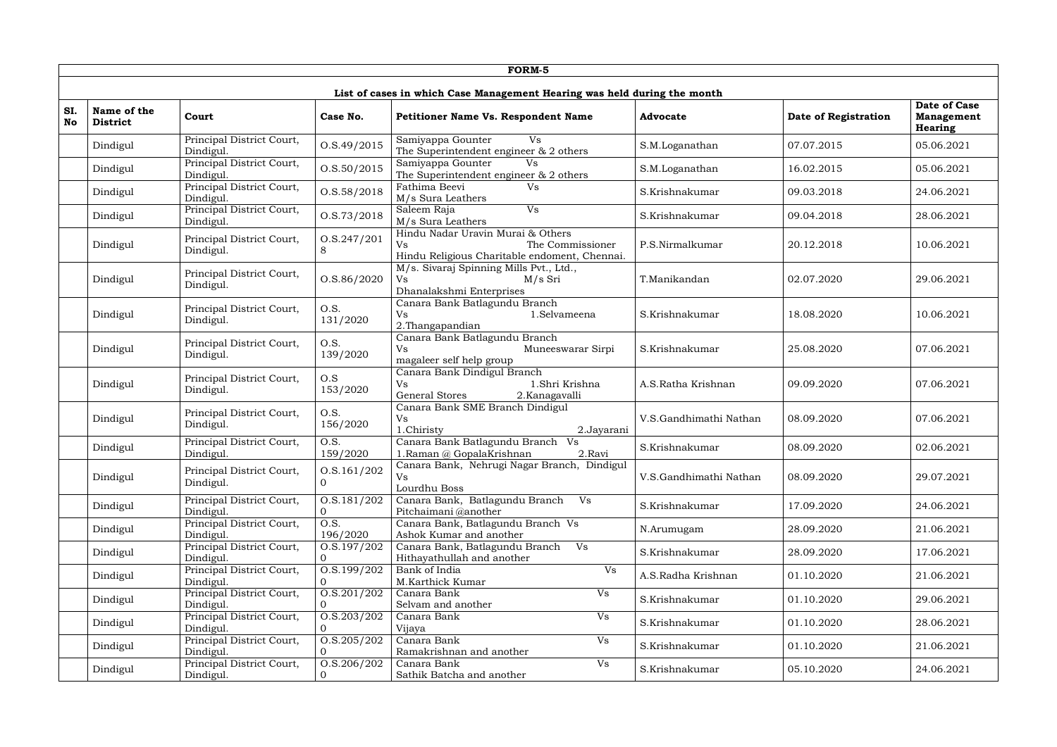|           |                                |                                        |                             | FORM-5                                                                                                              |                        |                      |                                                            |
|-----------|--------------------------------|----------------------------------------|-----------------------------|---------------------------------------------------------------------------------------------------------------------|------------------------|----------------------|------------------------------------------------------------|
|           |                                |                                        |                             | List of cases in which Case Management Hearing was held during the month                                            |                        |                      |                                                            |
| SI.<br>No | Name of the<br><b>District</b> | Court                                  | Case No.                    | Petitioner Name Vs. Respondent Name                                                                                 | <b>Advocate</b>        | Date of Registration | <b>Date of Case</b><br><b>Management</b><br><b>Hearing</b> |
|           | Dindigul                       | Principal District Court,<br>Dindigul. | 0. S.49 / 2015              | Samiyappa Gounter<br><b>Vs</b><br>The Superintendent engineer & 2 others                                            | S.M.Loganathan         | 07.07.2015           | 05.06.2021                                                 |
|           | Dindigul                       | Principal District Court,<br>Dindigul. | 0. S. 50 / 2015             | Samiyappa Gounter<br>Vs<br>The Superintendent engineer & 2 others                                                   | S.M.Loganathan         | 16.02.2015           | 05.06.2021                                                 |
|           | Dindigul                       | Principal District Court,<br>Dindigul. | 0. S. 58 / 2018             | Fathima Beevi<br><b>Vs</b><br>M/s Sura Leathers                                                                     | S.Krishnakumar         | 09.03.2018           | 24.06.2021                                                 |
|           | Dindigul                       | Principal District Court,<br>Dindigul. | 0. S. 73 / 2018             | Vs<br>Saleem Raja<br>M/s Sura Leathers                                                                              | S.Krishnakumar         | 09.04.2018           | 28.06.2021                                                 |
|           | Dindigul                       | Principal District Court,<br>Dindigul. | 0. S. 247 / 201<br>8        | Hindu Nadar Uravin Murai & Others<br><b>Vs</b><br>The Commissioner<br>Hindu Religious Charitable endoment, Chennai. | P.S.Nirmalkumar        | 20.12.2018           | 10.06.2021                                                 |
|           | Dindigul                       | Principal District Court,<br>Dindigul. | O.S.86/2020                 | M/s. Sivaraj Spinning Mills Pvt., Ltd.,<br><b>Vs</b><br>M/s Sri<br>Dhanalakshmi Enterprises                         | T.Manikandan           | 02.07.2020           | 29.06.2021                                                 |
|           | Dindigul                       | Principal District Court,<br>Dindigul. | O.S.<br>131/2020            | Canara Bank Batlagundu Branch<br><b>Vs</b><br>1.Selvameena<br>2. Thangapandian                                      | S.Krishnakumar         | 18.08.2020           | 10.06.2021                                                 |
|           | Dindigul                       | Principal District Court,<br>Dindigul. | O.S.<br>139/2020            | Canara Bank Batlagundu Branch<br>Vs<br>Muneeswarar Sirpi<br>magaleer self help group                                | S.Krishnakumar         | 25.08.2020           | 07.06.2021                                                 |
|           | Dindigul                       | Principal District Court,<br>Dindigul. | O.S<br>153/2020             | Canara Bank Dindigul Branch<br>1.Shri Krishna<br><b>Vs</b><br><b>General Stores</b><br>2.Kanagavalli                | A.S.Ratha Krishnan     | 09.09.2020           | 07.06.2021                                                 |
|           | Dindigul                       | Principal District Court,<br>Dindigul. | O.S.<br>156/2020            | Canara Bank SME Branch Dindigul<br>Vs<br>1.Chiristy<br>2.Jayarani                                                   | V.S.Gandhimathi Nathan | 08.09.2020           | 07.06.2021                                                 |
|           | Dindigul                       | Principal District Court,<br>Dindigul. | O.S.<br>159/2020            | Canara Bank Batlagundu Branch<br>Vs<br>1. Raman @ GopalaKrishnan<br>2.Ravi                                          | S.Krishnakumar         | 08.09.2020           | 02.06.2021                                                 |
|           | Dindigul                       | Principal District Court,<br>Dindigul. | 0. S. 161 / 202<br>$\Omega$ | Canara Bank, Nehrugi Nagar Branch, Dindigul<br>Vs.<br>Lourdhu Boss                                                  | V.S.Gandhimathi Nathan | 08.09.2020           | 29.07.2021                                                 |
|           | Dindigul                       | Principal District Court,<br>Dindigul. | O.S.181/202<br>$\Omega$     | Canara Bank, Batlagundu Branch<br>V <sub>S</sub><br>Pitchaimani @another                                            | S.Krishnakumar         | 17.09.2020           | 24.06.2021                                                 |
|           | Dindigul                       | Principal District Court,<br>Dindigul. | O.S.<br>196/2020            | Canara Bank, Batlagundu Branch Vs<br>Ashok Kumar and another                                                        | N.Arumugam             | 28.09.2020           | 21.06.2021                                                 |
|           | Dindigul                       | Principal District Court,<br>Dindigul. | 0. S. 197 / 202<br>$\Omega$ | Canara Bank, Batlagundu Branch<br>V <sub>S</sub><br>Hithayathullah and another                                      | S.Krishnakumar         | 28.09.2020           | 17.06.2021                                                 |
|           | Dindigul                       | Principal District Court,<br>Dindigul. | 0. S. 199 / 202<br>$\Omega$ | Bank of India<br><b>Vs</b><br>M.Karthick Kumar                                                                      | A.S.Radha Krishnan     | 01.10.2020           | 21.06.2021                                                 |
|           | Dindigul                       | Principal District Court,<br>Dindigul. | 0. S. 201 / 202<br>$\Omega$ | Canara Bank<br>Vs<br>Selvam and another                                                                             | S.Krishnakumar         | 01.10.2020           | 29.06.2021                                                 |
|           | Dindigul                       | Principal District Court,<br>Dindigul. | O.S.203/202<br>$\Omega$     | Vs<br>Canara Bank<br>Vijaya                                                                                         | S.Krishnakumar         | 01.10.2020           | 28.06.2021                                                 |
|           | Dindigul                       | Principal District Court,<br>Dindigul. | O.S.205/202<br>$\Omega$     | Canara Bank<br>Vs<br>Ramakrishnan and another                                                                       | S.Krishnakumar         | 01.10.2020           | 21.06.2021                                                 |
|           | Dindigul                       | Principal District Court,<br>Dindigul. | O.S.206/202<br>$\mathbf{0}$ | Canara Bank<br>Vs<br>Sathik Batcha and another                                                                      | S.Krishnakumar         | 05.10.2020           | 24.06.2021                                                 |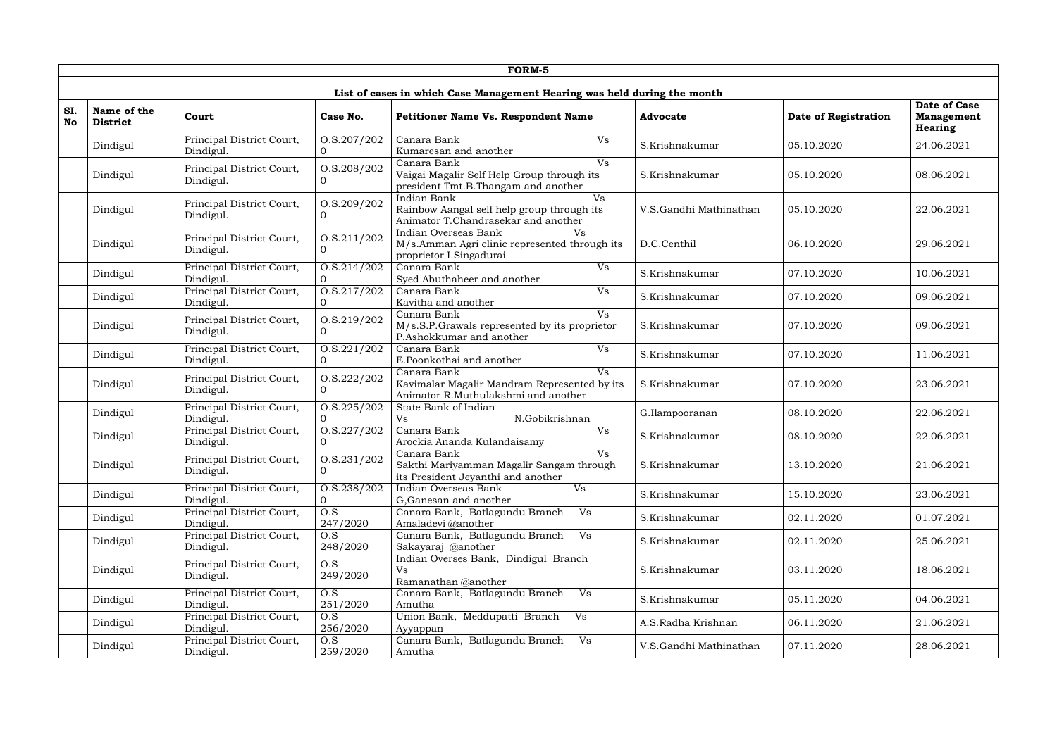|                  |                                |                                        |                                   | FORM-5                                                                                                          |                        |                      |                                                     |
|------------------|--------------------------------|----------------------------------------|-----------------------------------|-----------------------------------------------------------------------------------------------------------------|------------------------|----------------------|-----------------------------------------------------|
|                  |                                |                                        |                                   | List of cases in which Case Management Hearing was held during the month                                        |                        |                      |                                                     |
| SI.<br><b>No</b> | Name of the<br><b>District</b> | Court                                  | Case No.                          | <b>Petitioner Name Vs. Respondent Name</b>                                                                      | <b>Advocate</b>        | Date of Registration | <b>Date of Case</b><br><b>Management</b><br>Hearing |
|                  | Dindigul                       | Principal District Court,<br>Dindigul. | 0. S. 207 / 202                   | Canara Bank<br>Vs<br>Kumaresan and another                                                                      | S.Krishnakumar         | 05.10.2020           | 24.06.2021                                          |
|                  | Dindigul                       | Principal District Court,<br>Dindigul. | O.S.208/202<br>0                  | <b>Vs</b><br>Canara Bank<br>Vaigai Magalir Self Help Group through its<br>president Tmt.B.Thangam and another   | S.Krishnakumar         | 05.10.2020           | 08.06.2021                                          |
|                  | Dindigul                       | Principal District Court,<br>Dindigul. | 0. S. 209 / 202                   | Indian Bank<br><b>Vs</b><br>Rainbow Aangal self help group through its<br>Animator T.Chandrasekar and another   | V.S.Gandhi Mathinathan | 05.10.2020           | 22.06.2021                                          |
|                  | Dindigul                       | Principal District Court,<br>Dindigul. | 0. S. 211/202                     | Indian Overseas Bank<br>Vs<br>M/s.Amman Agri clinic represented through its<br>proprietor I.Singadurai          | D.C.Centhil            | 06.10.2020           | 29.06.2021                                          |
|                  | Dindigul                       | Principal District Court,<br>Dindigul. | 0. S. 214 / 202                   | <b>Vs</b><br>Canara Bank<br>Syed Abuthaheer and another                                                         | S.Krishnakumar         | 07.10.2020           | 10.06.2021                                          |
|                  | Dindigul                       | Principal District Court,<br>Dindigul. | 0. S. 217 / 202                   | Canara Bank<br>Vs<br>Kavitha and another                                                                        | S.Krishnakumar         | 07.10.2020           | 09.06.2021                                          |
|                  | Dindigul                       | Principal District Court,<br>Dindigul. | O.S.219/202                       | Canara Bank<br><b>Vs</b><br>M/s.S.P.Grawals represented by its proprietor<br>P.Ashokkumar and another           | S.Krishnakumar         | 07.10.2020           | 09.06.2021                                          |
|                  | Dindigul                       | Principal District Court,<br>Dindigul. | 0. S. 221 / 202<br>$\Omega$       | Canara Bank<br>Vs<br>E.Poonkothai and another                                                                   | S.Krishnakumar         | 07.10.2020           | 11.06.2021                                          |
|                  | Dindigul                       | Principal District Court,<br>Dindigul. | 0. S. 222 / 202<br>$\overline{0}$ | Canara Bank<br><b>Vs</b><br>Kavimalar Magalir Mandram Represented by its<br>Animator R.Muthulakshmi and another | S.Krishnakumar         | 07.10.2020           | 23.06.2021                                          |
|                  | Dindigul                       | Principal District Court,<br>Dindigul. | 0.8.225/202                       | State Bank of Indian<br><b>Vs</b><br>N.Gobikrishnan                                                             | G.Ilampooranan         | 08.10.2020           | 22.06.2021                                          |
|                  | Dindigul                       | Principal District Court,<br>Dindigul. | 0. S. 227 / 202                   | Canara Bank<br>Vs<br>Arockia Ananda Kulandaisamy                                                                | S.Krishnakumar         | 08.10.2020           | 22.06.2021                                          |
|                  | Dindigul                       | Principal District Court,<br>Dindigul. | 0. S. 231 / 202                   | <b>Vs</b><br>Canara Bank<br>Sakthi Mariyamman Magalir Sangam through<br>its President Jeyanthi and another      | S.Krishnakumar         | 13.10.2020           | 21.06.2021                                          |
|                  | Dindigul                       | Principal District Court,<br>Dindigul. | 0. S. 238 / 202<br>$\Omega$       | Vs<br>Indian Overseas Bank<br>G, Ganesan and another                                                            | S.Krishnakumar         | 15.10.2020           | 23.06.2021                                          |
|                  | Dindigul                       | Principal District Court,<br>Dindigul. | O.S<br>247/2020                   | Canara Bank, Batlagundu Branch<br>Vs<br>Amaladevi @another                                                      | S.Krishnakumar         | 02.11.2020           | 01.07.2021                                          |
|                  | Dindigul                       | Principal District Court,<br>Dindigul. | O.S<br>248/2020                   | Canara Bank, Batlagundu Branch Vs<br>Sakayaraj @another                                                         | S.Krishnakumar         | 02.11.2020           | 25.06.2021                                          |
|                  | Dindigul                       | Principal District Court,<br>Dindigul. | O.S<br>249/2020                   | Indian Overses Bank, Dindigul Branch<br><b>Vs</b><br>Ramanathan @another                                        | S.Krishnakumar         | 03.11.2020           | 18.06.2021                                          |
|                  | Dindigul                       | Principal District Court,<br>Dindigul. | O.S<br>251/2020                   | Canara Bank, Batlagundu Branch<br>V <sub>S</sub><br>Amutha                                                      | S.Krishnakumar         | 05.11.2020           | 04.06.2021                                          |
|                  | Dindigul                       | Principal District Court,<br>Dindigul. | O.S<br>256/2020                   | Union Bank, Meddupatti Branch<br>Vs<br>Ayyappan                                                                 | A.S.Radha Krishnan     | 06.11.2020           | 21.06.2021                                          |
|                  | Dindigul                       | Principal District Court,<br>Dindigul. | O.S<br>259/2020                   | Canara Bank, Batlagundu Branch<br>Vs<br>Amutha                                                                  | V.S.Gandhi Mathinathan | 07.11.2020           | 28.06.2021                                          |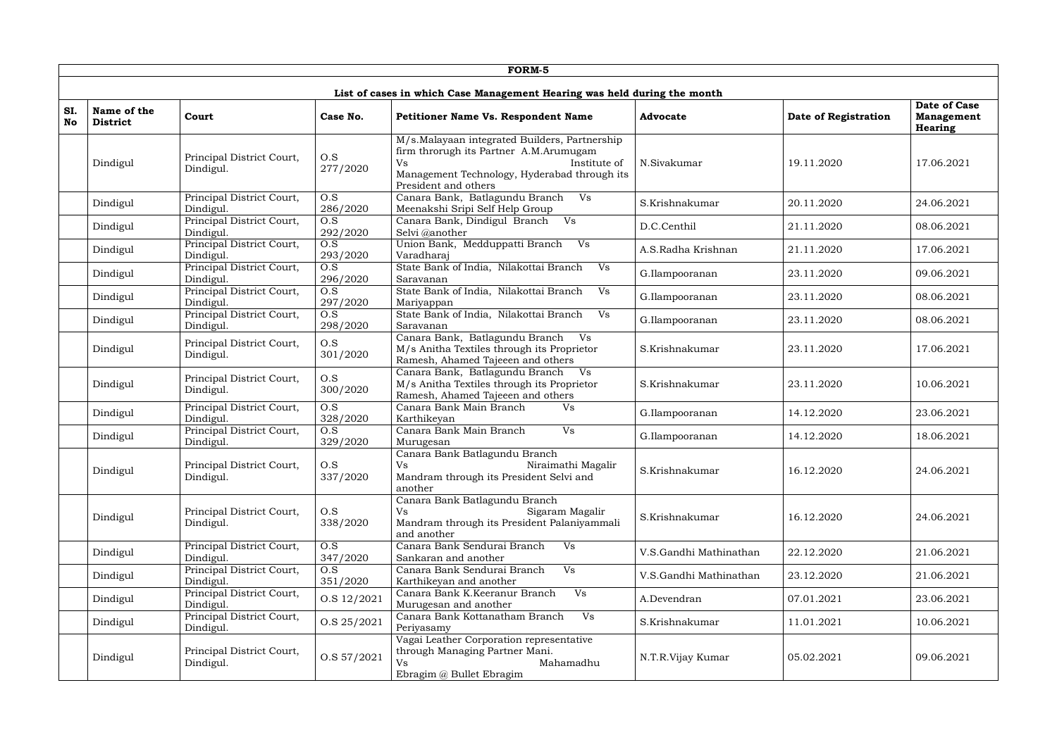|                  | FORM-5                         |                                        |                              |                                                                                                                                                                                              |                        |                      |                                              |  |  |  |
|------------------|--------------------------------|----------------------------------------|------------------------------|----------------------------------------------------------------------------------------------------------------------------------------------------------------------------------------------|------------------------|----------------------|----------------------------------------------|--|--|--|
|                  |                                |                                        |                              | List of cases in which Case Management Hearing was held during the month                                                                                                                     |                        |                      |                                              |  |  |  |
| SI.<br><b>No</b> | Name of the<br><b>District</b> | Court                                  | Case No.                     | Petitioner Name Vs. Respondent Name                                                                                                                                                          | <b>Advocate</b>        | Date of Registration | Date of Case<br><b>Management</b><br>Hearing |  |  |  |
|                  | Dindigul                       | Principal District Court,<br>Dindigul. | O.S<br>277/2020              | M/s.Malayaan integrated Builders, Partnership<br>firm throrugh its Partner A.M.Arumugam<br>Institute of<br><b>Vs</b><br>Management Technology, Hyderabad through its<br>President and others | N.Sivakumar            | 19.11.2020           | 17.06.2021                                   |  |  |  |
|                  | Dindigul                       | Principal District Court,<br>Dindigul. | O.S<br>286/2020              | Canara Bank, Batlagundu Branch<br>Vs<br>Meenakshi Sripi Self Help Group                                                                                                                      | S.Krishnakumar         | 20.11.2020           | 24.06.2021                                   |  |  |  |
|                  | Dindigul                       | Principal District Court,<br>Dindigul. | O.S<br>292/2020              | Canara Bank, Dindigul Branch Vs<br>Selvi @another                                                                                                                                            | D.C.Centhil            | 21.11.2020           | 08.06.2021                                   |  |  |  |
|                  | Dindigul                       | Principal District Court,<br>Dindigul. | O.S<br>293/2020              | Union Bank, Medduppatti Branch<br>V <sub>S</sub><br>Varadharaj                                                                                                                               | A.S.Radha Krishnan     | 21.11.2020           | 17.06.2021                                   |  |  |  |
|                  | Dindigul                       | Principal District Court,<br>Dindigul. | $\overline{O.S}$<br>296/2020 | State Bank of India, Nilakottai Branch<br>Vs<br>Saravanan                                                                                                                                    | G.Ilampooranan         | 23.11.2020           | 09.06.2021                                   |  |  |  |
|                  | Dindigul                       | Principal District Court,<br>Dindigul. | O.S<br>297/2020              | State Bank of India, Nilakottai Branch<br>Vs<br>Mariyappan                                                                                                                                   | G.Ilampooranan         | 23.11.2020           | 08.06.2021                                   |  |  |  |
|                  | Dindigul                       | Principal District Court,<br>Dindigul. | O.S<br>298/2020              | State Bank of India, Nilakottai Branch<br>Vs<br>Saravanan                                                                                                                                    | G.Ilampooranan         | 23.11.2020           | 08.06.2021                                   |  |  |  |
|                  | Dindigul                       | Principal District Court,<br>Dindigul. | O.S<br>301/2020              | Canara Bank, Batlagundu Branch Vs<br>M/s Anitha Textiles through its Proprietor<br>Ramesh, Ahamed Tajeeen and others                                                                         | S.Krishnakumar         | 23.11.2020           | 17.06.2021                                   |  |  |  |
|                  | Dindigul                       | Principal District Court,<br>Dindigul. | O.S<br>300/2020              | Canara Bank, Batlagundu Branch<br>Vs<br>M/s Anitha Textiles through its Proprietor<br>Ramesh, Ahamed Tajeeen and others                                                                      | S.Krishnakumar         | 23.11.2020           | 10.06.2021                                   |  |  |  |
|                  | Dindigul                       | Principal District Court,<br>Dindigul. | $\overline{O.S}$<br>328/2020 | Canara Bank Main Branch<br>Vs<br>Karthikeyan                                                                                                                                                 | G.Ilampooranan         | 14.12.2020           | 23.06.2021                                   |  |  |  |
|                  | Dindigul                       | Principal District Court,<br>Dindigul. | O.S<br>329/2020              | Canara Bank Main Branch<br>Vs<br>Murugesan                                                                                                                                                   | G.Ilampooranan         | 14.12.2020           | 18.06.2021                                   |  |  |  |
|                  | Dindigul                       | Principal District Court,<br>Dindigul. | O.S<br>337/2020              | Canara Bank Batlagundu Branch<br><b>Vs</b><br>Niraimathi Magalir<br>Mandram through its President Selvi and<br>another                                                                       | S.Krishnakumar         | 16.12.2020           | 24.06.2021                                   |  |  |  |
|                  | Dindigul                       | Principal District Court,<br>Dindigul. | O.S<br>338/2020              | Canara Bank Batlagundu Branch<br>Sigaram Magalir<br>Vs<br>Mandram through its President Palaniyammali<br>and another                                                                         | S.Krishnakumar         | 16.12.2020           | 24.06.2021                                   |  |  |  |
|                  | Dindigul                       | Principal District Court,<br>Dindigul. | O.S<br>347/2020              | Canara Bank Sendurai Branch<br>Vs<br>Sankaran and another                                                                                                                                    | V.S.Gandhi Mathinathan | 22.12.2020           | 21.06.2021                                   |  |  |  |
|                  | Dindigul                       | Principal District Court,<br>Dindigul. | O.S<br>351/2020              | Canara Bank Sendurai Branch<br>Vs<br>Karthikeyan and another                                                                                                                                 | V.S.Gandhi Mathinathan | 23.12.2020           | 21.06.2021                                   |  |  |  |
|                  | Dindigul                       | Principal District Court,<br>Dindigul. | O.S 12/2021                  | Vs<br>Canara Bank K.Keeranur Branch<br>Murugesan and another                                                                                                                                 | A.Devendran            | 07.01.2021           | 23.06.2021                                   |  |  |  |
|                  | Dindigul                       | Principal District Court,<br>Dindigul. | O.S 25/2021                  | <b>Vs</b><br>Canara Bank Kottanatham Branch<br>Periyasamy                                                                                                                                    | S.Krishnakumar         | 11.01.2021           | 10.06.2021                                   |  |  |  |
|                  | Dindigul                       | Principal District Court,<br>Dindigul. | O.S 57/2021                  | Vagai Leather Corporation representative<br>through Managing Partner Mani.<br><b>Vs</b><br>Mahamadhu<br>Ebragim @ Bullet Ebragim                                                             | N.T.R.Vijay Kumar      | 05.02.2021           | 09.06.2021                                   |  |  |  |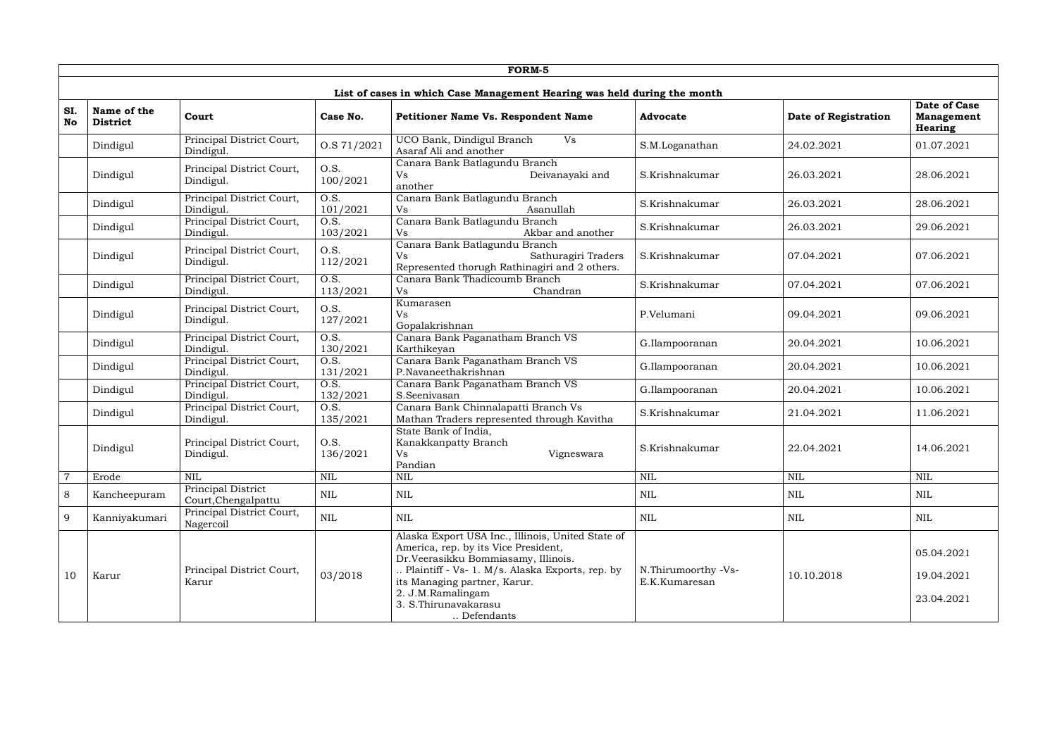|                  | FORM-5                         |                                           |                               |                                                                                                                                                                                                                                                                                |                                      |                      |                                                     |  |  |  |  |
|------------------|--------------------------------|-------------------------------------------|-------------------------------|--------------------------------------------------------------------------------------------------------------------------------------------------------------------------------------------------------------------------------------------------------------------------------|--------------------------------------|----------------------|-----------------------------------------------------|--|--|--|--|
|                  |                                |                                           |                               | List of cases in which Case Management Hearing was held during the month                                                                                                                                                                                                       |                                      |                      |                                                     |  |  |  |  |
| SI.<br><b>No</b> | Name of the<br><b>District</b> | Court                                     | Case No.                      | Petitioner Name Vs. Respondent Name                                                                                                                                                                                                                                            | <b>Advocate</b>                      | Date of Registration | Date of Case<br><b>Management</b><br><b>Hearing</b> |  |  |  |  |
|                  | Dindigul                       | Principal District Court,<br>Dindigul.    | O.S 71/2021                   | UCO Bank, Dindigul Branch<br><b>Vs</b><br>Asaraf Ali and another                                                                                                                                                                                                               | S.M.Loganathan                       | 24.02.2021           | 01.07.2021                                          |  |  |  |  |
|                  | Dindigul                       | Principal District Court,<br>Dindigul.    | O.S.<br>100/2021              | Canara Bank Batlagundu Branch<br>Deivanayaki and<br>Vs<br>another                                                                                                                                                                                                              | S.Krishnakumar                       | 26.03.2021           | 28.06.2021                                          |  |  |  |  |
|                  | Dindigul                       | Principal District Court,<br>Dindigul.    | O.S.<br>101/2021              | Canara Bank Batlagundu Branch<br>Asanullah<br><b>Vs</b>                                                                                                                                                                                                                        | S.Krishnakumar                       | 26.03.2021           | 28.06.2021                                          |  |  |  |  |
|                  | Dindigul                       | Principal District Court,<br>Dindigul.    | $\overline{O.S.}$<br>103/2021 | Canara Bank Batlagundu Branch<br>Akbar and another<br><b>Vs</b>                                                                                                                                                                                                                | S.Krishnakumar                       | 26.03.2021           | 29.06.2021                                          |  |  |  |  |
|                  | Dindigul                       | Principal District Court,<br>Dindigul.    | O.S.<br>112/2021              | Canara Bank Batlagundu Branch<br><b>Vs</b><br>Sathuragiri Traders<br>Represented thorugh Rathinagiri and 2 others.                                                                                                                                                             | S.Krishnakumar                       | 07.04.2021           | 07.06.2021                                          |  |  |  |  |
|                  | Dindigul                       | Principal District Court,<br>Dindigul.    | $\overline{O.S.}$<br>113/2021 | Canara Bank Thadicoumb Branch<br>Vs<br>Chandran                                                                                                                                                                                                                                | S.Krishnakumar                       | 07.04.2021           | 07.06.2021                                          |  |  |  |  |
|                  | Dindigul                       | Principal District Court,<br>Dindigul.    | O.S.<br>127/2021              | Kumarasen<br><b>Vs</b><br>Gopalakrishnan                                                                                                                                                                                                                                       | P.Velumani                           | 09.04.2021           | 09.06.2021                                          |  |  |  |  |
|                  | Dindigul                       | Principal District Court,<br>Dindigul.    | O.S.<br>130/2021              | Canara Bank Paganatham Branch VS<br>Karthikeyan                                                                                                                                                                                                                                | G.Ilampooranan                       | 20.04.2021           | 10.06.2021                                          |  |  |  |  |
|                  | Dindigul                       | Principal District Court,<br>Dindigul.    | $\overline{O.S.}$<br>131/2021 | Canara Bank Paganatham Branch VS<br>P.Navaneethakrishnan                                                                                                                                                                                                                       | G.Ilampooranan                       | 20.04.2021           | 10.06.2021                                          |  |  |  |  |
|                  | Dindigul                       | Principal District Court,<br>Dindigul.    | O.S.<br>132/2021              | Canara Bank Paganatham Branch VS<br>S.Seenivasan                                                                                                                                                                                                                               | G.Ilampooranan                       | 20.04.2021           | 10.06.2021                                          |  |  |  |  |
|                  | Dindigul                       | Principal District Court,<br>Dindigul.    | $\overline{O.S.}$<br>135/2021 | Canara Bank Chinnalapatti Branch Vs<br>Mathan Traders represented through Kavitha                                                                                                                                                                                              | S.Krishnakumar                       | 21.04.2021           | 11.06.2021                                          |  |  |  |  |
|                  | Dindigul                       | Principal District Court,<br>Dindigul.    | O.S.<br>136/2021              | State Bank of India,<br>Kanakkanpatty Branch<br><b>Vs</b><br>Vigneswara<br>Pandian                                                                                                                                                                                             | S.Krishnakumar                       | 22.04.2021           | 14.06.2021                                          |  |  |  |  |
| $\overline{7}$   | Erode                          | <b>NIL</b>                                | $\mbox{NIL}$                  | $\mbox{NIL}$                                                                                                                                                                                                                                                                   | $\mbox{NIL}$                         | <b>NIL</b>           | <b>NIL</b>                                          |  |  |  |  |
| 8                | Kancheepuram                   | Principal District<br>Court, Chengalpattu | <b>NIL</b>                    | <b>NIL</b>                                                                                                                                                                                                                                                                     | <b>NIL</b>                           | NIL                  | $\mbox{NIL}$                                        |  |  |  |  |
| 9                | Kanniyakumari                  | Principal District Court,<br>Nagercoil    | $\mbox{NIL}$                  | <b>NIL</b>                                                                                                                                                                                                                                                                     | <b>NIL</b>                           | NIL                  | <b>NIL</b>                                          |  |  |  |  |
| 10               | Karur                          | Principal District Court,<br>Karur        | 03/2018                       | Alaska Export USA Inc., Illinois, United State of<br>America, rep. by its Vice President,<br>Dr.Veerasikku Bommiasamy, Illinois.<br>Plaintiff - Vs- 1. M/s. Alaska Exports, rep. by<br>its Managing partner, Karur.<br>2. J.M.Ramalingam<br>3. S.Thirunavakarasu<br>Defendants | N.Thirumoorthy -Vs-<br>E.K.Kumaresan | 10.10.2018           | 05.04.2021<br>19.04.2021<br>23.04.2021              |  |  |  |  |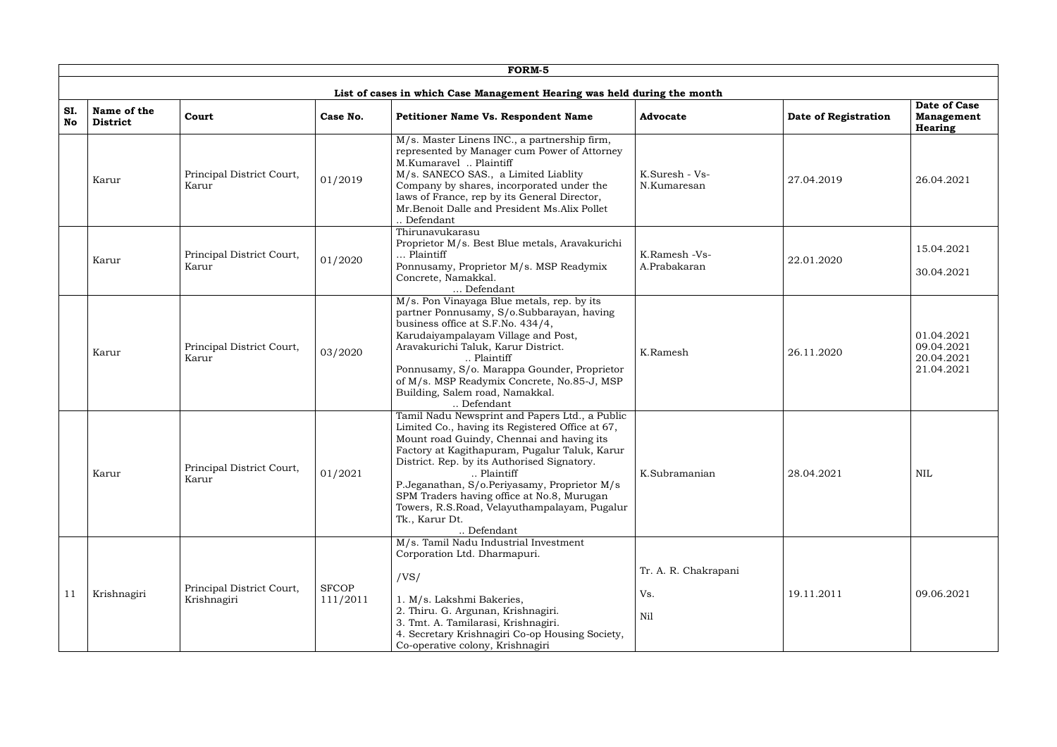|           |                                |                                          |                          | <b>FORM-5</b>                                                                                                                                                                                                                                                                                                                                                                                                                             |                                    |                      |                                                      |
|-----------|--------------------------------|------------------------------------------|--------------------------|-------------------------------------------------------------------------------------------------------------------------------------------------------------------------------------------------------------------------------------------------------------------------------------------------------------------------------------------------------------------------------------------------------------------------------------------|------------------------------------|----------------------|------------------------------------------------------|
|           |                                |                                          |                          | List of cases in which Case Management Hearing was held during the month                                                                                                                                                                                                                                                                                                                                                                  |                                    |                      |                                                      |
| SI.<br>No | Name of the<br><b>District</b> | Court                                    | Case No.                 | Petitioner Name Vs. Respondent Name                                                                                                                                                                                                                                                                                                                                                                                                       | <b>Advocate</b>                    | Date of Registration | Date of Case<br><b>Management</b><br><b>Hearing</b>  |
|           | Karur                          | Principal District Court,<br>Karur       | 01/2019                  | M/s. Master Linens INC., a partnership firm,<br>represented by Manager cum Power of Attorney<br>M.Kumaravel  Plaintiff<br>M/s. SANECO SAS., a Limited Liablity<br>Company by shares, incorporated under the<br>laws of France, rep by its General Director,<br>Mr. Benoit Dalle and President Ms. Alix Pollet<br>Defendant                                                                                                                | K.Suresh - Vs-<br>N.Kumaresan      | 27.04.2019           | 26.04.2021                                           |
|           | Karur                          | Principal District Court,<br>Karur       | 01/2020                  | Thirunavukarasu<br>Proprietor M/s. Best Blue metals, Aravakurichi<br>Plaintiff<br>Ponnusamy, Proprietor M/s. MSP Readymix<br>Concrete, Namakkal.<br>Defendant                                                                                                                                                                                                                                                                             | K.Ramesh -Vs-<br>A.Prabakaran      | 22.01.2020           | 15.04.2021<br>30.04.2021                             |
|           | Karur                          | Principal District Court,<br>Karur       | 03/2020                  | M/s. Pon Vinayaga Blue metals, rep. by its<br>partner Ponnusamy, S/o.Subbarayan, having<br>business office at S.F.No. 434/4,<br>Karudaiyampalayam Village and Post,<br>Aravakurichi Taluk, Karur District.<br>Plaintiff<br>Ponnusamy, S/o. Marappa Gounder, Proprietor<br>of M/s. MSP Readymix Concrete, No.85-J, MSP<br>Building, Salem road, Namakkal.<br>Defendant                                                                     | K.Ramesh                           | 26.11.2020           | 01.04.2021<br>09.04.2021<br>20.04.2021<br>21.04.2021 |
|           | Karur                          | Principal District Court,<br>Karur       | 01/2021                  | Tamil Nadu Newsprint and Papers Ltd., a Public<br>Limited Co., having its Registered Office at 67,<br>Mount road Guindy, Chennai and having its<br>Factory at Kagithapuram, Pugalur Taluk, Karur<br>District. Rep. by its Authorised Signatory.<br>Plaintiff<br>P.Jeganathan, S/o.Periyasamy, Proprietor M/s<br>SPM Traders having office at No.8, Murugan<br>Towers, R.S.Road, Velayuthampalayam, Pugalur<br>Tk., Karur Dt.<br>Defendant | K.Subramanian                      | 28.04.2021           | <b>NIL</b>                                           |
| 11        | Krishnagiri                    | Principal District Court,<br>Krishnagiri | <b>SFCOP</b><br>111/2011 | M/s. Tamil Nadu Industrial Investment<br>Corporation Ltd. Dharmapuri.<br>/VS/<br>1. M/s. Lakshmi Bakeries,<br>2. Thiru. G. Argunan, Krishnagiri.<br>3. Tmt. A. Tamilarasi, Krishnagiri.<br>4. Secretary Krishnagiri Co-op Housing Society,<br>Co-operative colony, Krishnagiri                                                                                                                                                            | Tr. A. R. Chakrapani<br>Vs.<br>Nil | 19.11.2011           | 09.06.2021                                           |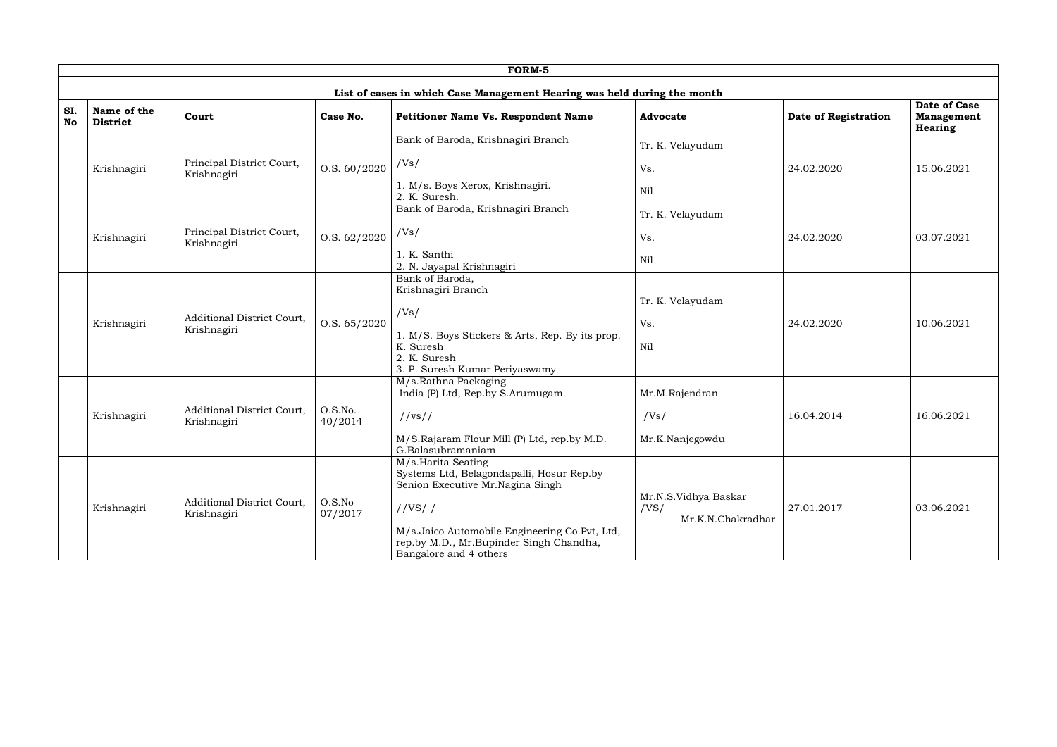|           |                                |                                                  |                    | FORM-5                                                                                                                                                                                                                                |                                                   |                      |                                                            |
|-----------|--------------------------------|--------------------------------------------------|--------------------|---------------------------------------------------------------------------------------------------------------------------------------------------------------------------------------------------------------------------------------|---------------------------------------------------|----------------------|------------------------------------------------------------|
|           |                                |                                                  |                    | List of cases in which Case Management Hearing was held during the month                                                                                                                                                              |                                                   |                      |                                                            |
| SI.<br>No | Name of the<br><b>District</b> | Court                                            | Case No.           | Petitioner Name Vs. Respondent Name                                                                                                                                                                                                   | <b>Advocate</b>                                   | Date of Registration | <b>Date of Case</b><br><b>Management</b><br><b>Hearing</b> |
|           | Krishnagiri                    | Principal District Court,<br>Krishnagiri         | 0. S. 60 / 2020    | Bank of Baroda, Krishnagiri Branch<br>/Vs/<br>1. M/s. Boys Xerox, Krishnagiri.<br>2. K. Suresh.                                                                                                                                       | Tr. K. Velayudam<br>Vs.<br>Nil                    | 24.02.2020           | 15.06.2021                                                 |
|           | Krishnagiri                    | Principal District Court,<br>Krishnagiri         | 0. S. 62 / 2020    | Bank of Baroda, Krishnagiri Branch<br>/Vs/<br>1. K. Santhi<br>2. N. Jayapal Krishnagiri                                                                                                                                               | Tr. K. Velayudam<br>Vs.<br>Nil                    | 24.02.2020           | 03.07.2021                                                 |
|           | Krishnagiri                    | Additional District Court,<br>Krishnagiri        | O.S. 65/2020       | Bank of Baroda,<br>Krishnagiri Branch<br>/Vs/<br>1. M/S. Boys Stickers & Arts, Rep. By its prop.<br>K. Suresh<br>2. K. Suresh<br>3. P. Suresh Kumar Periyaswamy                                                                       | Tr. K. Velayudam<br>Vs.<br>Nil                    | 24.02.2020           | 10.06.2021                                                 |
|           | Krishnagiri                    | Additional District Court,<br>Krishnagiri        | O.S.No.<br>40/2014 | M/s.Rathna Packaging<br>India (P) Ltd, Rep.by S.Arumugam<br>//vs//<br>M/S.Rajaram Flour Mill (P) Ltd, rep.by M.D.<br>G.Balasubramaniam                                                                                                | Mr.M.Rajendran<br>/Vs/<br>Mr.K.Nanjegowdu         | 16.04.2014           | 16.06.2021                                                 |
|           | Krishnagiri                    | <b>Additional District Court,</b><br>Krishnagiri | O.S.No<br>07/2017  | M/s.Harita Seating<br>Systems Ltd, Belagondapalli, Hosur Rep.by<br>Senion Executive Mr.Nagina Singh<br>//VS//<br>M/s. Jaico Automobile Engineering Co. Pvt, Ltd,<br>rep.by M.D., Mr.Bupinder Singh Chandha,<br>Bangalore and 4 others | Mr.N.S.Vidhya Baskar<br>/VS/<br>Mr.K.N.Chakradhar | 27.01.2017           | 03.06.2021                                                 |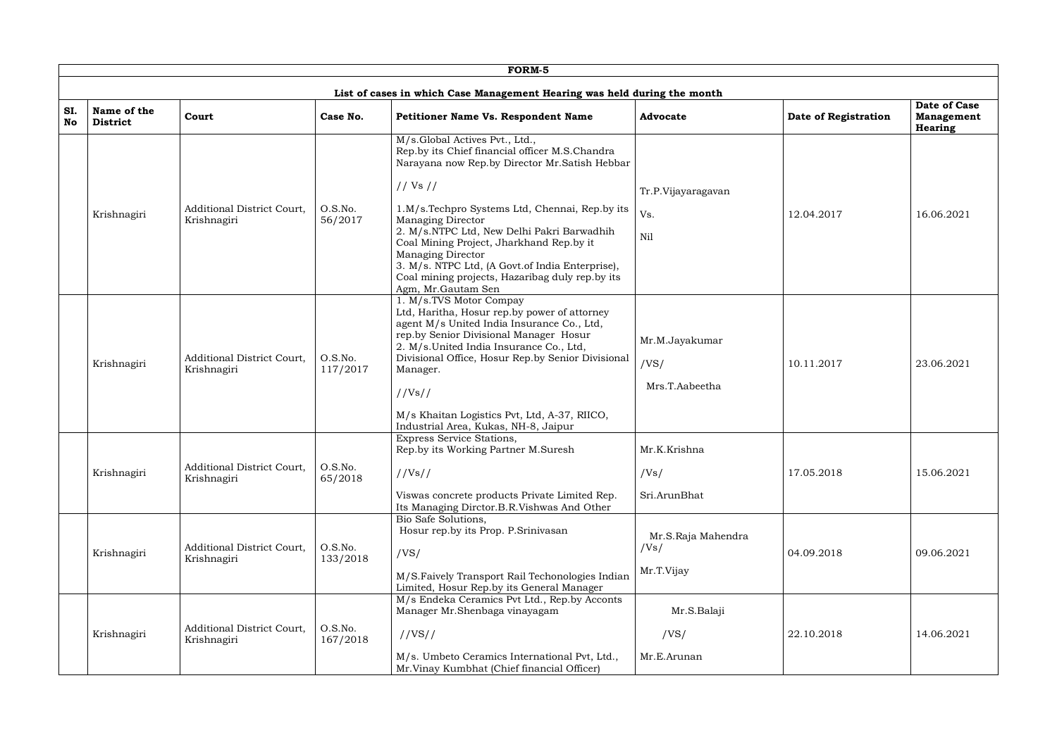|                  |                                |                                           |                     | FORM-5                                                                                                                                                                                                                                                                                                                                                                                                                                                                         |                                          |                      |                                                     |
|------------------|--------------------------------|-------------------------------------------|---------------------|--------------------------------------------------------------------------------------------------------------------------------------------------------------------------------------------------------------------------------------------------------------------------------------------------------------------------------------------------------------------------------------------------------------------------------------------------------------------------------|------------------------------------------|----------------------|-----------------------------------------------------|
|                  |                                |                                           |                     | List of cases in which Case Management Hearing was held during the month                                                                                                                                                                                                                                                                                                                                                                                                       |                                          |                      |                                                     |
| SI.<br><b>No</b> | Name of the<br><b>District</b> | Court                                     | Case No.            | <b>Petitioner Name Vs. Respondent Name</b>                                                                                                                                                                                                                                                                                                                                                                                                                                     | <b>Advocate</b>                          | Date of Registration | <b>Date of Case</b><br><b>Management</b><br>Hearing |
|                  | Krishnagiri                    | Additional District Court,<br>Krishnagiri | O.S.No.<br>56/2017  | M/s.Global Actives Pvt., Ltd.,<br>Rep.by its Chief financial officer M.S.Chandra<br>Narayana now Rep.by Director Mr. Satish Hebbar<br>// Vs //<br>1.M/s.Techpro Systems Ltd, Chennai, Rep.by its<br><b>Managing Director</b><br>2. M/s.NTPC Ltd, New Delhi Pakri Barwadhih<br>Coal Mining Project, Jharkhand Rep.by it<br><b>Managing Director</b><br>3. M/s. NTPC Ltd, (A Govt.of India Enterprise),<br>Coal mining projects, Hazaribag duly rep.by its<br>Agm, Mr.Gautam Sen | Tr.P.Vijayaragavan<br>Vs.<br>Nil         | 12.04.2017           | 16.06.2021                                          |
|                  | Krishnagiri                    | Additional District Court,<br>Krishnagiri | O.S.No.<br>117/2017 | 1. M/s.TVS Motor Compay<br>Ltd, Haritha, Hosur rep.by power of attorney<br>agent M/s United India Insurance Co., Ltd,<br>rep.by Senior Divisional Manager Hosur<br>2. M/s.United India Insurance Co., Ltd,<br>Divisional Office, Hosur Rep.by Senior Divisional<br>Manager.<br>//Vs//<br>M/s Khaitan Logistics Pvt, Ltd, A-37, RIICO,<br>Industrial Area, Kukas, NH-8, Jaipur                                                                                                  | Mr.M.Jayakumar<br>/VS/<br>Mrs.T.Aabeetha | 10.11.2017           | 23.06.2021                                          |
|                  | Krishnagiri                    | Additional District Court,<br>Krishnagiri | O.S.No.<br>65/2018  | Express Service Stations,<br>Rep.by its Working Partner M.Suresh<br>//Vs//<br>Viswas concrete products Private Limited Rep.<br>Its Managing Dirctor.B.R.Vishwas And Other                                                                                                                                                                                                                                                                                                      | Mr.K.Krishna<br>/Vs/<br>Sri.ArunBhat     | 17.05.2018           | 15.06.2021                                          |
|                  | Krishnagiri                    | Additional District Court,<br>Krishnagiri | O.S.No.<br>133/2018 | Bio Safe Solutions,<br>Hosur rep.by its Prop. P.Srinivasan<br>/VS/<br>M/S.Faively Transport Rail Techonologies Indian<br>Limited, Hosur Rep.by its General Manager                                                                                                                                                                                                                                                                                                             | Mr.S.Raja Mahendra<br>/Vs/<br>Mr.T.Vijay | 04.09.2018           | 09.06.2021                                          |
|                  | Krishnagiri                    | Additional District Court,<br>Krishnagiri | O.S.No.<br>167/2018 | M/s Endeka Ceramics Pvt Ltd., Rep.by Acconts<br>Manager Mr.Shenbaga vinayagam<br>//VS//<br>M/s. Umbeto Ceramics International Pvt, Ltd.,<br>Mr. Vinay Kumbhat (Chief financial Officer)                                                                                                                                                                                                                                                                                        | Mr.S.Balaji<br>/VS/<br>Mr.E.Arunan       | 22.10.2018           | 14.06.2021                                          |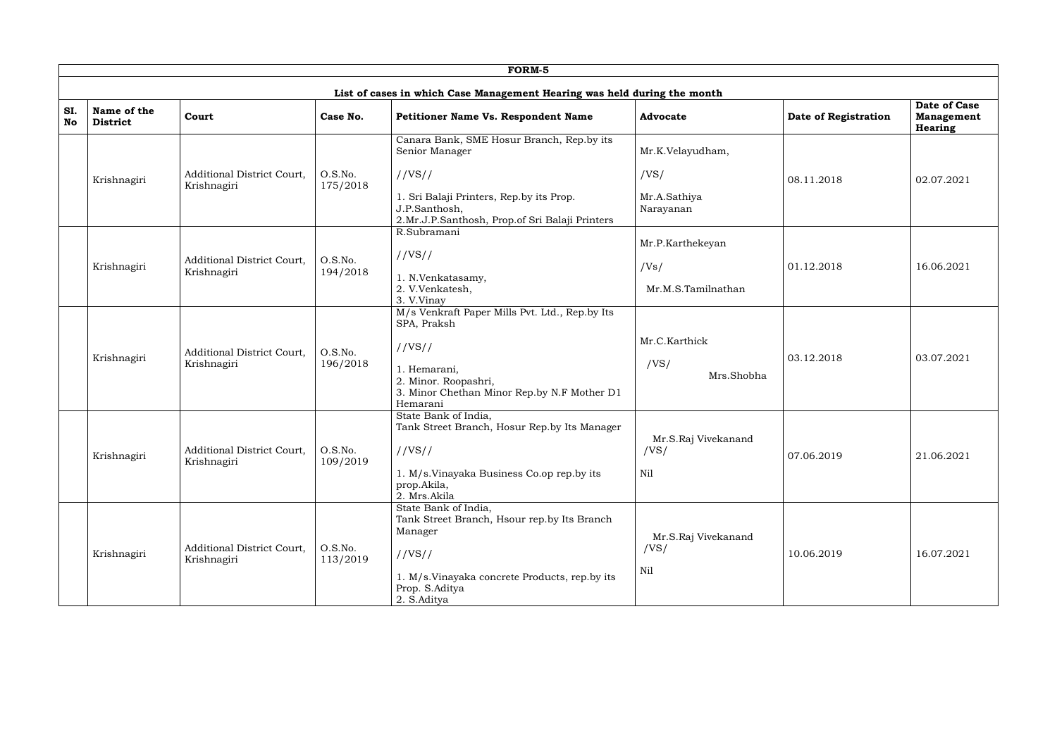|                  |                                |                                                  |                     | FORM-5                                                                                                      |                             |                      |                                                     |
|------------------|--------------------------------|--------------------------------------------------|---------------------|-------------------------------------------------------------------------------------------------------------|-----------------------------|----------------------|-----------------------------------------------------|
|                  |                                |                                                  |                     | List of cases in which Case Management Hearing was held during the month                                    |                             |                      |                                                     |
| SI.<br><b>No</b> | Name of the<br><b>District</b> | Court                                            | Case No.            | Petitioner Name Vs. Respondent Name                                                                         | <b>Advocate</b>             | Date of Registration | Date of Case<br><b>Management</b><br><b>Hearing</b> |
|                  |                                |                                                  |                     | Canara Bank, SME Hosur Branch, Rep.by its<br>Senior Manager                                                 | Mr.K.Velayudham,            |                      |                                                     |
|                  | Krishnagiri                    | Additional District Court,<br>Krishnagiri        | O.S.No.<br>175/2018 | //VS//                                                                                                      | /VS/                        | 08.11.2018           | 02.07.2021                                          |
|                  |                                |                                                  |                     | 1. Sri Balaji Printers, Rep.by its Prop.<br>J.P.Santhosh,<br>2.Mr.J.P.Santhosh, Prop.of Sri Balaji Printers | Mr.A.Sathiya<br>Narayanan   |                      |                                                     |
|                  |                                |                                                  |                     | R.Subramani                                                                                                 | Mr.P.Karthekeyan            |                      |                                                     |
|                  | Krishnagiri                    | <b>Additional District Court.</b><br>Krishnagiri | O.S.No.<br>194/2018 | //VS//                                                                                                      | /Vs/                        | 01.12.2018           | 16.06.2021                                          |
|                  |                                |                                                  |                     | 1. N.Venkatasamy,<br>2. V.Venkatesh,<br>3. V.Vinay                                                          | Mr.M.S.Tamilnathan          |                      |                                                     |
|                  |                                |                                                  |                     | M/s Venkraft Paper Mills Pvt. Ltd., Rep.by Its<br>SPA, Praksh                                               |                             |                      |                                                     |
|                  |                                | Additional District Court,                       | O.S.No.             | //VS//                                                                                                      | Mr.C.Karthick               | 03.12.2018           | 03.07.2021                                          |
|                  | Krishnagiri                    | Krishnagiri                                      | 196/2018            | 1. Hemarani,<br>2. Minor. Roopashri,<br>3. Minor Chethan Minor Rep.by N.F Mother D1<br>Hemarani             | /VS/<br>Mrs.Shobha          |                      |                                                     |
|                  |                                |                                                  |                     | State Bank of India,<br>Tank Street Branch, Hosur Rep.by Its Manager                                        |                             |                      |                                                     |
|                  | Krishnagiri                    | Additional District Court,<br>Krishnagiri        | O.S.No.<br>109/2019 | //VS//                                                                                                      | Mr.S.Raj Vivekanand<br>/VS/ | 07.06.2019           | 21.06.2021                                          |
|                  |                                |                                                  |                     | 1. M/s. Vinayaka Business Co.op rep.by its<br>prop.Akila,<br>2. Mrs.Akila                                   | Nil                         |                      |                                                     |
|                  |                                |                                                  |                     | State Bank of India,<br>Tank Street Branch, Hsour rep.by Its Branch<br>Manager                              |                             |                      |                                                     |
|                  | Krishnagiri                    | Additional District Court,<br>Krishnagiri        | O.S.No.<br>113/2019 | //VS//                                                                                                      | Mr.S.Raj Vivekanand<br>/VS/ | 10.06.2019           | 16.07.2021                                          |
|                  |                                |                                                  |                     | 1. M/s. Vinayaka concrete Products, rep. by its<br>Prop. S.Aditya<br>2. S.Aditya                            | Nil                         |                      |                                                     |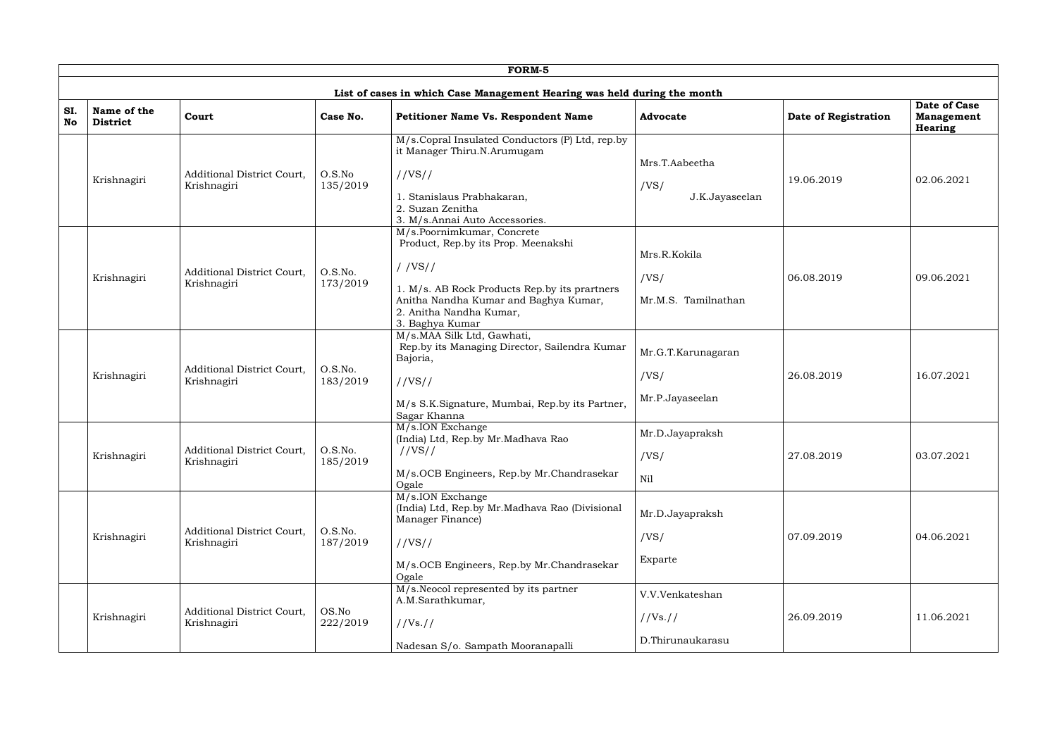|           |                                |                                                  |                     | <b>FORM-5</b>                                                                                                                                                                                                       |                                                 |                      |                                                            |
|-----------|--------------------------------|--------------------------------------------------|---------------------|---------------------------------------------------------------------------------------------------------------------------------------------------------------------------------------------------------------------|-------------------------------------------------|----------------------|------------------------------------------------------------|
|           |                                |                                                  |                     | List of cases in which Case Management Hearing was held during the month                                                                                                                                            |                                                 |                      |                                                            |
| SI.<br>No | Name of the<br><b>District</b> | Court                                            | Case No.            | Petitioner Name Vs. Respondent Name                                                                                                                                                                                 | <b>Advocate</b>                                 | Date of Registration | <b>Date of Case</b><br><b>Management</b><br><b>Hearing</b> |
|           | Krishnagiri                    | <b>Additional District Court,</b><br>Krishnagiri | O.S.No<br>135/2019  | M/s.Copral Insulated Conductors (P) Ltd, rep.by<br>it Manager Thiru.N.Arumugam<br>//VS//<br>1. Stanislaus Prabhakaran,<br>2. Suzan Zenitha<br>3. M/s.Annai Auto Accessories.                                        | Mrs.T.Aabeetha<br>/VS/<br>J.K.Jayaseelan        | 19.06.2019           | 02.06.2021                                                 |
|           | Krishnagiri                    | Additional District Court,<br>Krishnagiri        | O.S.No.<br>173/2019 | M/s.Poornimkumar, Concrete<br>Product, Rep.by its Prop. Meenakshi<br>//VS//<br>1. M/s. AB Rock Products Rep.by its prartners<br>Anitha Nandha Kumar and Baghya Kumar,<br>2. Anitha Nandha Kumar,<br>3. Baghya Kumar | Mrs.R.Kokila<br>/VS/<br>Mr.M.S. Tamilnathan     | 06.08.2019           | 09.06.2021                                                 |
|           | Krishnagiri                    | Additional District Court,<br>Krishnagiri        | O.S.No.<br>183/2019 | M/s.MAA Silk Ltd, Gawhati,<br>Rep.by its Managing Director, Sailendra Kumar<br>Bajoria,<br>//VS//<br>M/s S.K.Signature, Mumbai, Rep.by its Partner,<br>Sagar Khanna                                                 | Mr.G.T.Karunagaran<br>/VS/<br>Mr.P.Jayaseelan   | 26.08.2019           | 16.07.2021                                                 |
|           | Krishnagiri                    | Additional District Court,<br>Krishnagiri        | O.S.No.<br>185/2019 | M/s.ION Exchange<br>(India) Ltd, Rep.by Mr.Madhava Rao<br>//VS//<br>M/s.OCB Engineers, Rep.by Mr.Chandrasekar<br>Ogale                                                                                              | Mr.D.Jayapraksh<br>/VS/<br>Nil                  | 27.08.2019           | 03.07.2021                                                 |
|           | Krishnagiri                    | Additional District Court,<br>Krishnagiri        | O.S.No.<br>187/2019 | M/s.ION Exchange<br>(India) Ltd, Rep.by Mr.Madhava Rao (Divisional<br>Manager Finance)<br>//VS//<br>M/s.OCB Engineers, Rep.by Mr.Chandrasekar<br>Ogale                                                              | Mr.D.Jayapraksh<br>/VS/<br>Exparte              | 07.09.2019           | 04.06.2021                                                 |
|           | Krishnagiri                    | Additional District Court,<br>Krishnagiri        | OS.No<br>222/2019   | M/s.Neocol represented by its partner<br>A.M.Sarathkumar,<br>//Vs. //<br>Nadesan S/o. Sampath Mooranapalli                                                                                                          | V.V.Venkateshan<br>//Vs. //<br>D.Thirunaukarasu | 26.09.2019           | 11.06.2021                                                 |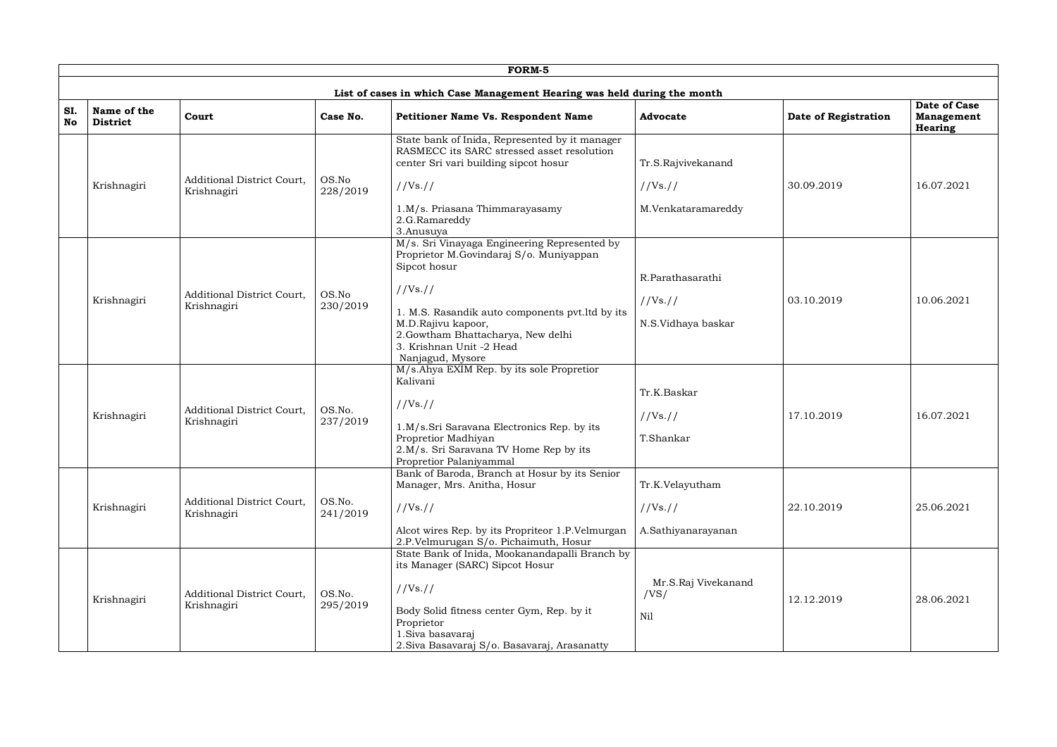|           |                                |                                                  |                    | <b>FORM-5</b>                                                                                                                                                                                                                                                                      |                                                      |                      |                                                            |
|-----------|--------------------------------|--------------------------------------------------|--------------------|------------------------------------------------------------------------------------------------------------------------------------------------------------------------------------------------------------------------------------------------------------------------------------|------------------------------------------------------|----------------------|------------------------------------------------------------|
|           |                                |                                                  |                    | List of cases in which Case Management Hearing was held during the month                                                                                                                                                                                                           |                                                      |                      |                                                            |
| SI.<br>No | Name of the<br><b>District</b> | Court                                            | Case No.           | Petitioner Name Vs. Respondent Name                                                                                                                                                                                                                                                | <b>Advocate</b>                                      | Date of Registration | <b>Date of Case</b><br><b>Management</b><br><b>Hearing</b> |
|           | Krishnagiri                    | <b>Additional District Court,</b><br>Krishnagiri | OS.No<br>228/2019  | State bank of Inida, Represented by it manager<br>RASMECC its SARC stressed asset resolution<br>center Sri vari building sipcot hosur<br>//Vs. //<br>1.M/s. Priasana Thimmarayasamy<br>2.G.Ramareddy<br>3.Anusuya                                                                  | Tr.S.Rajvivekanand<br>//Vs. //<br>M.Venkataramareddy | 30.09.2019           | 16.07.2021                                                 |
|           | Krishnagiri                    | <b>Additional District Court,</b><br>Krishnagiri | OS.No<br>230/2019  | M/s. Sri Vinayaga Engineering Represented by<br>Proprietor M.Govindaraj S/o. Muniyappan<br>Sipcot hosur<br>//Vs. //<br>1. M.S. Rasandik auto components pvt. ltd by its<br>M.D.Rajivu kapoor,<br>2.Gowtham Bhattacharya, New delhi<br>3. Krishnan Unit -2 Head<br>Nanjagud, Mysore | R.Parathasarathi<br>//Vs. //<br>N.S.Vidhaya baskar   | 03.10.2019           | 10.06.2021                                                 |
|           | Krishnagiri                    | <b>Additional District Court,</b><br>Krishnagiri | OS.No.<br>237/2019 | M/s.Ahya EXIM Rep. by its sole Propretior<br>Kalivani<br>//Vs. //<br>1.M/s.Sri Saravana Electronics Rep. by its<br>Propretior Madhiyan<br>2.M/s. Sri Saravana TV Home Rep by its<br>Propretior Palaniyammal                                                                        | Tr.K.Baskar<br>//Vs. //<br>T.Shankar                 | 17.10.2019           | 16.07.2021                                                 |
|           | Krishnagiri                    | <b>Additional District Court,</b><br>Krishnagiri | OS.No.<br>241/2019 | Bank of Baroda, Branch at Hosur by its Senior<br>Manager, Mrs. Anitha, Hosur<br>//Vs. //<br>Alcot wires Rep. by its Propriteor 1.P.Velmurgan<br>2.P.Velmurugan S/o. Pichaimuth, Hosur                                                                                              | Tr.K.Velayutham<br>//Vs. //<br>A.Sathiyanarayanan    | 22.10.2019           | 25.06.2021                                                 |
|           | Krishnagiri                    | Additional District Court,<br>Krishnagiri        | OS.No.<br>295/2019 | State Bank of Inida, Mookanandapalli Branch by<br>its Manager (SARC) Sipcot Hosur<br>//Vs. //<br>Body Solid fitness center Gym, Rep. by it<br>Proprietor<br>1. Siva basavaraj<br>2. Siva Basavaraj S/o. Basavaraj, Arasanatty                                                      | Mr.S.Raj Vivekanand<br>/VS/<br>Nil                   | 12.12.2019           | 28.06.2021                                                 |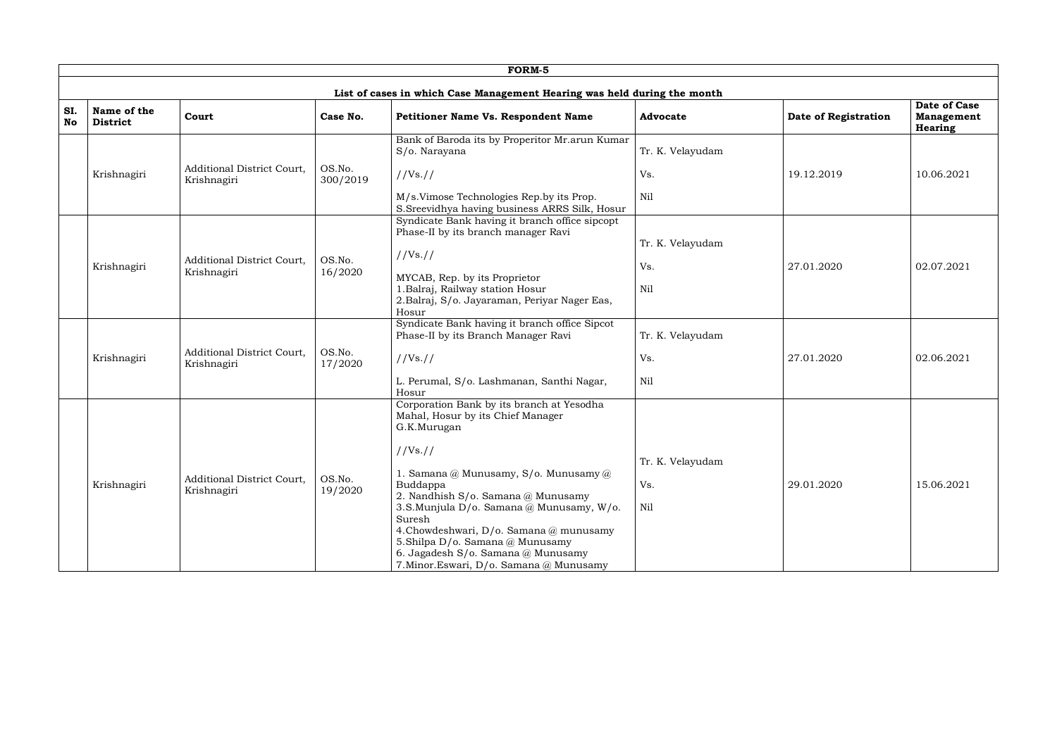|           |                                                                          |                                                  |                    | FORM-5                                                                                                                                                                                                                                                                                                                                                                                                                             |                                |                      |                                                     |  |  |  |
|-----------|--------------------------------------------------------------------------|--------------------------------------------------|--------------------|------------------------------------------------------------------------------------------------------------------------------------------------------------------------------------------------------------------------------------------------------------------------------------------------------------------------------------------------------------------------------------------------------------------------------------|--------------------------------|----------------------|-----------------------------------------------------|--|--|--|
|           | List of cases in which Case Management Hearing was held during the month |                                                  |                    |                                                                                                                                                                                                                                                                                                                                                                                                                                    |                                |                      |                                                     |  |  |  |
| SI.<br>No | Name of the<br><b>District</b>                                           | Court                                            | Case No.           | Petitioner Name Vs. Respondent Name                                                                                                                                                                                                                                                                                                                                                                                                | <b>Advocate</b>                | Date of Registration | Date of Case<br><b>Management</b><br><b>Hearing</b> |  |  |  |
|           |                                                                          |                                                  |                    | Bank of Baroda its by Properitor Mr.arun Kumar<br>S/o. Narayana                                                                                                                                                                                                                                                                                                                                                                    | Tr. K. Velayudam               |                      |                                                     |  |  |  |
|           | Krishnagiri                                                              | Additional District Court,<br>Krishnagiri        | OS.No.<br>300/2019 | //Vs://                                                                                                                                                                                                                                                                                                                                                                                                                            | Vs.                            | 19.12.2019           | 10.06.2021                                          |  |  |  |
|           |                                                                          |                                                  |                    | M/s.Vimose Technologies Rep.by its Prop.<br>S.Sreevidhya having business ARRS Silk, Hosur                                                                                                                                                                                                                                                                                                                                          | Nil                            |                      |                                                     |  |  |  |
|           | Krishnagiri                                                              | Additional District Court,<br>Krishnagiri        | OS.No.<br>16/2020  | Syndicate Bank having it branch office sipcopt<br>Phase-II by its branch manager Ravi<br>//Vs. //<br>MYCAB, Rep. by its Proprietor<br>1. Balraj, Railway station Hosur<br>2. Balraj, S/o. Jayaraman, Periyar Nager Eas,<br>Hosur                                                                                                                                                                                                   | Tr. K. Velayudam<br>Vs.<br>Nil | 27.01.2020           | 02.07.2021                                          |  |  |  |
|           | Krishnagiri                                                              | Additional District Court,<br>Krishnagiri        | OS.No.<br>17/2020  | Syndicate Bank having it branch office Sipcot<br>Phase-II by its Branch Manager Ravi<br>//Vs. //<br>L. Perumal, S/o. Lashmanan, Santhi Nagar,<br>Hosur                                                                                                                                                                                                                                                                             | Tr. K. Velayudam<br>Vs.<br>Nil | 27.01.2020           | 02.06.2021                                          |  |  |  |
|           | Krishnagiri                                                              | <b>Additional District Court,</b><br>Krishnagiri | OS.No.<br>19/2020  | Corporation Bank by its branch at Yesodha<br>Mahal, Hosur by its Chief Manager<br>G.K.Murugan<br>//Vs. //<br>1. Samana @ Munusamy, $S/\text{o}$ . Munusamy @<br>Buddappa<br>2. Nandhish S/o. Samana @ Munusamy<br>3.S.Munjula D/o. Samana @ Munusamy, W/o.<br>Suresh<br>4.Chowdeshwari, D/o. Samana@munusamy<br>5. Shilpa D/o. Samana @ Munusamy<br>6. Jagadesh S/o. Samana @ Munusamy<br>7. Minor. Eswari, D/o. Samana @ Munusamy | Tr. K. Velayudam<br>Vs.<br>Nil | 29.01.2020           | 15.06.2021                                          |  |  |  |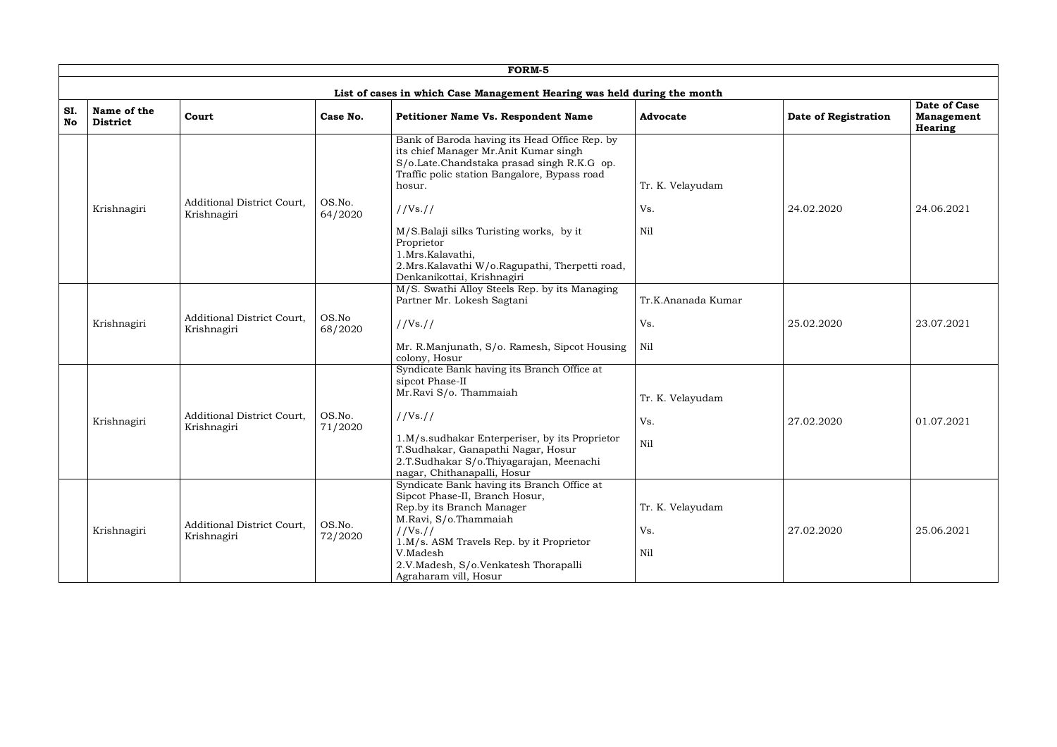|           | FORM-5                         |                                                  |                   |                                                                                                                                                                                                |                         |                      |                                                     |  |  |  |  |
|-----------|--------------------------------|--------------------------------------------------|-------------------|------------------------------------------------------------------------------------------------------------------------------------------------------------------------------------------------|-------------------------|----------------------|-----------------------------------------------------|--|--|--|--|
|           |                                |                                                  |                   | List of cases in which Case Management Hearing was held during the month                                                                                                                       |                         |                      |                                                     |  |  |  |  |
| SI.<br>No | Name of the<br><b>District</b> | Court                                            | Case No.          | Petitioner Name Vs. Respondent Name                                                                                                                                                            | <b>Advocate</b>         | Date of Registration | Date of Case<br><b>Management</b><br><b>Hearing</b> |  |  |  |  |
|           |                                | <b>Additional District Court,</b>                | OS.No.            | Bank of Baroda having its Head Office Rep. by<br>its chief Manager Mr.Anit Kumar singh<br>S/o.Late.Chandstaka prasad singh R.K.G op.<br>Traffic polic station Bangalore, Bypass road<br>hosur. | Tr. K. Velayudam        |                      |                                                     |  |  |  |  |
|           | Krishnagiri                    | Krishnagiri                                      | 64/2020           | //Vs. //                                                                                                                                                                                       | Vs.                     | 24.02.2020           | 24.06.2021                                          |  |  |  |  |
|           |                                |                                                  |                   | M/S.Balaji silks Turisting works, by it<br>Proprietor<br>1.Mrs.Kalavathi,<br>2.Mrs.Kalavathi W/o.Ragupathi, Therpetti road,<br>Denkanikottai, Krishnagiri                                      | Nil                     |                      |                                                     |  |  |  |  |
|           |                                |                                                  |                   | M/S. Swathi Alloy Steels Rep. by its Managing<br>Partner Mr. Lokesh Sagtani                                                                                                                    | Tr.K.Ananada Kumar      |                      |                                                     |  |  |  |  |
|           | Krishnagiri                    | <b>Additional District Court,</b><br>Krishnagiri | OS.No<br>68/2020  | //Vs. //                                                                                                                                                                                       | Vs.                     | 25.02.2020           | 23.07.2021                                          |  |  |  |  |
|           |                                |                                                  |                   | Mr. R.Manjunath, S/o. Ramesh, Sipcot Housing<br>colony, Hosur                                                                                                                                  | Nil                     |                      |                                                     |  |  |  |  |
|           |                                |                                                  |                   | Syndicate Bank having its Branch Office at<br>sipcot Phase-II<br>Mr.Ravi S/o. Thammaiah                                                                                                        | Tr. K. Velayudam        |                      |                                                     |  |  |  |  |
|           | Krishnagiri                    | Additional District Court,<br>Krishnagiri        | OS.No.<br>71/2020 | //Vs://                                                                                                                                                                                        | Vs.                     | 27.02.2020           | 01.07.2021                                          |  |  |  |  |
|           |                                |                                                  |                   | 1.M/s.sudhakar Enterperiser, by its Proprietor<br>T.Sudhakar, Ganapathi Nagar, Hosur<br>2.T. Sudhakar S/o. Thiyagarajan, Meenachi<br>nagar, Chithanapalli, Hosur                               | Nil                     |                      |                                                     |  |  |  |  |
|           | Krishnagiri                    | Additional District Court,<br>Krishnagiri        | OS.No.<br>72/2020 | Syndicate Bank having its Branch Office at<br>Sipcot Phase-II, Branch Hosur,<br>Rep.by its Branch Manager<br>M.Ravi, S/o.Thammaiah<br>//Vs. //<br>1.M/s. ASM Travels Rep. by it Proprietor     | Tr. K. Velayudam<br>Vs. | 27.02.2020           | 25.06.2021                                          |  |  |  |  |
|           |                                |                                                  |                   | V.Madesh<br>2.V.Madesh, S/o.Venkatesh Thorapalli<br>Agraharam vill, Hosur                                                                                                                      | Nil                     |                      |                                                     |  |  |  |  |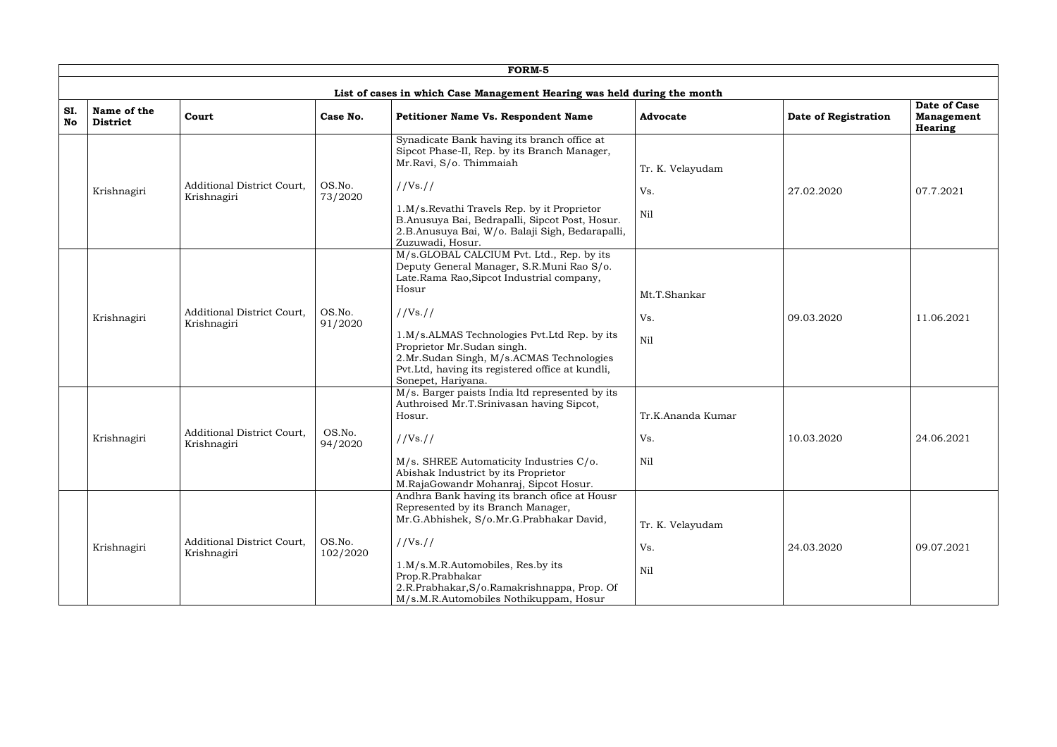|           |                                |                                                  |                    | FORM-5                                                                                                                                                                                           |                   |                      |                                                     |
|-----------|--------------------------------|--------------------------------------------------|--------------------|--------------------------------------------------------------------------------------------------------------------------------------------------------------------------------------------------|-------------------|----------------------|-----------------------------------------------------|
|           |                                |                                                  |                    | List of cases in which Case Management Hearing was held during the month                                                                                                                         |                   |                      |                                                     |
| SI.<br>No | Name of the<br><b>District</b> | Court                                            | Case No.           | <b>Petitioner Name Vs. Respondent Name</b>                                                                                                                                                       | <b>Advocate</b>   | Date of Registration | Date of Case<br><b>Management</b><br><b>Hearing</b> |
|           |                                |                                                  |                    | Synadicate Bank having its branch office at<br>Sipcot Phase-II, Rep. by its Branch Manager,<br>Mr.Ravi, S/o. Thimmaiah                                                                           | Tr. K. Velayudam  |                      |                                                     |
|           | Krishnagiri                    | <b>Additional District Court,</b><br>Krishnagiri | OS.No.<br>73/2020  | //Vs. //                                                                                                                                                                                         | Vs.               | 27.02.2020           | 07.7.2021                                           |
|           |                                |                                                  |                    | 1.M/s.Revathi Travels Rep. by it Proprietor<br>B.Anusuya Bai, Bedrapalli, Sipcot Post, Hosur.<br>2.B.Anusuya Bai, W/o. Balaji Sigh, Bedarapalli,<br>Zuzuwadi, Hosur.                             | Nil               |                      |                                                     |
|           |                                |                                                  |                    | M/s.GLOBAL CALCIUM Pvt. Ltd., Rep. by its<br>Deputy General Manager, S.R.Muni Rao S/o.<br>Late.Rama Rao,Sipcot Industrial company,<br>Hosur                                                      | Mt.T.Shankar      |                      |                                                     |
|           | Krishnagiri                    | Additional District Court,<br>Krishnagiri        | OS.No.<br>91/2020  | //Vs. //                                                                                                                                                                                         | Vs.               | 09.03.2020           | 11.06.2021                                          |
|           |                                |                                                  |                    | 1.M/s.ALMAS Technologies Pvt.Ltd Rep. by its<br>Proprietor Mr.Sudan singh.<br>2.Mr.Sudan Singh, M/s.ACMAS Technologies<br>Pvt.Ltd, having its registered office at kundli,<br>Sonepet, Hariyana. | Nil               |                      |                                                     |
|           |                                |                                                  |                    | M/s. Barger paists India ltd represented by its<br>Authroised Mr.T.Srinivasan having Sipcot,<br>Hosur.                                                                                           | Tr.K.Ananda Kumar |                      |                                                     |
|           | Krishnagiri                    | <b>Additional District Court,</b><br>Krishnagiri | OS.No.<br>94/2020  | //Vs. //                                                                                                                                                                                         | Vs.               | 10.03.2020           | 24.06.2021                                          |
|           |                                |                                                  |                    | M/s. SHREE Automaticity Industries C/o.<br>Abishak Industrict by its Proprietor<br>M.RajaGowandr Mohanraj, Sipcot Hosur.                                                                         | Nil               |                      |                                                     |
|           |                                |                                                  |                    | Andhra Bank having its branch ofice at Housr<br>Represented by its Branch Manager,<br>Mr.G.Abhishek, S/o.Mr.G.Prabhakar David,                                                                   | Tr. K. Velayudam  |                      |                                                     |
|           | Krishnagiri                    | Additional District Court,<br>Krishnagiri        | OS.No.<br>102/2020 | //Vs://                                                                                                                                                                                          | Vs.               | 24.03.2020           | 09.07.2021                                          |
|           |                                |                                                  |                    | 1.M/s.M.R.Automobiles, Res.by its<br>Prop.R.Prabhakar<br>2.R.Prabhakar, S/o.Ramakrishnappa, Prop. Of<br>M/s.M.R.Automobiles Nothikuppam, Hosur                                                   | Nil               |                      |                                                     |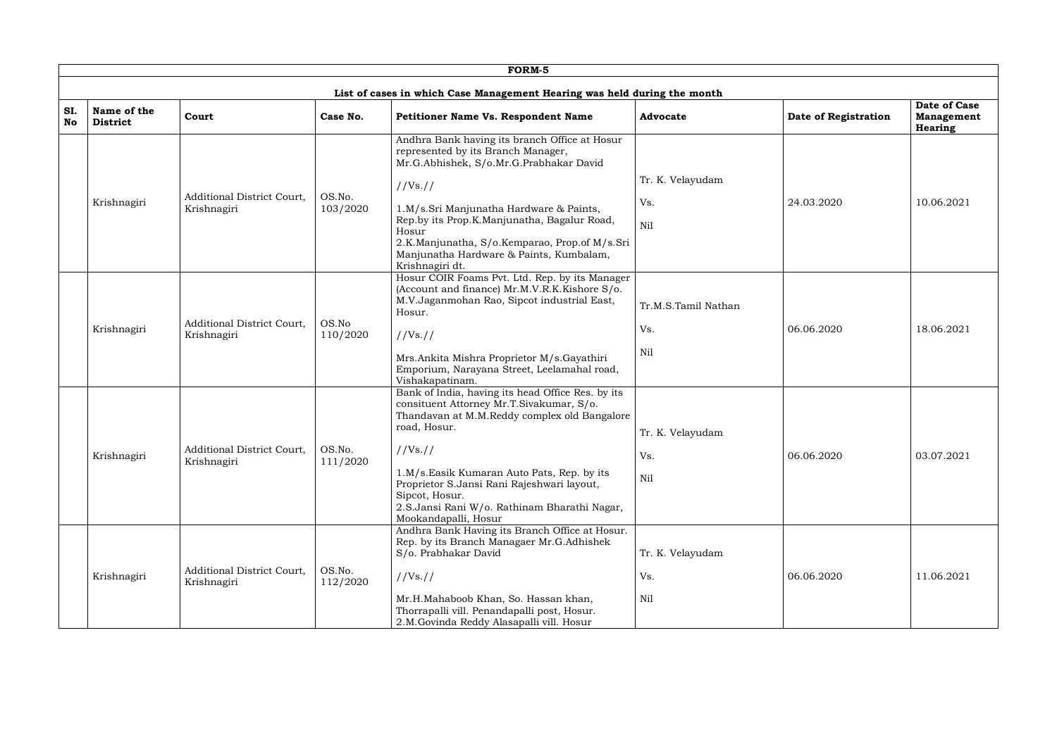|                  |                                |                                                  |                    | FORM-5                                                                                                                                                                                                                                                                                                                                                         |                                   |                      |                                                     |
|------------------|--------------------------------|--------------------------------------------------|--------------------|----------------------------------------------------------------------------------------------------------------------------------------------------------------------------------------------------------------------------------------------------------------------------------------------------------------------------------------------------------------|-----------------------------------|----------------------|-----------------------------------------------------|
|                  |                                |                                                  |                    | List of cases in which Case Management Hearing was held during the month                                                                                                                                                                                                                                                                                       |                                   |                      |                                                     |
| SI.<br><b>No</b> | Name of the<br><b>District</b> | Court                                            | Case No.           | Petitioner Name Vs. Respondent Name                                                                                                                                                                                                                                                                                                                            | <b>Advocate</b>                   | Date of Registration | Date of Case<br><b>Management</b><br><b>Hearing</b> |
|                  | Krishnagiri                    | <b>Additional District Court,</b><br>Krishnagiri | OS.No.<br>103/2020 | Andhra Bank having its branch Office at Hosur<br>represented by its Branch Manager,<br>Mr.G.Abhishek, S/o.Mr.G.Prabhakar David<br>//Vs. //<br>1.M/s.Sri Manjunatha Hardware & Paints,<br>Rep.by its Prop.K.Manjunatha, Bagalur Road,<br>Hosur<br>2.K.Manjunatha, S/o.Kemparao, Prop.of M/s.Sri<br>Manjunatha Hardware & Paints, Kumbalam,<br>Krishnagiri dt.   | Tr. K. Velayudam<br>Vs.<br>Nil    | 24.03.2020           | 10.06.2021                                          |
|                  | Krishnagiri                    | <b>Additional District Court,</b><br>Krishnagiri | OS.No<br>110/2020  | Hosur COIR Foams Pvt. Ltd. Rep. by its Manager<br>(Account and finance) Mr.M.V.R.K.Kishore S/o.<br>M.V.Jaganmohan Rao, Sipcot industrial East,<br>Hosur.<br>//Vs. //<br>Mrs.Ankita Mishra Proprietor M/s.Gayathiri<br>Emporium, Narayana Street, Leelamahal road,<br>Vishakapatinam.                                                                           | Tr.M.S.Tamil Nathan<br>Vs.<br>Nil | 06.06.2020           | 18.06.2021                                          |
|                  | Krishnagiri                    | Additional District Court,<br>Krishnagiri        | OS.No.<br>111/2020 | Bank of India, having its head Office Res. by its<br>consituent Attorney Mr.T.Sivakumar, S/o.<br>Thandavan at M.M.Reddy complex old Bangalore<br>road, Hosur.<br>//Vs://<br>1.M/s.Easik Kumaran Auto Pats, Rep. by its<br>Proprietor S.Jansi Rani Rajeshwari layout,<br>Sipcot, Hosur.<br>2.S.Jansi Rani W/o. Rathinam Bharathi Nagar,<br>Mookandapalli, Hosur | Tr. K. Velayudam<br>Vs.<br>Nil    | 06.06.2020           | 03.07.2021                                          |
|                  | Krishnagiri                    | Additional District Court,<br>Krishnagiri        | OS.No.<br>112/2020 | Andhra Bank Having its Branch Office at Hosur.<br>Rep. by its Branch Managaer Mr.G.Adhishek<br>S/o. Prabhakar David<br>//Vs. //<br>Mr.H.Mahaboob Khan, So. Hassan khan,<br>Thorrapalli vill. Penandapalli post, Hosur.<br>2.M.Govinda Reddy Alasapalli vill. Hosur                                                                                             | Tr. K. Velayudam<br>Vs.<br>Nil    | 06.06.2020           | 11.06.2021                                          |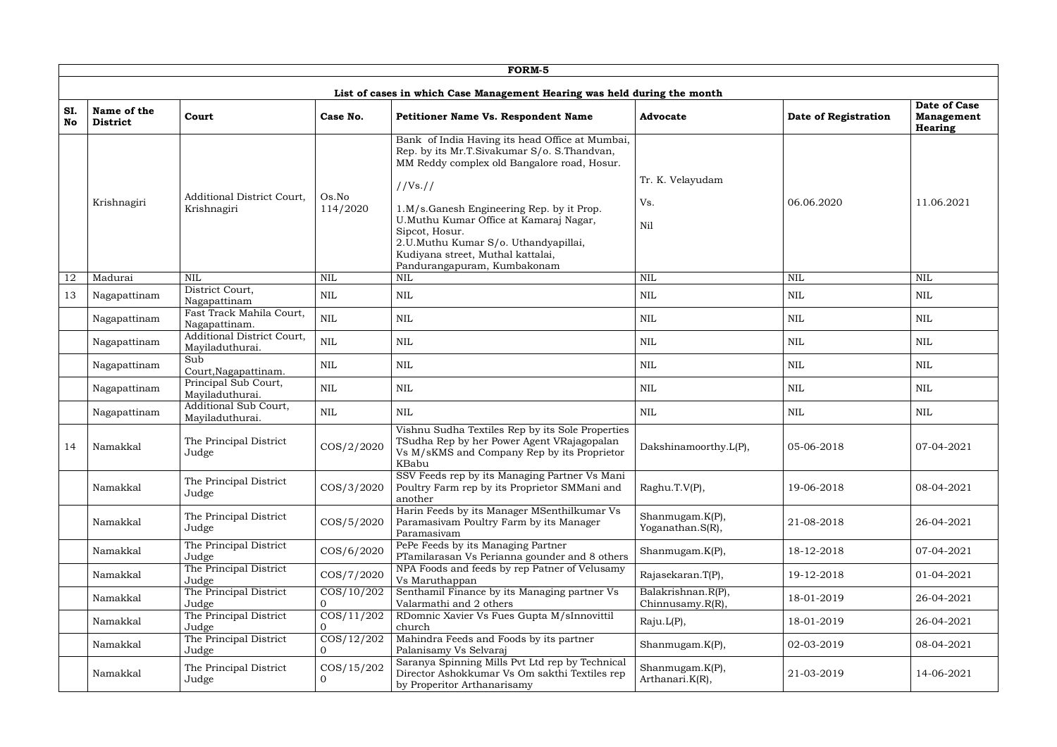|                  |                                |                                               |                              | FORM-5                                                                                                                                                                                                                                                                                                                                                                         |                                            |                      |                                                     |
|------------------|--------------------------------|-----------------------------------------------|------------------------------|--------------------------------------------------------------------------------------------------------------------------------------------------------------------------------------------------------------------------------------------------------------------------------------------------------------------------------------------------------------------------------|--------------------------------------------|----------------------|-----------------------------------------------------|
|                  |                                |                                               |                              | List of cases in which Case Management Hearing was held during the month                                                                                                                                                                                                                                                                                                       |                                            |                      |                                                     |
| SI.<br><b>No</b> | Name of the<br><b>District</b> | Court                                         | Case No.                     | Petitioner Name Vs. Respondent Name                                                                                                                                                                                                                                                                                                                                            | <b>Advocate</b>                            | Date of Registration | Date of Case<br><b>Management</b><br><b>Hearing</b> |
|                  | Krishnagiri                    | Additional District Court,<br>Krishnagiri     | Os.No<br>114/2020            | Bank of India Having its head Office at Mumbai,<br>Rep. by its Mr.T.Sivakumar S/o. S.Thandvan,<br>MM Reddy complex old Bangalore road, Hosur.<br>//Vs. //<br>1.M/s.Ganesh Engineering Rep. by it Prop.<br>U.Muthu Kumar Office at Kamaraj Nagar,<br>Sipcot, Hosur.<br>2.U.Muthu Kumar S/o. Uthandyapillai,<br>Kudiyana street, Muthal kattalai,<br>Pandurangapuram, Kumbakonam | Tr. K. Velayudam<br>Vs.<br>Nil             | 06.06.2020           | 11.06.2021                                          |
| 12               | Madurai                        | <b>NIL</b>                                    | <b>NIL</b>                   | <b>NIL</b>                                                                                                                                                                                                                                                                                                                                                                     | <b>NIL</b>                                 | <b>NIL</b>           | <b>NIL</b>                                          |
| 13               | Nagapattinam                   | District Court,<br>Nagapattinam               | <b>NIL</b>                   | <b>NIL</b>                                                                                                                                                                                                                                                                                                                                                                     | <b>NIL</b>                                 | <b>NIL</b>           | <b>NIL</b>                                          |
|                  | Nagapattinam                   | Fast Track Mahila Court,<br>Nagapattinam.     | $\mbox{NIL}$                 | <b>NIL</b>                                                                                                                                                                                                                                                                                                                                                                     | <b>NIL</b>                                 | <b>NIL</b>           | <b>NIL</b>                                          |
|                  | Nagapattinam                   | Additional District Court,<br>Mayiladuthurai. | $\mbox{NIL}$                 | <b>NIL</b>                                                                                                                                                                                                                                                                                                                                                                     | <b>NIL</b>                                 | <b>NIL</b>           | <b>NIL</b>                                          |
|                  | Nagapattinam                   | Sub<br>Court, Nagapattinam.                   | $\mbox{NIL}$                 | <b>NIL</b>                                                                                                                                                                                                                                                                                                                                                                     | <b>NIL</b>                                 | <b>NIL</b>           | <b>NIL</b>                                          |
|                  | Nagapattinam                   | Principal Sub Court,<br>Mayiladuthurai.       | <b>NIL</b>                   | <b>NIL</b>                                                                                                                                                                                                                                                                                                                                                                     | <b>NIL</b>                                 | <b>NIL</b>           | <b>NIL</b>                                          |
|                  | Nagapattinam                   | Additional Sub Court,<br>Mayiladuthurai.      | <b>NIL</b>                   | <b>NIL</b>                                                                                                                                                                                                                                                                                                                                                                     | <b>NIL</b>                                 | <b>NIL</b>           | <b>NIL</b>                                          |
| 14               | Namakkal                       | The Principal District<br>Judge               | COS/2/2020                   | Vishnu Sudha Textiles Rep by its Sole Properties<br>TSudha Rep by her Power Agent VRajagopalan<br>Vs M/sKMS and Company Rep by its Proprietor<br>KBabu                                                                                                                                                                                                                         | Dakshinamoorthy.L(P),                      | 05-06-2018           | 07-04-2021                                          |
|                  | Namakkal                       | The Principal District<br>Judge               | COS/3/2020                   | SSV Feeds rep by its Managing Partner Vs Mani<br>Poultry Farm rep by its Proprietor SMMani and<br>another                                                                                                                                                                                                                                                                      | Raghu.T.V(P),                              | 19-06-2018           | 08-04-2021                                          |
|                  | Namakkal                       | The Principal District<br>Judge               | COS/5/2020                   | Harin Feeds by its Manager MSenthilkumar Vs<br>Paramasivam Poultry Farm by its Manager<br>Paramasivam                                                                                                                                                                                                                                                                          | Shanmugam.K(P),<br>Yoganathan.S(R),        | 21-08-2018           | 26-04-2021                                          |
|                  | Namakkal                       | The Principal District<br>Judge               | COS/6/2020                   | PePe Feeds by its Managing Partner<br>PTamilarasan Vs Perianna gounder and 8 others                                                                                                                                                                                                                                                                                            | Shanmugam.K(P),                            | 18-12-2018           | 07-04-2021                                          |
|                  | Namakkal                       | The Principal District<br>Judge               | COS/7/2020                   | NPA Foods and feeds by rep Patner of Velusamy<br>Vs Maruthappan                                                                                                                                                                                                                                                                                                                | Rajasekaran.T(P),                          | 19-12-2018           | 01-04-2021                                          |
|                  | Namakkal                       | The Principal District<br>Judge               | $\cos/10/202$<br>$\Omega$    | Senthamil Finance by its Managing partner Vs<br>Valarmathi and 2 others                                                                                                                                                                                                                                                                                                        | Balakrishnan.R(P),<br>Chinnusamy. $R(R)$ , | 18-01-2019           | 26-04-2021                                          |
|                  | Namakkal                       | The Principal District<br>Judge               | $\cos/11/202$<br>$\Omega$    | RDomnic Xavier Vs Fues Gupta M/sInnovittil<br>church                                                                                                                                                                                                                                                                                                                           | Raju.L(P),                                 | 18-01-2019           | 26-04-2021                                          |
|                  | Namakkal                       | The Principal District<br>Judge               | $\overline{COS/12/202}$<br>0 | Mahindra Feeds and Foods by its partner<br>Palanisamy Vs Selvaraj                                                                                                                                                                                                                                                                                                              | Shanmugam.K(P),                            | 02-03-2019           | 08-04-2021                                          |
|                  | Namakkal                       | The Principal District<br>Judge               | COS/15/202<br>$\overline{0}$ | Saranya Spinning Mills Pvt Ltd rep by Technical<br>Director Ashokkumar Vs Om sakthi Textiles rep<br>by Properitor Arthanarisamy                                                                                                                                                                                                                                                | Shanmugam.K(P),<br>Arthanari.K(R),         | 21-03-2019           | 14-06-2021                                          |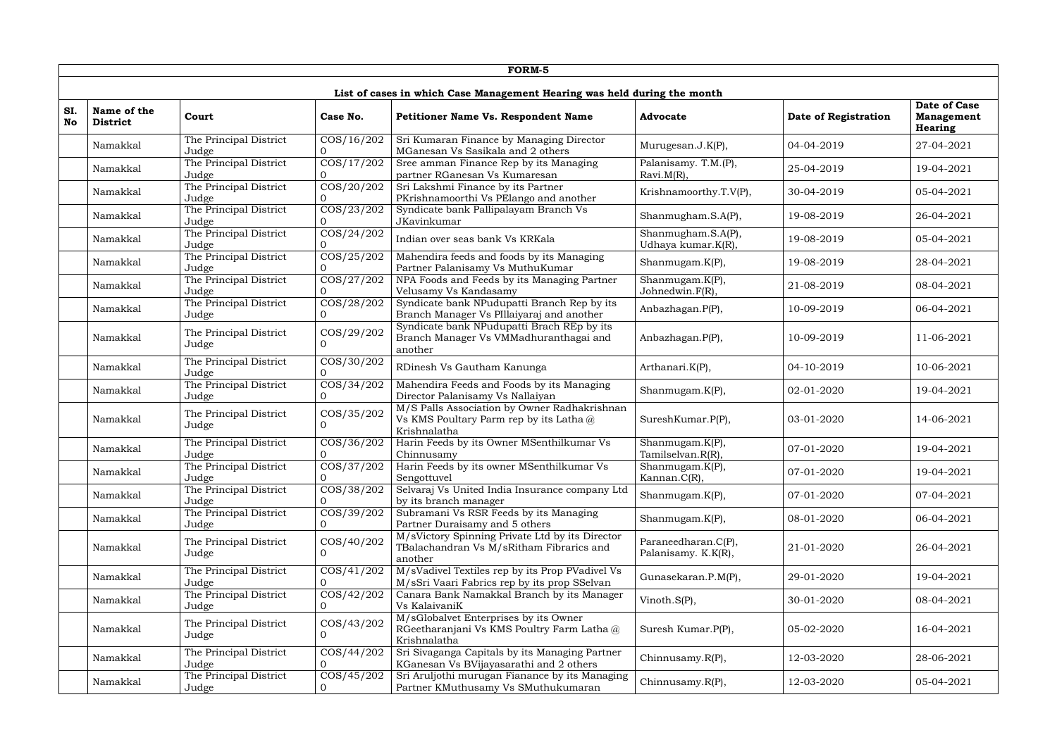|           |                                |                                 |                                                                | FORM-5                                                                                                    |                                            |                      |                                                            |
|-----------|--------------------------------|---------------------------------|----------------------------------------------------------------|-----------------------------------------------------------------------------------------------------------|--------------------------------------------|----------------------|------------------------------------------------------------|
|           |                                |                                 |                                                                | List of cases in which Case Management Hearing was held during the month                                  |                                            |                      |                                                            |
| SI.<br>No | Name of the<br><b>District</b> | Court                           | Case No.                                                       | Petitioner Name Vs. Respondent Name                                                                       | <b>Advocate</b>                            | Date of Registration | <b>Date of Case</b><br><b>Management</b><br><b>Hearing</b> |
|           | Namakkal                       | The Principal District<br>Judge | $\cos/16/202$<br>$\overline{0}$                                | Sri Kumaran Finance by Managing Director<br>MGanesan Vs Sasikala and 2 others                             | Murugesan.J.K(P),                          | 04-04-2019           | 27-04-2021                                                 |
|           | Namakkal                       | The Principal District<br>Judge | $\overline{\text{COS}/\text{17}/\text{202}}$<br>$\Omega$       | Sree amman Finance Rep by its Managing<br>partner RGanesan Vs Kumaresan                                   | Palanisamy. T.M.(P),<br>$Ravi.M(R)$ ,      | 25-04-2019           | 19-04-2021                                                 |
|           | Namakkal                       | The Principal District<br>Judge | $\overline{\text{COS}/\text{20}/\text{202}}$<br>$\overline{0}$ | Sri Lakshmi Finance by its Partner<br>PKrishnamoorthi Vs PElango and another                              | Krishnamoorthy.T.V(P),                     | 30-04-2019           | 05-04-2021                                                 |
|           | Namakkal                       | The Principal District<br>Judge | COS/23/202<br>$\overline{0}$                                   | Syndicate bank Pallipalayam Branch Vs<br>JKavinkumar                                                      | Shanmugham.S.A(P),                         | 19-08-2019           | 26-04-2021                                                 |
|           | Namakkal                       | The Principal District<br>Judge | $\cos/24/202$<br>$\Omega$                                      | Indian over seas bank Vs KRKala                                                                           | Shanmugham.S.A(P),<br>Udhaya kumar.K(R),   | 19-08-2019           | 05-04-2021                                                 |
|           | Namakkal                       | The Principal District<br>Judge | COS/25/202<br>$\Omega$                                         | Mahendira feeds and foods by its Managing<br>Partner Palanisamy Vs MuthuKumar                             | Shanmugam.K(P),                            | 19-08-2019           | 28-04-2021                                                 |
|           | Namakkal                       | The Principal District<br>Judge | COS/27/202<br>$\Omega$                                         | NPA Foods and Feeds by its Managing Partner<br>Velusamy Vs Kandasamy                                      | Shanmugam.K(P),<br>Johnedwin.F(R),         | 21-08-2019           | 08-04-2021                                                 |
|           | Namakkal                       | The Principal District<br>Judge | COS/28/202<br>$\Omega$                                         | Syndicate bank NPudupatti Branch Rep by its<br>Branch Manager Vs PIllaiyaraj and another                  | Anbazhagan.P(P),                           | 10-09-2019           | 06-04-2021                                                 |
|           | Namakkal                       | The Principal District<br>Judge | COS/29/202<br>$\Omega$                                         | Syndicate bank NPudupatti Brach REp by its<br>Branch Manager Vs VMMadhuranthagai and<br>another           | Anbazhagan.P(P),                           | 10-09-2019           | 11-06-2021                                                 |
|           | Namakkal                       | The Principal District<br>Judge | COS/30/202<br>$\Omega$                                         | RDinesh Vs Gautham Kanunga                                                                                | Arthanari.K(P),                            | 04-10-2019           | 10-06-2021                                                 |
|           | Namakkal                       | The Principal District<br>Judge | COS/34/202<br>$\Omega$                                         | Mahendira Feeds and Foods by its Managing<br>Director Palanisamy Vs Nallaiyan                             | Shanmugam.K(P),                            | 02-01-2020           | 19-04-2021                                                 |
|           | Namakkal                       | The Principal District<br>Judge | COS/35/202<br>$\Omega$                                         | M/S Palls Association by Owner Radhakrishnan<br>Vs KMS Poultary Parm rep by its Latha $@$<br>Krishnalatha | SureshKumar.P(P),                          | 03-01-2020           | 14-06-2021                                                 |
|           | Namakkal                       | The Principal District<br>Judge | COS/36/202<br>$\overline{0}$                                   | Harin Feeds by its Owner MSenthilkumar Vs<br>Chinnusamy                                                   | Shanmugam.K(P),<br>Tamilselvan.R(R),       | 07-01-2020           | 19-04-2021                                                 |
|           | Namakkal                       | The Principal District<br>Judge | COS/37/202<br>$\Omega$                                         | Harin Feeds by its owner MSenthilkumar Vs<br>Sengottuvel                                                  | Shanmugam.K(P),<br>Kannan.C(R),            | 07-01-2020           | 19-04-2021                                                 |
|           | Namakkal                       | The Principal District<br>Judge | COS/38/202<br>$\Omega$                                         | Selvaraj Vs United India Insurance company Ltd<br>by its branch manager                                   | Shanmugam.K(P),                            | 07-01-2020           | 07-04-2021                                                 |
|           | Namakkal                       | The Principal District<br>Judge | $\overline{COS/39/202}$<br>$\overline{0}$                      | Subramani Vs RSR Feeds by its Managing<br>Partner Duraisamy and 5 others                                  | Shanmugam.K(P),                            | 08-01-2020           | 06-04-2021                                                 |
|           | Namakkal                       | The Principal District<br>Judge | COS/40/202<br>$\overline{0}$                                   | M/sVictory Spinning Private Ltd by its Director<br>TBalachandran Vs M/sRitham Fibrarics and<br>another    | Paraneedharan.C(P),<br>Palanisamy. K.K(R), | 21-01-2020           | 26-04-2021                                                 |
|           | Namakkal                       | The Principal District<br>Judge | $\frac{\cos(41/202)}{}$<br>$\overline{0}$                      | M/sVadivel Textiles rep by its Prop PVadivel Vs<br>M/sSri Vaari Fabrics rep by its prop SSelvan           | Gunasekaran.P.M(P),                        | 29-01-2020           | 19-04-2021                                                 |
|           | Namakkal                       | The Principal District<br>Judge | COS/42/202<br>$\overline{0}$                                   | Canara Bank Namakkal Branch by its Manager<br>Vs KalaivaniK                                               | Vinoth.S(P),                               | 30-01-2020           | 08-04-2021                                                 |
|           | Namakkal                       | The Principal District<br>Judge | COS/43/202<br>$\overline{0}$                                   | M/sGlobalvet Enterprises by its Owner<br>RGeetharanjani Vs KMS Poultry Farm Latha @<br>Krishnalatha       | Suresh Kumar.P(P),                         | 05-02-2020           | 16-04-2021                                                 |
|           | Namakkal                       | The Principal District<br>Judge | COS/44/202<br>$\overline{0}$                                   | Sri Sivaganga Capitals by its Managing Partner<br>KGanesan Vs BVijayasarathi and 2 others                 | Chinnusamy.R(P),                           | 12-03-2020           | 28-06-2021                                                 |
|           | Namakkal                       | The Principal District<br>Judge | $\cos/45/202$<br>$\Omega$                                      | Sri Aruljothi murugan Fianance by its Managing<br>Partner KMuthusamy Vs SMuthukumaran                     | Chinnusamy.R(P),                           | 12-03-2020           | 05-04-2021                                                 |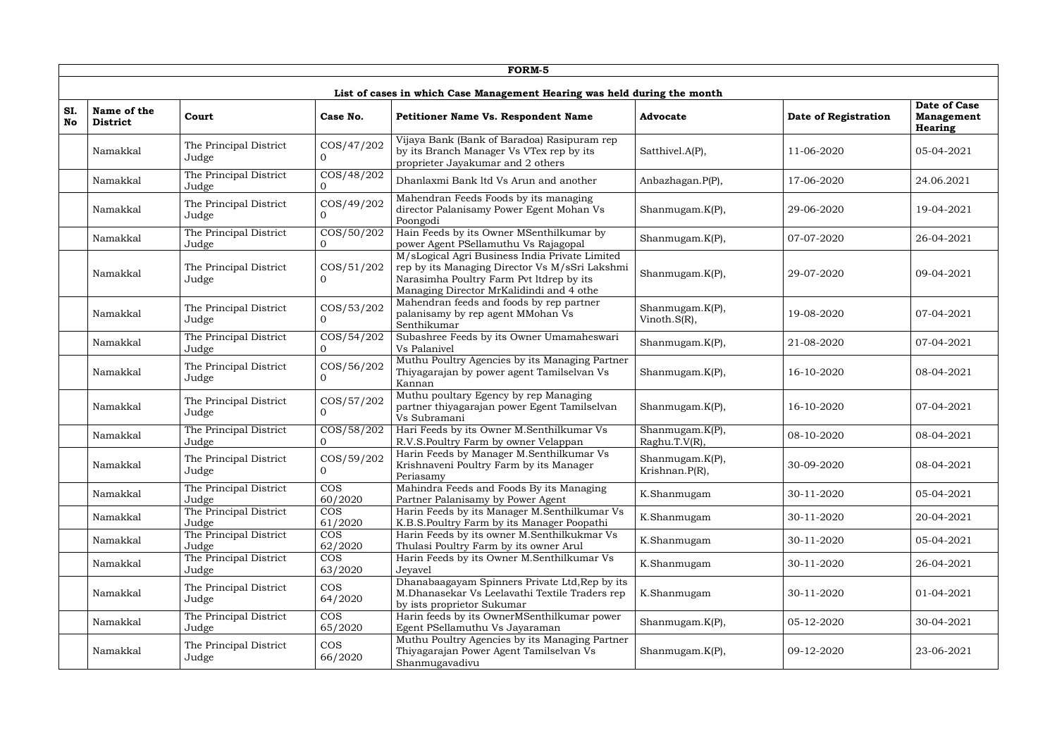|                  |                                                                          |                                 |                              | FORM-5                                                                                                                                                                                   |                                   |                      |                                              |  |  |  |
|------------------|--------------------------------------------------------------------------|---------------------------------|------------------------------|------------------------------------------------------------------------------------------------------------------------------------------------------------------------------------------|-----------------------------------|----------------------|----------------------------------------------|--|--|--|
|                  | List of cases in which Case Management Hearing was held during the month |                                 |                              |                                                                                                                                                                                          |                                   |                      |                                              |  |  |  |
| SI.<br><b>No</b> | Name of the<br><b>District</b>                                           | Court                           | Case No.                     | <b>Petitioner Name Vs. Respondent Name</b>                                                                                                                                               | <b>Advocate</b>                   | Date of Registration | Date of Case<br><b>Management</b><br>Hearing |  |  |  |
|                  | Namakkal                                                                 | The Principal District<br>Judge | COS/47/202<br>$\Omega$       | Vijaya Bank (Bank of Baradoa) Rasipuram rep<br>by its Branch Manager Vs VTex rep by its<br>proprieter Jayakumar and 2 others                                                             | Satthivel.A(P),                   | 11-06-2020           | 05-04-2021                                   |  |  |  |
|                  | Namakkal                                                                 | The Principal District<br>Judge | COS/48/202<br>$\Omega$       | Dhanlaxmi Bank ltd Vs Arun and another                                                                                                                                                   | Anbazhagan.P(P),                  | 17-06-2020           | 24.06.2021                                   |  |  |  |
|                  | Namakkal                                                                 | The Principal District<br>Judge | COS/49/202<br>$\Omega$       | Mahendran Feeds Foods by its managing<br>director Palanisamy Power Egent Mohan Vs<br>Poongodi                                                                                            | Shanmugam.K(P),                   | 29-06-2020           | 19-04-2021                                   |  |  |  |
|                  | Namakkal                                                                 | The Principal District<br>Judge | COS/50/202<br>$\overline{0}$ | Hain Feeds by its Owner MSenthilkumar by<br>power Agent PSellamuthu Vs Rajagopal                                                                                                         | Shanmugam.K(P),                   | 07-07-2020           | 26-04-2021                                   |  |  |  |
|                  | Namakkal                                                                 | The Principal District<br>Judge | $\cos/51/202$<br>$\Omega$    | M/sLogical Agri Business India Private Limited<br>rep by its Managing Director Vs M/sSri Lakshmi<br>Narasimha Poultry Farm Pvt ltdrep by its<br>Managing Director MrKalidindi and 4 othe | Shanmugam.K(P),                   | 29-07-2020           | 09-04-2021                                   |  |  |  |
|                  | Namakkal                                                                 | The Principal District<br>Judge | COS/53/202<br>$\Omega$       | Mahendran feeds and foods by rep partner<br>palanisamy by rep agent MMohan Vs<br>Senthikumar                                                                                             | Shanmugam.K(P),<br>Vinoth.S(R),   | 19-08-2020           | 07-04-2021                                   |  |  |  |
|                  | Namakkal                                                                 | The Principal District<br>Judge | COS/54/202<br>$\overline{0}$ | Subashree Feeds by its Owner Umamaheswari<br>Vs Palanivel                                                                                                                                | Shanmugam.K(P),                   | 21-08-2020           | 07-04-2021                                   |  |  |  |
|                  | Namakkal                                                                 | The Principal District<br>Judge | COS/56/202<br>$\Omega$       | Muthu Poultry Agencies by its Managing Partner<br>Thiyagarajan by power agent Tamilselvan Vs<br>Kannan                                                                                   | Shanmugam.K(P),                   | 16-10-2020           | 08-04-2021                                   |  |  |  |
|                  | Namakkal                                                                 | The Principal District<br>Judge | COS/57/202<br>$\Omega$       | Muthu poultary Egency by rep Managing<br>partner thiyagarajan power Egent Tamilselvan<br>Vs Subramani                                                                                    | Shanmugam.K(P),                   | 16-10-2020           | 07-04-2021                                   |  |  |  |
|                  | Namakkal                                                                 | The Principal District<br>Judge | COS/58/202<br>$\Omega$       | Hari Feeds by its Owner M.Senthilkumar Vs<br>R.V.S.Poultry Farm by owner Velappan                                                                                                        | Shanmugam.K(P),<br>Raghu.T.V(R),  | 08-10-2020           | 08-04-2021                                   |  |  |  |
|                  | Namakkal                                                                 | The Principal District<br>Judge | COS/59/202<br>$\overline{0}$ | Harin Feeds by Manager M.Senthilkumar Vs<br>Krishnaveni Poultry Farm by its Manager<br>Periasamy                                                                                         | Shanmugam.K(P),<br>Krishnan.P(R), | 30-09-2020           | 08-04-2021                                   |  |  |  |
|                  | Namakkal                                                                 | The Principal District<br>Judge | <b>COS</b><br>60/2020        | Mahindra Feeds and Foods By its Managing<br>Partner Palanisamy by Power Agent                                                                                                            | K.Shanmugam                       | 30-11-2020           | 05-04-2021                                   |  |  |  |
|                  | Namakkal                                                                 | The Principal District<br>Judge | <b>COS</b><br>61/2020        | Harin Feeds by its Manager M.Senthilkumar Vs<br>K.B.S.Poultry Farm by its Manager Poopathi                                                                                               | K.Shanmugam                       | 30-11-2020           | 20-04-2021                                   |  |  |  |
|                  | Namakkal                                                                 | The Principal District<br>Judge | <b>COS</b><br>62/2020        | Harin Feeds by its owner M.Senthilkukmar Vs<br>Thulasi Poultry Farm by its owner Arul                                                                                                    | K.Shanmugam                       | 30-11-2020           | 05-04-2021                                   |  |  |  |
|                  | Namakkal                                                                 | The Principal District<br>Judge | <b>COS</b><br>63/2020        | Harin Feeds by its Owner M.Senthilkumar Vs<br><b>Jeyavel</b>                                                                                                                             | K.Shanmugam                       | 30-11-2020           | 26-04-2021                                   |  |  |  |
|                  | Namakkal                                                                 | The Principal District<br>Judge | <b>COS</b><br>64/2020        | Dhanabaagayam Spinners Private Ltd, Rep by its<br>M.Dhanasekar Vs Leelavathi Textile Traders rep<br>by ists proprietor Sukumar                                                           | K.Shanmugam                       | 30-11-2020           | 01-04-2021                                   |  |  |  |
|                  | Namakkal                                                                 | The Principal District<br>Judge | <b>COS</b><br>65/2020        | Harin feeds by its OwnerMSenthilkumar power<br>Egent PSellamuthu Vs Jayaraman                                                                                                            | Shanmugam.K(P),                   | 05-12-2020           | 30-04-2021                                   |  |  |  |
|                  | Namakkal                                                                 | The Principal District<br>Judge | <b>COS</b><br>66/2020        | Muthu Poultry Agencies by its Managing Partner<br>Thiyagarajan Power Agent Tamilselvan Vs<br>Shanmugavadivu                                                                              | Shanmugam.K(P),                   | 09-12-2020           | 23-06-2021                                   |  |  |  |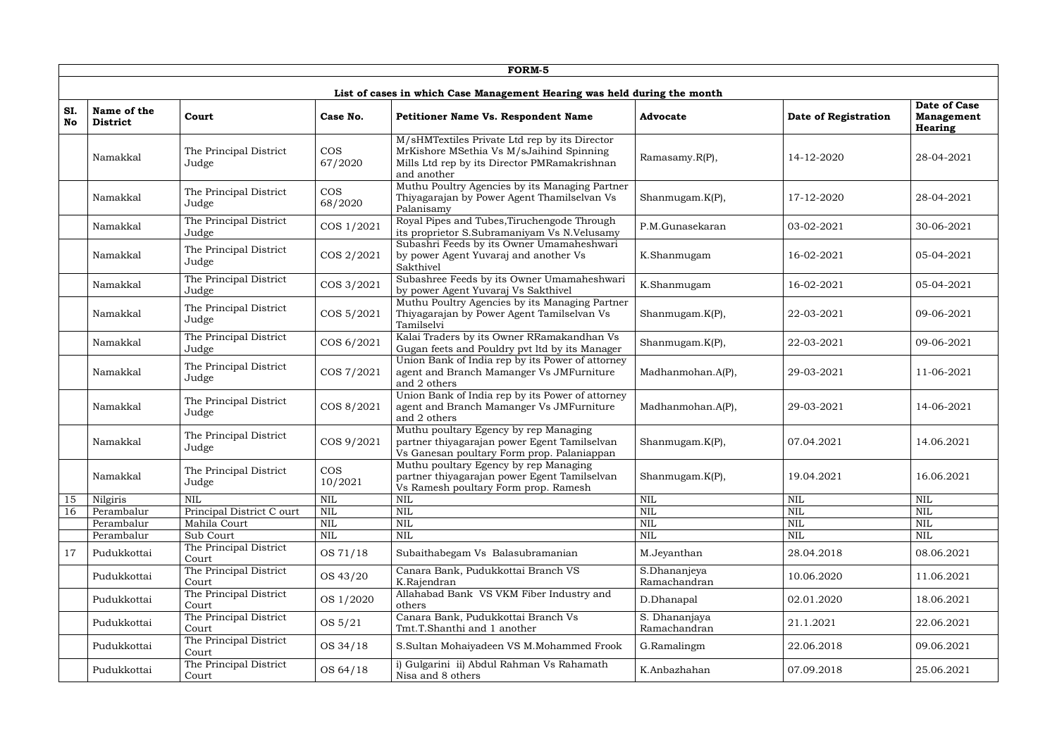|                  |                                                                          |                                 |                       | FORM-5                                                                                                                                                   |                               |                      |                                                     |  |  |  |  |
|------------------|--------------------------------------------------------------------------|---------------------------------|-----------------------|----------------------------------------------------------------------------------------------------------------------------------------------------------|-------------------------------|----------------------|-----------------------------------------------------|--|--|--|--|
|                  | List of cases in which Case Management Hearing was held during the month |                                 |                       |                                                                                                                                                          |                               |                      |                                                     |  |  |  |  |
| SI.<br><b>No</b> | Name of the<br><b>District</b>                                           | Court                           | Case No.              | Petitioner Name Vs. Respondent Name                                                                                                                      | <b>Advocate</b>               | Date of Registration | Date of Case<br><b>Management</b><br><b>Hearing</b> |  |  |  |  |
|                  | Namakkal                                                                 | The Principal District<br>Judge | <b>COS</b><br>67/2020 | M/sHMTextiles Private Ltd rep by its Director<br>MrKishore MSethia Vs M/sJaihind Spinning<br>Mills Ltd rep by its Director PMRamakrishnan<br>and another | Ramasamy.R(P),                | 14-12-2020           | 28-04-2021                                          |  |  |  |  |
|                  | Namakkal                                                                 | The Principal District<br>Judge | <b>COS</b><br>68/2020 | Muthu Poultry Agencies by its Managing Partner<br>Thiyagarajan by Power Agent Thamilselvan Vs<br>Palanisamy                                              | Shanmugam.K(P),               | 17-12-2020           | 28-04-2021                                          |  |  |  |  |
|                  | Namakkal                                                                 | The Principal District<br>Judge | COS 1/2021            | Royal Pipes and Tubes, Tiruchengode Through<br>its proprietor S.Subramaniyam Vs N.Velusamy                                                               | P.M.Gunasekaran               | 03-02-2021           | 30-06-2021                                          |  |  |  |  |
|                  | Namakkal                                                                 | The Principal District<br>Judge | COS 2/2021            | Subashri Feeds by its Owner Umamaheshwari<br>by power Agent Yuvaraj and another Vs<br>Sakthivel                                                          | K.Shanmugam                   | 16-02-2021           | 05-04-2021                                          |  |  |  |  |
|                  | Namakkal                                                                 | The Principal District<br>Judge | COS 3/2021            | Subashree Feeds by its Owner Umamaheshwari<br>by power Agent Yuvaraj Vs Sakthivel                                                                        | K.Shanmugam                   | 16-02-2021           | 05-04-2021                                          |  |  |  |  |
|                  | Namakkal                                                                 | The Principal District<br>Judge | COS 5/2021            | Muthu Poultry Agencies by its Managing Partner<br>Thiyagarajan by Power Agent Tamilselvan Vs<br>Tamilselvi                                               | Shanmugam.K(P),               | 22-03-2021           | 09-06-2021                                          |  |  |  |  |
|                  | Namakkal                                                                 | The Principal District<br>Judge | COS 6/2021            | Kalai Traders by its Owner RRamakandhan Vs<br>Gugan feets and Pouldry pvt ltd by its Manager                                                             | Shanmugam.K(P),               | 22-03-2021           | 09-06-2021                                          |  |  |  |  |
|                  | Namakkal                                                                 | The Principal District<br>Judge | COS 7/2021            | Union Bank of India rep by its Power of attorney<br>agent and Branch Mamanger Vs JMFurniture<br>and 2 others                                             | Madhanmohan.A(P),             | 29-03-2021           | 11-06-2021                                          |  |  |  |  |
|                  | Namakkal                                                                 | The Principal District<br>Judge | COS 8/2021            | Union Bank of India rep by its Power of attorney<br>agent and Branch Mamanger Vs JMFurniture<br>and 2 others                                             | Madhanmohan.A(P),             | 29-03-2021           | 14-06-2021                                          |  |  |  |  |
|                  | Namakkal                                                                 | The Principal District<br>Judge | COS 9/2021            | Muthu poultary Egency by rep Managing<br>partner thiyagarajan power Egent Tamilselvan<br>Vs Ganesan poultary Form prop. Palaniappan                      | Shanmugam.K(P),               | 07.04.2021           | 14.06.2021                                          |  |  |  |  |
|                  | Namakkal                                                                 | The Principal District<br>Judge | <b>COS</b><br>10/2021 | Muthu poultary Egency by rep Managing<br>partner thiyagarajan power Egent Tamilselvan<br>Vs Ramesh poultary Form prop. Ramesh                            | Shanmugam.K(P),               | 19.04.2021           | 16.06.2021                                          |  |  |  |  |
| 15               | Nilgiris                                                                 | <b>NIL</b>                      | <b>NIL</b>            | <b>NIL</b>                                                                                                                                               | <b>NIL</b>                    | NIL                  | <b>NIL</b>                                          |  |  |  |  |
| 16               | Perambalur                                                               | Principal District C ourt       | <b>NIL</b>            | <b>NIL</b>                                                                                                                                               | <b>NIL</b>                    | NIL                  | <b>NIL</b>                                          |  |  |  |  |
|                  | Perambalur                                                               | Mahila Court                    | <b>NIL</b>            | <b>NIL</b>                                                                                                                                               | $\mbox{NIL}$                  | <b>NIL</b>           | $\mbox{NIL}$                                        |  |  |  |  |
|                  | Perambalur                                                               | Sub Court                       | <b>NIL</b>            | <b>NIL</b>                                                                                                                                               | $\mbox{NIL}$                  | <b>NIL</b>           | $\mbox{NIL}$                                        |  |  |  |  |
| 17               | Pudukkottai                                                              | The Principal District<br>Court | OS 71/18              | Subaithabegam Vs Balasubramanian                                                                                                                         | M.Jeyanthan                   | 28.04.2018           | 08.06.2021                                          |  |  |  |  |
|                  | Pudukkottai                                                              | The Principal District<br>Court | OS 43/20              | Canara Bank, Pudukkottai Branch VS<br>K.Rajendran                                                                                                        | S.Dhananjeya<br>Ramachandran  | 10.06.2020           | 11.06.2021                                          |  |  |  |  |
|                  | Pudukkottai                                                              | The Principal District<br>Court | OS 1/2020             | Allahabad Bank VS VKM Fiber Industry and<br>others                                                                                                       | D.Dhanapal                    | 02.01.2020           | 18.06.2021                                          |  |  |  |  |
|                  | Pudukkottai                                                              | The Principal District<br>Court | OS 5/21               | Canara Bank, Pudukkottai Branch Vs<br>Tmt.T.Shanthi and 1 another                                                                                        | S. Dhananjaya<br>Ramachandran | 21.1.2021            | 22.06.2021                                          |  |  |  |  |
|                  | Pudukkottai                                                              | The Principal District<br>Court | OS 34/18              | S.Sultan Mohaiyadeen VS M.Mohammed Frook                                                                                                                 | G.Ramalingm                   | 22.06.2018           | 09.06.2021                                          |  |  |  |  |
|                  | Pudukkottai                                                              | The Principal District<br>Court | OS 64/18              | i) Gulgarini ii) Abdul Rahman Vs Rahamath<br>Nisa and 8 others                                                                                           | K.Anbazhahan                  | 07.09.2018           | 25.06.2021                                          |  |  |  |  |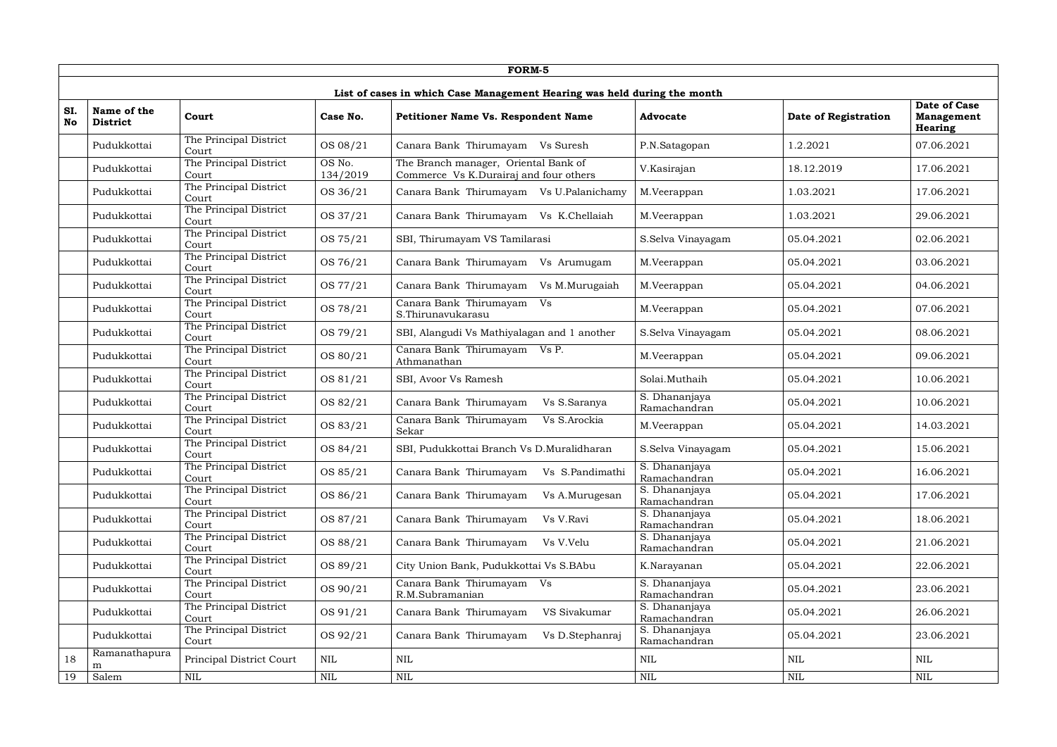|                  |                                                                          |                                 |                    | <b>FORM-5</b>                                                                  |                               |                      |                                              |  |  |  |  |  |
|------------------|--------------------------------------------------------------------------|---------------------------------|--------------------|--------------------------------------------------------------------------------|-------------------------------|----------------------|----------------------------------------------|--|--|--|--|--|
|                  | List of cases in which Case Management Hearing was held during the month |                                 |                    |                                                                                |                               |                      |                                              |  |  |  |  |  |
| SI.<br><b>No</b> | Name of the<br><b>District</b>                                           | Court                           | Case No.           | Petitioner Name Vs. Respondent Name                                            | <b>Advocate</b>               | Date of Registration | Date of Case<br><b>Management</b><br>Hearing |  |  |  |  |  |
|                  | Pudukkottai                                                              | The Principal District<br>Court | OS 08/21           | Canara Bank Thirumayam Vs Suresh                                               | P.N.Satagopan                 | 1.2.2021             | 07.06.2021                                   |  |  |  |  |  |
|                  | Pudukkottai                                                              | The Principal District<br>Court | OS No.<br>134/2019 | The Branch manager, Oriental Bank of<br>Commerce Vs K.Durairaj and four others | V.Kasirajan                   | 18.12.2019           | 17.06.2021                                   |  |  |  |  |  |
|                  | Pudukkottai                                                              | The Principal District<br>Court | OS 36/21           | Canara Bank Thirumayam Vs U.Palanichamy                                        | M.Veerappan                   | 1.03.2021            | 17.06.2021                                   |  |  |  |  |  |
|                  | Pudukkottai                                                              | The Principal District<br>Court | OS 37/21           | Canara Bank Thirumayam<br>Vs K.Chellaiah                                       | M.Veerappan                   | 1.03.2021            | 29.06.2021                                   |  |  |  |  |  |
|                  | Pudukkottai                                                              | The Principal District<br>Court | OS 75/21           | SBI, Thirumayam VS Tamilarasi                                                  | S.Selva Vinayagam             | 05.04.2021           | 02.06.2021                                   |  |  |  |  |  |
|                  | Pudukkottai                                                              | The Principal District<br>Court | OS 76/21           | Canara Bank Thirumayam<br>Vs Arumugam                                          | M.Veerappan                   | 05.04.2021           | 03.06.2021                                   |  |  |  |  |  |
|                  | Pudukkottai                                                              | The Principal District<br>Court | OS 77/21           | Canara Bank Thirumayam<br>Vs M.Murugaiah                                       | M.Veerappan                   | 05.04.2021           | 04.06.2021                                   |  |  |  |  |  |
|                  | Pudukkottai                                                              | The Principal District<br>Court | OS 78/21           | Canara Bank Thirumayam<br>Vs<br>S.Thirunavukarasu                              | M.Veerappan                   | 05.04.2021           | 07.06.2021                                   |  |  |  |  |  |
|                  | Pudukkottai                                                              | The Principal District<br>Court | OS 79/21           | SBI, Alangudi Vs Mathiyalagan and 1 another                                    | S.Selva Vinayagam             | 05.04.2021           | 08.06.2021                                   |  |  |  |  |  |
|                  | Pudukkottai                                                              | The Principal District<br>Court | OS 80/21           | Canara Bank Thirumayam Vs P.<br>Athmanathan                                    | M.Veerappan                   | 05.04.2021           | 09.06.2021                                   |  |  |  |  |  |
|                  | Pudukkottai                                                              | The Principal District<br>Court | OS 81/21           | SBI, Avoor Vs Ramesh                                                           | Solai.Muthaih                 | 05.04.2021           | 10.06.2021                                   |  |  |  |  |  |
|                  | Pudukkottai                                                              | The Principal District<br>Court | OS 82/21           | Canara Bank Thirumayam<br>Vs S.Saranya                                         | S. Dhananjaya<br>Ramachandran | 05.04.2021           | 10.06.2021                                   |  |  |  |  |  |
|                  | Pudukkottai                                                              | The Principal District<br>Court | OS 83/21           | Canara Bank Thirumayam<br>Vs S.Arockia<br>Sekar                                | M.Veerappan                   | 05.04.2021           | 14.03.2021                                   |  |  |  |  |  |
|                  | Pudukkottai                                                              | The Principal District<br>Court | OS 84/21           | SBI, Pudukkottai Branch Vs D.Muralidharan                                      | S.Selva Vinayagam             | 05.04.2021           | 15.06.2021                                   |  |  |  |  |  |
|                  | Pudukkottai                                                              | The Principal District<br>Court | OS 85/21           | Vs S.Pandimathi<br>Canara Bank Thirumayam                                      | S. Dhananjaya<br>Ramachandran | 05.04.2021           | 16.06.2021                                   |  |  |  |  |  |
|                  | Pudukkottai                                                              | The Principal District<br>Court | OS 86/21           | Canara Bank Thirumayam<br>Vs A.Murugesan                                       | S. Dhananjaya<br>Ramachandran | 05.04.2021           | 17.06.2021                                   |  |  |  |  |  |
|                  | Pudukkottai                                                              | The Principal District<br>Court | OS 87/21           | Canara Bank Thirumayam<br>Vs V.Ravi                                            | S. Dhananjaya<br>Ramachandran | 05.04.2021           | 18.06.2021                                   |  |  |  |  |  |
|                  | Pudukkottai                                                              | The Principal District<br>Court | OS 88/21           | Canara Bank Thirumayam<br>Vs V.Velu                                            | S. Dhananjaya<br>Ramachandran | 05.04.2021           | 21.06.2021                                   |  |  |  |  |  |
|                  | Pudukkottai                                                              | The Principal District<br>Court | OS 89/21           | City Union Bank, Pudukkottai Vs S.BAbu                                         | K.Narayanan                   | 05.04.2021           | 22.06.2021                                   |  |  |  |  |  |
|                  | Pudukkottai                                                              | The Principal District<br>Court | OS 90/21           | Canara Bank Thirumayam Vs<br>R.M.Subramanian                                   | S. Dhananjaya<br>Ramachandran | 05.04.2021           | 23.06.2021                                   |  |  |  |  |  |
|                  | Pudukkottai                                                              | The Principal District<br>Court | OS 91/21           | Canara Bank Thirumayam<br>VS Sivakumar                                         | S. Dhananjaya<br>Ramachandran | 05.04.2021           | 26.06.2021                                   |  |  |  |  |  |
|                  | Pudukkottai                                                              | The Principal District<br>Court | OS 92/21           | Canara Bank Thirumayam<br>Vs D.Stephanraj                                      | S. Dhananjaya<br>Ramachandran | 05.04.2021           | 23.06.2021                                   |  |  |  |  |  |
| 18               | Ramanathapura<br>m                                                       | Principal District Court        | $\mbox{NIL}$       | $\mbox{NIL}$                                                                   | $\mbox{NIL}$                  | <b>NIL</b>           | $\mbox{NIL}$                                 |  |  |  |  |  |
| 19               | Salem                                                                    | $\mbox{NIL}$                    | <b>NIL</b>         | $\mbox{NIL}$                                                                   | <b>NIL</b>                    | $\mbox{NIL}$         | <b>NIL</b>                                   |  |  |  |  |  |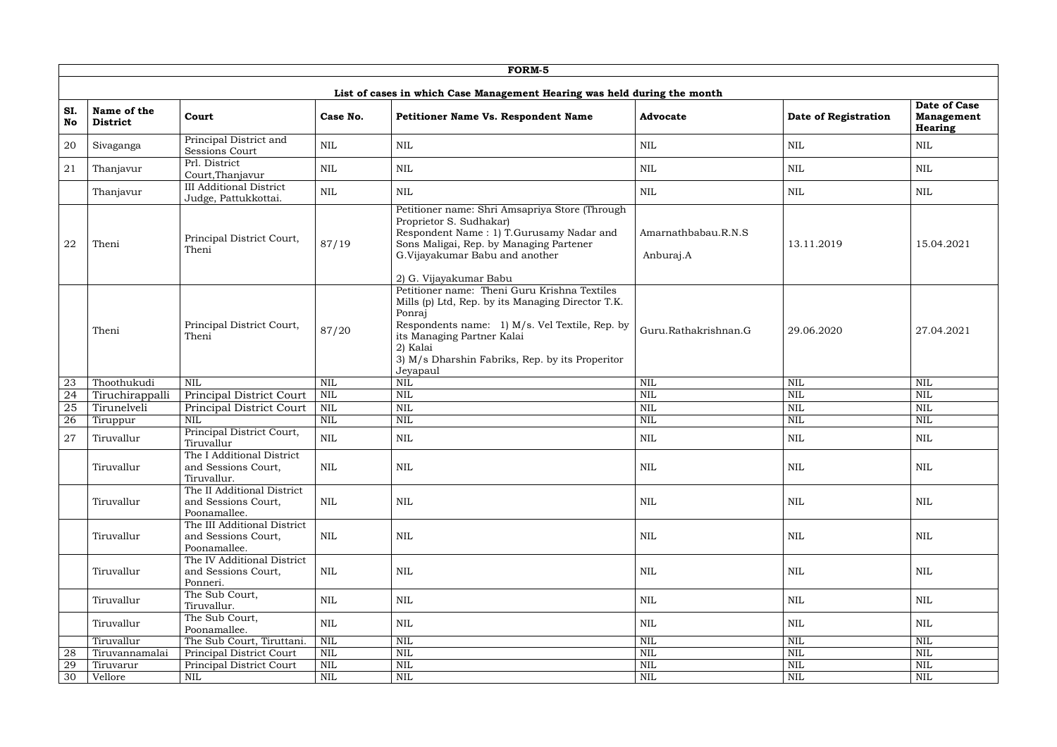|                  | <b>FORM-5</b>                  |                                                                    |              |                                                                                                                                                                                                                                                                        |                                  |                      |                                                     |  |  |  |  |
|------------------|--------------------------------|--------------------------------------------------------------------|--------------|------------------------------------------------------------------------------------------------------------------------------------------------------------------------------------------------------------------------------------------------------------------------|----------------------------------|----------------------|-----------------------------------------------------|--|--|--|--|
|                  |                                |                                                                    |              |                                                                                                                                                                                                                                                                        |                                  |                      |                                                     |  |  |  |  |
| SI.<br><b>No</b> | Name of the<br><b>District</b> | Court                                                              | Case No.     | List of cases in which Case Management Hearing was held during the month<br><b>Petitioner Name Vs. Respondent Name</b>                                                                                                                                                 | <b>Advocate</b>                  | Date of Registration | Date of Case<br><b>Management</b><br><b>Hearing</b> |  |  |  |  |
| 20               | Sivaganga                      | Principal District and<br>Sessions Court                           | <b>NIL</b>   | <b>NIL</b>                                                                                                                                                                                                                                                             | <b>NIL</b>                       | <b>NIL</b>           | NIL                                                 |  |  |  |  |
| 21               | Thanjavur                      | Prl. District<br>Court, Thanjavur                                  | <b>NIL</b>   | <b>NIL</b>                                                                                                                                                                                                                                                             | <b>NIL</b>                       | <b>NIL</b>           | <b>NIL</b>                                          |  |  |  |  |
|                  | Thanjavur                      | <b>III Additional District</b><br>Judge, Pattukkottai.             | <b>NIL</b>   | <b>NIL</b>                                                                                                                                                                                                                                                             | <b>NIL</b>                       | <b>NIL</b>           | <b>NIL</b>                                          |  |  |  |  |
| 22               | Theni                          | Principal District Court,<br>Theni                                 | 87/19        | Petitioner name: Shri Amsapriya Store (Through<br>Proprietor S. Sudhakar)<br>Respondent Name: 1) T.Gurusamy Nadar and<br>Sons Maligai, Rep. by Managing Partener<br>G.Vijayakumar Babu and another<br>2) G. Vijayakumar Babu                                           | Amarnathbabau.R.N.S<br>Anburaj.A | 13.11.2019           | 15.04.2021                                          |  |  |  |  |
|                  | Theni                          | Principal District Court,<br>Theni                                 | 87/20        | Petitioner name: Theni Guru Krishna Textiles<br>Mills (p) Ltd, Rep. by its Managing Director T.K.<br>Ponraj<br>Respondents name: 1) M/s. Vel Textile, Rep. by<br>its Managing Partner Kalai<br>2) Kalai<br>3) M/s Dharshin Fabriks, Rep. by its Properitor<br>Jeyapaul | Guru.Rathakrishnan.G             | 29.06.2020           | 27.04.2021                                          |  |  |  |  |
| 23               | Thoothukudi                    | <b>NIL</b>                                                         | <b>NIL</b>   | <b>NIL</b>                                                                                                                                                                                                                                                             | <b>NIL</b>                       | <b>NIL</b>           | <b>NIL</b>                                          |  |  |  |  |
| $\overline{24}$  | Tiruchirappalli                | Principal District Court                                           | $\mbox{NIL}$ | <b>NIL</b>                                                                                                                                                                                                                                                             | <b>NIL</b>                       | <b>NIL</b>           | $\mbox{NIL}$                                        |  |  |  |  |
| 25               | Tirunelveli                    | Principal District Court                                           | <b>NIL</b>   | <b>NIL</b>                                                                                                                                                                                                                                                             | <b>NIL</b>                       | <b>NIL</b>           | $\mbox{NIL}$                                        |  |  |  |  |
| 26               | Tiruppur                       | <b>NIL</b>                                                         | <b>NIL</b>   | <b>NIL</b>                                                                                                                                                                                                                                                             | <b>NIL</b>                       | <b>NIL</b>           | <b>NIL</b>                                          |  |  |  |  |
| 27               | Tiruvallur                     | Principal District Court,<br>Tiruvallur                            | <b>NIL</b>   | <b>NIL</b>                                                                                                                                                                                                                                                             | <b>NIL</b>                       | <b>NIL</b>           | <b>NIL</b>                                          |  |  |  |  |
|                  | Tiruvallur                     | The I Additional District<br>and Sessions Court,<br>Tiruvallur.    | $\mbox{NIL}$ | <b>NIL</b>                                                                                                                                                                                                                                                             | $\mbox{NIL}$                     | $\mbox{NIL}$         | <b>NIL</b>                                          |  |  |  |  |
|                  | Tiruvallur                     | The II Additional District<br>and Sessions Court,<br>Poonamallee.  | <b>NIL</b>   | <b>NIL</b>                                                                                                                                                                                                                                                             | <b>NIL</b>                       | $\mbox{NIL}$         | <b>NIL</b>                                          |  |  |  |  |
|                  | Tiruvallur                     | The III Additional District<br>and Sessions Court,<br>Poonamallee. | <b>NIL</b>   | $\mbox{NIL}$                                                                                                                                                                                                                                                           | <b>NIL</b>                       | <b>NIL</b>           | NIL                                                 |  |  |  |  |
|                  | Tiruvallur                     | The IV Additional District<br>and Sessions Court,<br>Ponneri.      | NIL          | <b>NIL</b>                                                                                                                                                                                                                                                             | <b>NIL</b>                       | $\mbox{NIL}$         | <b>NIL</b>                                          |  |  |  |  |
|                  | Tiruvallur                     | The Sub Court,<br>Tiruvallur.                                      | <b>NIL</b>   | <b>NIL</b>                                                                                                                                                                                                                                                             | <b>NIL</b>                       | $\mbox{NIL}$         | NIL                                                 |  |  |  |  |
|                  | Tiruvallur                     | The Sub Court,<br>Poonamallee.                                     | <b>NIL</b>   | <b>NIL</b>                                                                                                                                                                                                                                                             | <b>NIL</b>                       | <b>NIL</b>           | NIL                                                 |  |  |  |  |
|                  | Tiruvallur                     | The Sub Court, Tiruttani.                                          | $\mbox{NIL}$ | <b>NIL</b>                                                                                                                                                                                                                                                             | <b>NIL</b>                       | <b>NIL</b>           | <b>NIL</b>                                          |  |  |  |  |
| 28               | Tiruvannamalai                 | Principal District Court                                           | NIL          | $\mbox{NIL}$                                                                                                                                                                                                                                                           | $\textsc{NIL}$                   | <b>NIL</b>           | NIL                                                 |  |  |  |  |
| 29               | Tiruvarur                      | Principal District Court                                           | NIL          | $\mbox{NIL}$                                                                                                                                                                                                                                                           | $\mbox{NIL}$                     | NIL                  | NIL                                                 |  |  |  |  |
| 30               | Vellore                        | <b>NIL</b>                                                         | <b>NIL</b>   | $\mbox{NIL}$                                                                                                                                                                                                                                                           | <b>NIL</b>                       | <b>NIL</b>           | NIL                                                 |  |  |  |  |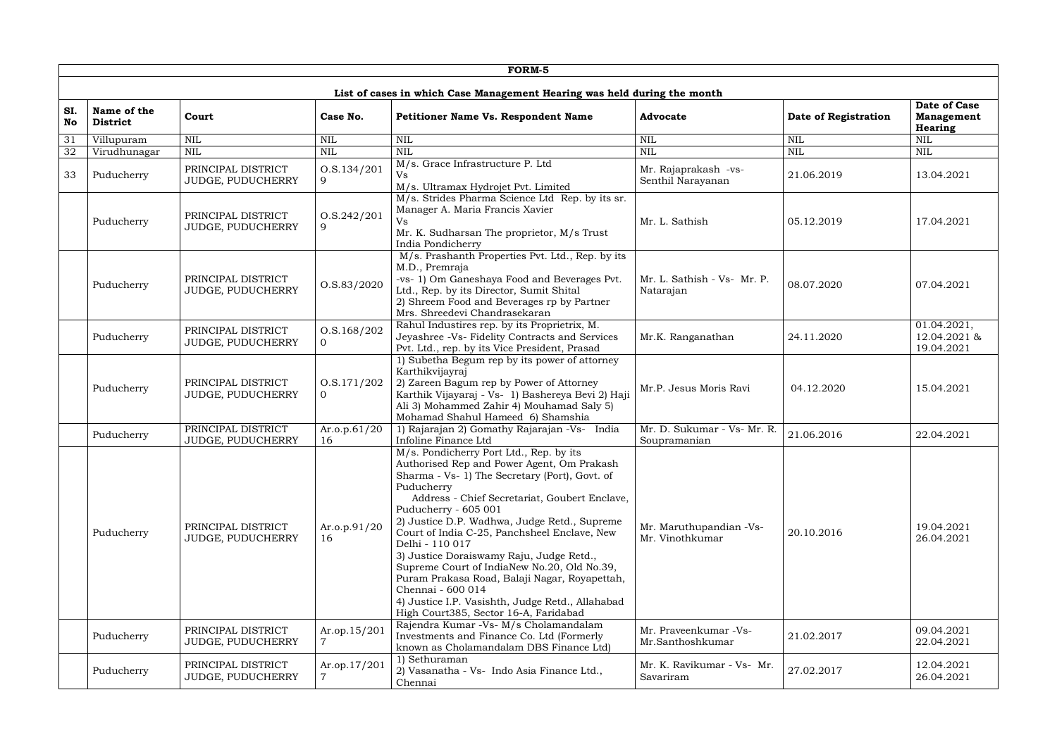|                  |                                |                                                |                                   | <b>FORM-5</b>                                                                                                                                                                                                                                                                                                                                                                                                                                                                                                                                                          |                                             |                      |                                                     |
|------------------|--------------------------------|------------------------------------------------|-----------------------------------|------------------------------------------------------------------------------------------------------------------------------------------------------------------------------------------------------------------------------------------------------------------------------------------------------------------------------------------------------------------------------------------------------------------------------------------------------------------------------------------------------------------------------------------------------------------------|---------------------------------------------|----------------------|-----------------------------------------------------|
|                  |                                |                                                |                                   | List of cases in which Case Management Hearing was held during the month                                                                                                                                                                                                                                                                                                                                                                                                                                                                                               |                                             |                      |                                                     |
| SI.<br><b>No</b> | Name of the<br><b>District</b> | Court                                          | Case No.                          | <b>Petitioner Name Vs. Respondent Name</b>                                                                                                                                                                                                                                                                                                                                                                                                                                                                                                                             | <b>Advocate</b>                             | Date of Registration | <b>Date of Case</b><br><b>Management</b><br>Hearing |
| 31               | Villupuram                     | <b>NIL</b>                                     | <b>NIL</b>                        | <b>NIL</b>                                                                                                                                                                                                                                                                                                                                                                                                                                                                                                                                                             | <b>NIL</b>                                  | <b>NIL</b>           | $\overline{\text{NIL}}$                             |
| 32               | Virudhunagar                   | $\mbox{NIL}$                                   | $\mbox{NIL}$                      | <b>NIL</b>                                                                                                                                                                                                                                                                                                                                                                                                                                                                                                                                                             | $\mbox{NIL}$                                | <b>NIL</b>           | $\text{NIL}$                                        |
| 33               | Puducherry                     | PRINCIPAL DISTRICT<br>JUDGE, PUDUCHERRY        | 0. S. 134 / 201<br>9              | M/s. Grace Infrastructure P. Ltd<br>M/s. Ultramax Hydrojet Pvt. Limited                                                                                                                                                                                                                                                                                                                                                                                                                                                                                                | Mr. Rajaprakash -vs-<br>Senthil Narayanan   | 21.06.2019           | 13.04.2021                                          |
|                  | Puducherry                     | PRINCIPAL DISTRICT<br>JUDGE, PUDUCHERRY        | 0. S. 242 / 201<br>9              | M/s. Strides Pharma Science Ltd Rep. by its sr.<br>Manager A. Maria Francis Xavier<br>Vs<br>Mr. K. Sudharsan The proprietor, M/s Trust<br>India Pondicherry                                                                                                                                                                                                                                                                                                                                                                                                            | Mr. L. Sathish                              | 05.12.2019           | 17.04.2021                                          |
|                  | Puducherry                     | PRINCIPAL DISTRICT<br>JUDGE, PUDUCHERRY        | 0. S. 83 / 2020                   | M/s. Prashanth Properties Pvt. Ltd., Rep. by its<br>M.D., Premraja<br>-vs- 1) Om Ganeshaya Food and Beverages Pvt.<br>Ltd., Rep. by its Director, Sumit Shital<br>2) Shreem Food and Beverages rp by Partner<br>Mrs. Shreedevi Chandrasekaran                                                                                                                                                                                                                                                                                                                          | Mr. L. Sathish - Vs- Mr. P.<br>Natarajan    | 08.07.2020           | 07.04.2021                                          |
|                  | Puducherry                     | PRINCIPAL DISTRICT<br>JUDGE, PUDUCHERRY        | 0. S. 168 / 202<br>$\overline{0}$ | Rahul Industires rep. by its Proprietrix, M.<br>Jeyashree -Vs- Fidelity Contracts and Services<br>Pvt. Ltd., rep. by its Vice President, Prasad                                                                                                                                                                                                                                                                                                                                                                                                                        | Mr.K. Ranganathan                           | 24.11.2020           | 01.04.2021,<br>12.04.2021 &<br>19.04.2021           |
|                  | Puducherry                     | PRINCIPAL DISTRICT<br>JUDGE, PUDUCHERRY        | O.S.171/202<br>$\overline{0}$     | 1) Subetha Begum rep by its power of attorney<br>Karthikvijayraj<br>2) Zareen Bagum rep by Power of Attorney<br>Karthik Vijayaraj - Vs- 1) Bashereya Bevi 2) Haji<br>Ali 3) Mohammed Zahir 4) Mouhamad Saly 5)<br>Mohamad Shahul Hameed 6) Shamshia                                                                                                                                                                                                                                                                                                                    | Mr.P. Jesus Moris Ravi                      | 04.12.2020           | 15.04.2021                                          |
|                  | Puducherry                     | PRINCIPAL DISTRICT<br><b>JUDGE, PUDUCHERRY</b> | Ar.o.p.61/20<br>16                | 1) Rajarajan 2) Gomathy Rajarajan -Vs- India<br>Infoline Finance Ltd                                                                                                                                                                                                                                                                                                                                                                                                                                                                                                   | Mr. D. Sukumar - Vs- Mr. R.<br>Soupramanian | 21.06.2016           | 22.04.2021                                          |
|                  | Puducherry                     | PRINCIPAL DISTRICT<br>JUDGE, PUDUCHERRY        | Ar.o.p.91/20<br>16                | M/s. Pondicherry Port Ltd., Rep. by its<br>Authorised Rep and Power Agent, Om Prakash<br>Sharma - Vs- 1) The Secretary (Port), Govt. of<br>Puducherry<br>Address - Chief Secretariat, Goubert Enclave,<br>Puducherry - 605 001<br>2) Justice D.P. Wadhwa, Judge Retd., Supreme<br>Court of India C-25, Panchsheel Enclave, New<br>Delhi - 110 017<br>3) Justice Doraiswamy Raju, Judge Retd.,<br>Supreme Court of IndiaNew No.20, Old No.39,<br>Puram Prakasa Road, Balaji Nagar, Royapettah,<br>Chennai - 600 014<br>4) Justice I.P. Vasishth, Judge Retd., Allahabad | Mr. Maruthupandian -Vs-<br>Mr. Vinothkumar  | 20.10.2016           | 19.04.2021<br>26.04.2021                            |
|                  | Puducherry                     | PRINCIPAL DISTRICT<br>JUDGE, PUDUCHERRY        | Ar.op.15/201<br>$\overline{7}$    | High Court385, Sector 16-A, Faridabad<br>Rajendra Kumar - Vs- M/s Cholamandalam<br>Investments and Finance Co. Ltd (Formerly<br>known as Cholamandalam DBS Finance Ltd)                                                                                                                                                                                                                                                                                                                                                                                                | Mr. Praveenkumar -Vs-<br>Mr.Santhoshkumar   | 21.02.2017           | 09.04.2021<br>22.04.2021                            |
|                  | Puducherry                     | PRINCIPAL DISTRICT<br>JUDGE, PUDUCHERRY        | Ar.op.17/201                      | 1) Sethuraman<br>2) Vasanatha - Vs- Indo Asia Finance Ltd.,<br>Chennai                                                                                                                                                                                                                                                                                                                                                                                                                                                                                                 | Mr. K. Ravikumar - Vs- Mr.<br>Savariram     | 27.02.2017           | 12.04.2021<br>26.04.2021                            |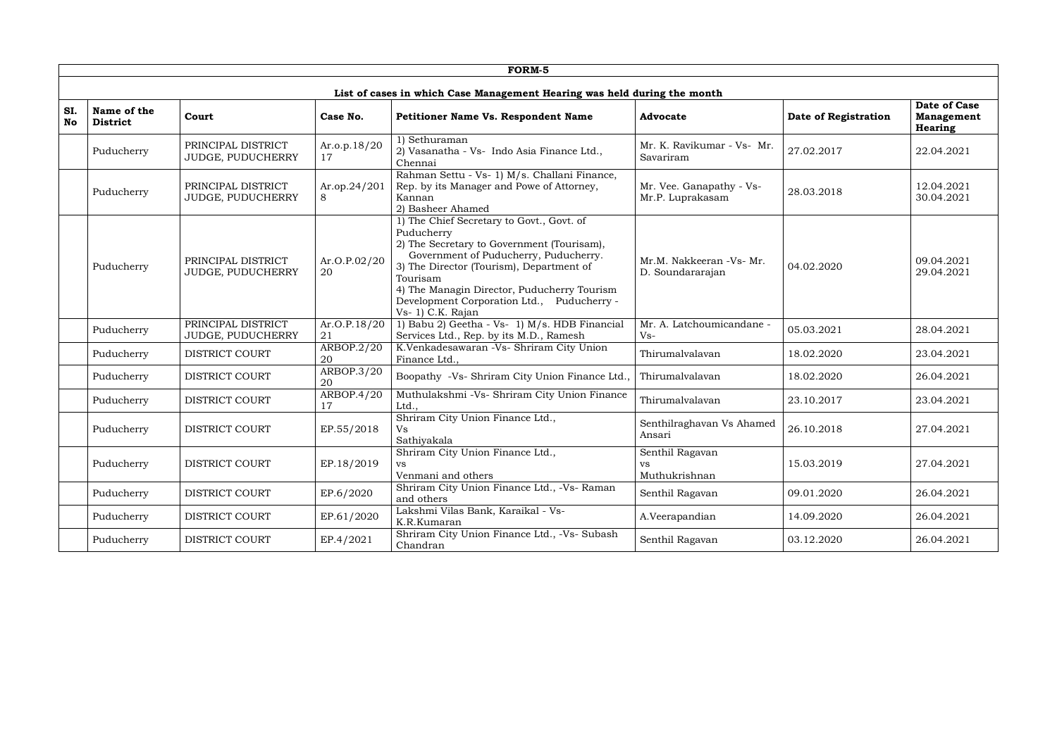|                  | FORM-5                         |                                         |                     |                                                                                                                                                                                                                                                                                                                          |                                               |                      |                                                     |  |  |  |
|------------------|--------------------------------|-----------------------------------------|---------------------|--------------------------------------------------------------------------------------------------------------------------------------------------------------------------------------------------------------------------------------------------------------------------------------------------------------------------|-----------------------------------------------|----------------------|-----------------------------------------------------|--|--|--|
|                  |                                |                                         |                     | List of cases in which Case Management Hearing was held during the month                                                                                                                                                                                                                                                 |                                               |                      |                                                     |  |  |  |
| SI.<br><b>No</b> | Name of the<br><b>District</b> | Court                                   | Case No.            | Petitioner Name Vs. Respondent Name                                                                                                                                                                                                                                                                                      | <b>Advocate</b>                               | Date of Registration | Date of Case<br><b>Management</b><br><b>Hearing</b> |  |  |  |
|                  | Puducherry                     | PRINCIPAL DISTRICT<br>JUDGE, PUDUCHERRY | Ar.o.p.18/20<br>17  | $\overline{1}$ ) Sethuraman<br>2) Vasanatha - Vs- Indo Asia Finance Ltd.,<br>Chennai                                                                                                                                                                                                                                     | Mr. K. Ravikumar - Vs- Mr.<br>Savariram       | 27.02.2017           | 22.04.2021                                          |  |  |  |
|                  | Puducherry                     | PRINCIPAL DISTRICT<br>JUDGE, PUDUCHERRY | Ar.op.24/201<br>8   | Rahman Settu - Vs- 1) M/s. Challani Finance,<br>Rep. by its Manager and Powe of Attorney,<br>Kannan<br>2) Basheer Ahamed                                                                                                                                                                                                 | Mr. Vee. Ganapathy - Vs-<br>Mr.P. Luprakasam  | 28.03.2018           | 12.04.2021<br>30.04.2021                            |  |  |  |
|                  | Puducherry                     | PRINCIPAL DISTRICT<br>JUDGE, PUDUCHERRY | Ar.O.P.02/20<br>20  | 1) The Chief Secretary to Govt., Govt. of<br>Puducherry<br>2) The Secretary to Government (Tourisam),<br>Government of Puducherry, Puducherry.<br>3) The Director (Tourism), Department of<br>Tourisam<br>4) The Managin Director, Puducherry Tourism<br>Development Corporation Ltd., Puducherry -<br>Vs- 1) C.K. Rajan | Mr.M. Nakkeeran -Vs- Mr.<br>D. Soundararajan  | 04.02.2020           | 09.04.2021<br>29.04.2021                            |  |  |  |
|                  | Puducherry                     | PRINCIPAL DISTRICT<br>JUDGE, PUDUCHERRY | Ar. O.P.18/20<br>21 | 1) Babu 2) Geetha - Vs- 1) M/s. HDB Financial<br>Services Ltd., Rep. by its M.D., Ramesh                                                                                                                                                                                                                                 | Mr. A. Latchoumicandane -<br>$Vs-$            | 05.03.2021           | 28.04.2021                                          |  |  |  |
|                  | Puducherry                     | <b>DISTRICT COURT</b>                   | ARBOP.2/20<br>20    | K.Venkadesawaran -Vs- Shriram City Union<br>Finance Ltd.,                                                                                                                                                                                                                                                                | Thirumalvalavan                               | 18.02.2020           | 23.04.2021                                          |  |  |  |
|                  | Puducherry                     | <b>DISTRICT COURT</b>                   | ARBOP.3/20<br>20    | Boopathy -Vs- Shriram City Union Finance Ltd.,                                                                                                                                                                                                                                                                           | Thirumalvalavan                               | 18.02.2020           | 26.04.2021                                          |  |  |  |
|                  | Puducherry                     | <b>DISTRICT COURT</b>                   | ARBOP.4/20<br>17    | Muthulakshmi -Vs- Shriram City Union Finance<br>Ltd.,                                                                                                                                                                                                                                                                    | Thirumalvalavan                               | 23.10.2017           | 23.04.2021                                          |  |  |  |
|                  | Puducherry                     | <b>DISTRICT COURT</b>                   | EP.55/2018          | Shriram City Union Finance Ltd.,<br>Vs<br>Sathiyakala                                                                                                                                                                                                                                                                    | Senthilraghavan Vs Ahamed<br>Ansari           | 26.10.2018           | 27.04.2021                                          |  |  |  |
|                  | Puducherry                     | DISTRICT COURT                          | EP.18/2019          | Shriram City Union Finance Ltd.,<br><b>vs</b><br>Venmani and others                                                                                                                                                                                                                                                      | Senthil Ragavan<br><b>VS</b><br>Muthukrishnan | 15.03.2019           | 27.04.2021                                          |  |  |  |
|                  | Puducherry                     | DISTRICT COURT                          | EP.6/2020           | Shriram City Union Finance Ltd., -Vs- Raman<br>and others                                                                                                                                                                                                                                                                | Senthil Ragavan                               | 09.01.2020           | 26.04.2021                                          |  |  |  |
|                  | Puducherry                     | <b>DISTRICT COURT</b>                   | EP.61/2020          | Lakshmi Vilas Bank, Karaikal - Vs-<br>K.R.Kumaran                                                                                                                                                                                                                                                                        | A.Veerapandian                                | 14.09.2020           | 26.04.2021                                          |  |  |  |
|                  | Puducherry                     | DISTRICT COURT                          | EP.4/2021           | Shriram City Union Finance Ltd., -Vs- Subash<br>Chandran                                                                                                                                                                                                                                                                 | Senthil Ragavan                               | 03.12.2020           | 26.04.2021                                          |  |  |  |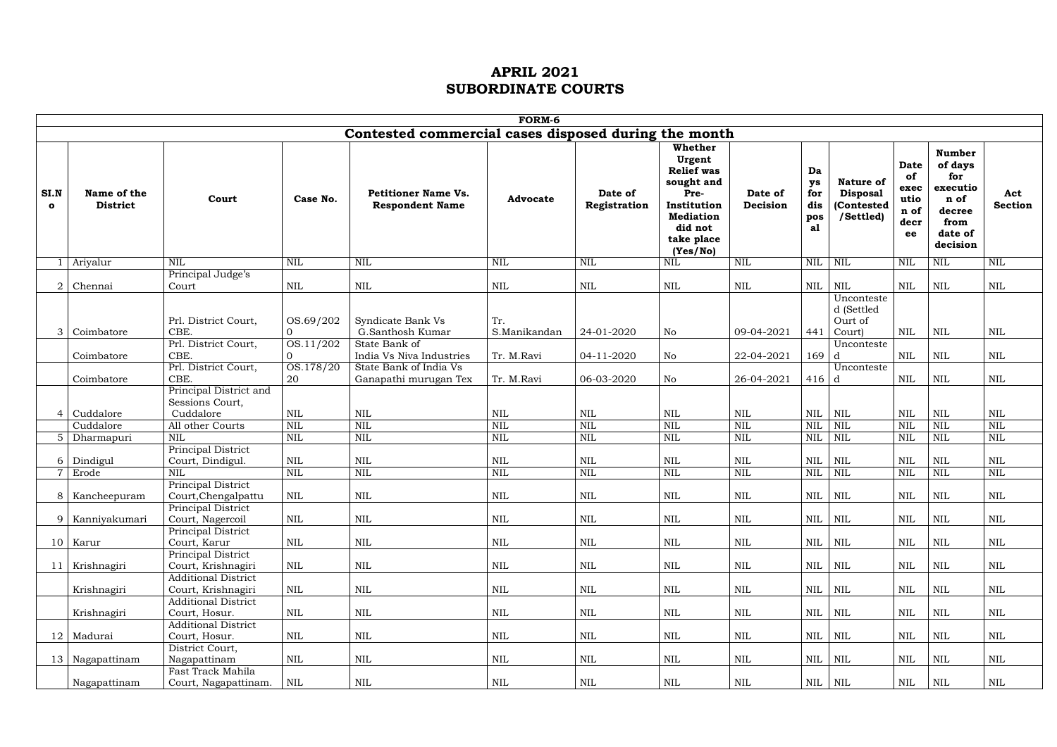| FORM-6                                                 |                                                                 |                                           |                                                      |                                   |                          |                                                                                                                                      |                          |                                     |                                                             |                                                         |                                                                                              |                            |
|--------------------------------------------------------|-----------------------------------------------------------------|-------------------------------------------|------------------------------------------------------|-----------------------------------|--------------------------|--------------------------------------------------------------------------------------------------------------------------------------|--------------------------|-------------------------------------|-------------------------------------------------------------|---------------------------------------------------------|----------------------------------------------------------------------------------------------|----------------------------|
|                                                        |                                                                 |                                           | Contested commercial cases disposed during the month |                                   |                          |                                                                                                                                      |                          |                                     |                                                             |                                                         |                                                                                              |                            |
| SI.N<br>Name of the<br><b>District</b><br>$\mathbf{o}$ | Court                                                           | Case No.                                  | <b>Petitioner Name Vs.</b><br><b>Respondent Name</b> | <b>Advocate</b>                   | Date of<br>Registration  | Whether<br>Urgent<br><b>Relief was</b><br>sought and<br>Pre-<br>Institution<br><b>Mediation</b><br>did not<br>take place<br>(Yes/No) | Date of<br>Decision      | Da<br>ys<br>for<br>dis<br>pos<br>al | Nature of<br><b>Disposal</b><br>(Contested<br>/Settled)     | <b>Date</b><br>of<br>exec<br>utio<br>n of<br>decr<br>ee | <b>Number</b><br>of days<br>for<br>executio<br>n of<br>decree<br>from<br>date of<br>decision | Act<br><b>Section</b>      |
| Ariyalur                                               | <b>NIL</b>                                                      | <b>NIL</b>                                | $\mbox{NIL}$                                         | NIL                               | <b>NIL</b>               | <b>NIL</b>                                                                                                                           | <b>NIL</b>               | $NIL$   $NIL$                       |                                                             | $\mbox{NIL}$                                            | $\mbox{NIL}$                                                                                 | $\mbox{NIL}$               |
|                                                        | Principal Judge's                                               |                                           |                                                      |                                   |                          |                                                                                                                                      |                          |                                     |                                                             |                                                         |                                                                                              |                            |
| Chennai<br>Coimbatore<br>3                             | Court<br>Prl. District Court,<br>CBE.                           | <b>NIL</b><br>OS.69/202<br>$\overline{0}$ | <b>NIL</b><br>Syndicate Bank Vs<br>G.Santhosh Kumar  | <b>NIL</b><br>Tr.<br>S.Manikandan | <b>NIL</b><br>24-01-2020 | <b>NIL</b><br>No                                                                                                                     | <b>NIL</b><br>09-04-2021 | <b>NIL</b><br>441                   | <b>NIL</b><br>Unconteste<br>d (Settled<br>Ourt of<br>Court) | $\mbox{NIL}$<br><b>NIL</b>                              | $\mbox{NIL}$<br><b>NIL</b>                                                                   | $\mbox{NIL}$<br><b>NIL</b> |
|                                                        | Prl. District Court,                                            | OS.11/202                                 | State Bank of                                        |                                   |                          |                                                                                                                                      |                          |                                     | Unconteste                                                  |                                                         |                                                                                              |                            |
| Coimbatore                                             | CBE.                                                            | $\overline{0}$                            | India Vs Niva Industries                             | Tr. M.Ravi                        | 04-11-2020               | No                                                                                                                                   | 22-04-2021               | 169                                 | d                                                           | <b>NIL</b>                                              | <b>NIL</b>                                                                                   | <b>NIL</b>                 |
| Coimbatore                                             | Prl. District Court,<br>CBE.<br>Principal District and          | OS.178/20<br>20                           | State Bank of India Vs<br>Ganapathi murugan Tex      | Tr. M.Ravi                        | 06-03-2020               | No                                                                                                                                   | 26-04-2021               | $416$ d                             | Unconteste                                                  | $\mbox{NIL}$                                            | NIL                                                                                          | <b>NIL</b>                 |
| Cuddalore<br>Cuddalore                                 | Sessions Court,<br>Cuddalore<br>All other Courts                | <b>NIL</b><br><b>NIL</b>                  | <b>NIL</b><br>$\text{NIL}$                           | <b>NIL</b><br><b>NIL</b>          | <b>NIL</b><br><b>NIL</b> | <b>NIL</b><br><b>NIL</b>                                                                                                             | <b>NIL</b><br><b>NIL</b> | <b>NIL</b><br><b>NIL</b>            | <b>NIL</b><br><b>NIL</b>                                    | $\mbox{NIL}$<br><b>NIL</b>                              | <b>NIL</b><br><b>NIL</b>                                                                     | $\mbox{NIL}$<br><b>NIL</b> |
| 5 Dharmapuri                                           | <b>NIL</b>                                                      | <b>NIL</b>                                | <b>NIL</b>                                           | $\mbox{NIL}$                      | <b>NIL</b>               | <b>NIL</b>                                                                                                                           | <b>NIL</b>               | NIL                                 | NIL                                                         | $\mbox{NIL}$                                            | <b>NIL</b>                                                                                   | $\overline{\text{NIL}}$    |
| Dindigul<br>6                                          | Principal District<br>Court, Dindigul.                          | <b>NIL</b>                                | <b>NIL</b>                                           | NIL                               | <b>NIL</b>               | <b>NIL</b>                                                                                                                           | NIL                      | <b>NIL</b>                          | <b>NIL</b>                                                  | <b>NIL</b>                                              | <b>NIL</b>                                                                                   | <b>NIL</b>                 |
| 7 Erode                                                | <b>NIL</b>                                                      | <b>NIL</b>                                | <b>NIL</b>                                           | <b>NIL</b>                        | <b>NIL</b>               | <b>NIL</b>                                                                                                                           | <b>NIL</b>               | <b>NIL</b>                          | NIL                                                         | <b>NIL</b>                                              | <b>NIL</b>                                                                                   | NIL                        |
| 8   Kancheepuram                                       | Principal District<br>Court, Chengalpattu<br>Principal District | <b>NIL</b>                                | <b>NIL</b>                                           | NIL                               | <b>NIL</b>               | <b>NIL</b>                                                                                                                           | <b>NIL</b>               | <b>NIL</b>                          | <b>NIL</b>                                                  | $\mbox{NIL}$                                            | <b>NIL</b>                                                                                   | <b>NIL</b>                 |
| 9   Kanniyakumari                                      | Court, Nagercoil<br>Principal District                          | NIL                                       | $\mbox{NIL}$                                         | $\mbox{NIL}$                      | $\mbox{NIL}$             | $\mbox{NIL}$                                                                                                                         | <b>NIL</b>               |                                     | $NIL$ $NIL$                                                 | $\mbox{NIL}$                                            | <b>NIL</b>                                                                                   | $\mbox{NIL}$               |
| $10$ Karur                                             | Court, Karur<br>Principal District                              | $\mbox{NIL}$                              | $\mbox{NIL}$                                         | $\mbox{NIL}$                      | NIL                      | NIL                                                                                                                                  | NIL                      |                                     | $NIL$ $NIL$                                                 | $\mbox{NIL}$                                            | NIL                                                                                          | $\mbox{NIL}$               |
| Krishnagiri<br>11                                      | Court, Krishnagiri                                              | NIL                                       | $\mbox{NIL}$                                         | NIL                               | NIL                      | NIL                                                                                                                                  | NIL                      | NIL NIL                             |                                                             | $\mbox{NIL}$                                            | NIL                                                                                          | <b>NIL</b>                 |
| Krishnagiri                                            | <b>Additional District</b><br>Court, Krishnagiri                | NIL                                       | $\mbox{NIL}$                                         | NIL                               | NIL                      | NIL                                                                                                                                  | NIL                      |                                     | $NIL$ $NIL$                                                 | $\mbox{NIL}$                                            | NIL                                                                                          | $\mbox{NIL}$               |
| Krishnagiri                                            | <b>Additional District</b><br>Court, Hosur.                     | NIL                                       | $\mbox{NIL}$                                         | NIL                               | NIL                      | NIL                                                                                                                                  | NIL                      |                                     | $NIL$ $NIL$                                                 | $\mbox{NIL}$                                            | NIL                                                                                          | <b>NIL</b>                 |
| Madurai<br>12                                          | <b>Additional District</b><br>Court, Hosur.                     | NIL                                       | $\mbox{NIL}$                                         | $\rm NIL$                         | NIL                      | NIL                                                                                                                                  | NIL                      |                                     | $NIL$   $NIL$                                               | $\mbox{NIL}$                                            | NIL                                                                                          | <b>NIL</b>                 |
| 13   Nagapattinam                                      | District Court,<br>Nagapattinam                                 | <b>NIL</b>                                | $\mbox{NIL}$                                         | NIL                               | NIL                      | NIL                                                                                                                                  | NIL                      | $NIL$ $NIL$                         |                                                             | $\mbox{NIL}$                                            | NIL                                                                                          | $\mbox{NIL}$               |
| Nagapattinam                                           | Fast Track Mahila<br>Court, Nagapattinam.                       | NIL                                       | $\mbox{NIL}$                                         | NIL                               | NIL                      | NIL                                                                                                                                  | NIL                      |                                     | $NIL$   $NIL$                                               | NIL                                                     | NIL                                                                                          | NIL                        |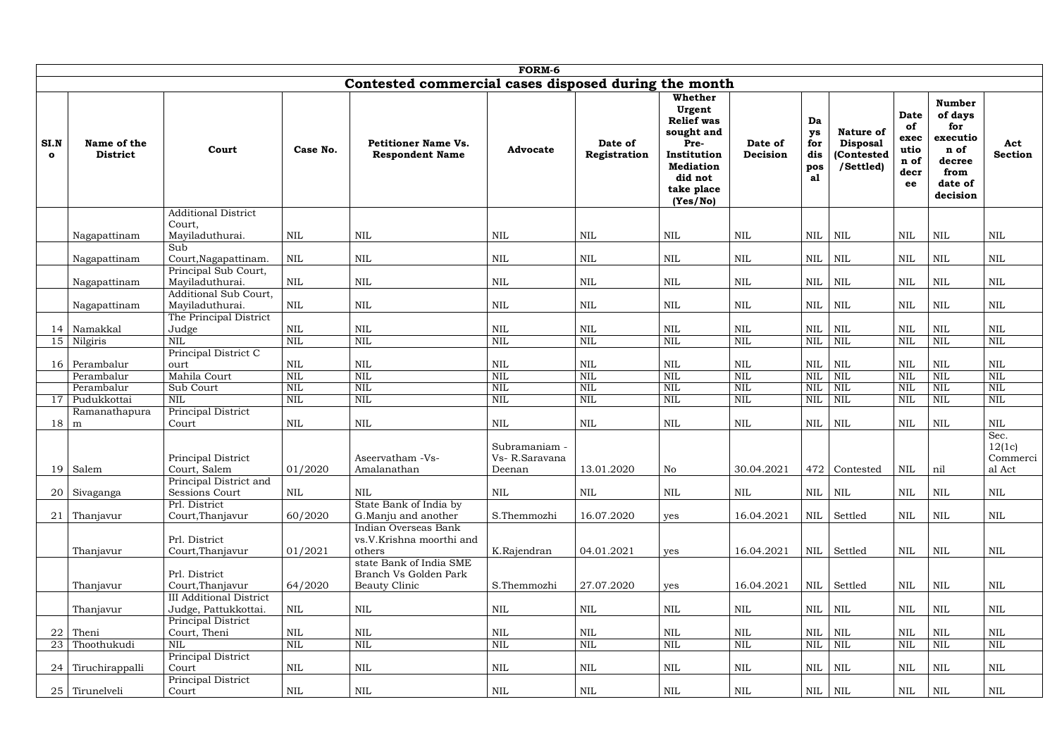|                      | FORM-6                                               |                                          |                              |                                                                                                                |                                          |                            |                                                                                                                                      |                            |                                     |                                                         |                                                         |                                                                                              |                                      |
|----------------------|------------------------------------------------------|------------------------------------------|------------------------------|----------------------------------------------------------------------------------------------------------------|------------------------------------------|----------------------------|--------------------------------------------------------------------------------------------------------------------------------------|----------------------------|-------------------------------------|---------------------------------------------------------|---------------------------------------------------------|----------------------------------------------------------------------------------------------|--------------------------------------|
|                      | Contested commercial cases disposed during the month |                                          |                              |                                                                                                                |                                          |                            |                                                                                                                                      |                            |                                     |                                                         |                                                         |                                                                                              |                                      |
| SI.N<br>$\mathbf{o}$ | Name of the<br><b>District</b>                       | Court                                    | Case No.                     | <b>Petitioner Name Vs.</b><br><b>Respondent Name</b>                                                           | <b>Advocate</b>                          | Date of<br>Registration    | Whether<br>Urgent<br><b>Relief was</b><br>sought and<br>Pre-<br>Institution<br><b>Mediation</b><br>did not<br>take place<br>(Yes/No) | Date of<br>Decision        | Da<br>ys<br>for<br>dis<br>pos<br>al | Nature of<br><b>Disposal</b><br>(Contested<br>/Settled) | <b>Date</b><br>of<br>exec<br>utio<br>n of<br>decr<br>ee | <b>Number</b><br>of days<br>for<br>executio<br>n of<br>decree<br>from<br>date of<br>decision | Act<br><b>Section</b>                |
|                      |                                                      | <b>Additional District</b>               |                              |                                                                                                                |                                          |                            |                                                                                                                                      |                            |                                     |                                                         |                                                         |                                                                                              |                                      |
|                      | Nagapattinam                                         | Court,<br>Mayiladuthurai.<br>Sub         | <b>NIL</b>                   | <b>NIL</b>                                                                                                     | <b>NIL</b>                               | NIL                        | <b>NIL</b>                                                                                                                           | <b>NIL</b>                 | NIL                                 | NIL                                                     | <b>NIL</b>                                              | <b>NIL</b>                                                                                   | <b>NIL</b>                           |
|                      | Nagapattinam                                         | Court, Nagapattinam.                     | <b>NIL</b>                   | <b>NIL</b>                                                                                                     | <b>NIL</b>                               | <b>NIL</b>                 | <b>NIL</b>                                                                                                                           | <b>NIL</b>                 | NIL                                 | $\mbox{NIL}$                                            | $\mbox{NIL}$                                            | $\mbox{NIL}$                                                                                 | $\mbox{NIL}$                         |
|                      |                                                      | Principal Sub Court,                     |                              |                                                                                                                |                                          |                            |                                                                                                                                      |                            |                                     |                                                         |                                                         |                                                                                              |                                      |
|                      | Nagapattinam                                         | Maviladuthurai.                          | NIL                          | <b>NIL</b>                                                                                                     | <b>NIL</b>                               | <b>NIL</b>                 | <b>NIL</b>                                                                                                                           | <b>NIL</b>                 | NIL                                 | <b>NIL</b>                                              | $\mbox{NIL}$                                            | <b>NIL</b>                                                                                   | $\mbox{NIL}$                         |
|                      | Nagapattinam                                         | Additional Sub Court,<br>Mayiladuthurai. | <b>NIL</b>                   | <b>NIL</b>                                                                                                     | <b>NIL</b>                               | <b>NIL</b>                 | $\mbox{NIL}$                                                                                                                         | <b>NIL</b>                 | <b>NIL</b>                          | <b>NIL</b>                                              | $\mbox{NIL}$                                            | <b>NIL</b>                                                                                   | $\mbox{NIL}$                         |
|                      |                                                      | The Principal District                   |                              |                                                                                                                |                                          |                            |                                                                                                                                      |                            |                                     |                                                         |                                                         |                                                                                              |                                      |
| 14                   | Namakkal                                             | Judge                                    | <b>NIL</b>                   | <b>NIL</b>                                                                                                     | <b>NIL</b>                               | <b>NIL</b>                 | <b>NIL</b>                                                                                                                           | <b>NIL</b>                 | <b>NIL</b>                          | <b>NIL</b>                                              | <b>NIL</b>                                              | <b>NIL</b>                                                                                   | $\mbox{NIL}$                         |
| 15                   | Nilgiris                                             | <b>NIL</b>                               | <b>NIL</b>                   | <b>NIL</b>                                                                                                     | <b>NIL</b>                               | <b>NIL</b>                 | <b>NIL</b>                                                                                                                           | <b>NIL</b>                 | <b>NIL</b>                          | <b>NIL</b>                                              | <b>NIL</b>                                              | <b>NIL</b>                                                                                   | NIL                                  |
|                      | 16 Perambalur                                        | Principal District C                     | <b>NIL</b>                   | <b>NIL</b>                                                                                                     | <b>NIL</b>                               | <b>NIL</b>                 | <b>NIL</b>                                                                                                                           | <b>NIL</b>                 | <b>NIL</b>                          | $\mbox{NIL}$                                            | <b>NIL</b>                                              | <b>NIL</b>                                                                                   | <b>NIL</b>                           |
|                      | Perambalur                                           | ourt<br>Mahila Court                     | <b>NIL</b>                   | <b>NIL</b>                                                                                                     | <b>NIL</b>                               | <b>NIL</b>                 | <b>NIL</b>                                                                                                                           | <b>NIL</b>                 | <b>NIL</b>                          | <b>NIL</b>                                              | <b>NIL</b>                                              | <b>NIL</b>                                                                                   | <b>NIL</b>                           |
|                      | Perambalur                                           | Sub Court                                | <b>NIL</b>                   | <b>NIL</b>                                                                                                     | <b>NIL</b>                               | <b>NIL</b>                 | <b>NIL</b>                                                                                                                           | <b>NIL</b>                 | <b>NIL</b>                          | <b>NIL</b>                                              | <b>NIL</b>                                              | <b>NIL</b>                                                                                   | <b>NIL</b>                           |
| 17                   | Pudukkottai                                          | <b>NIL</b>                               | <b>NIL</b>                   | <b>NIL</b>                                                                                                     | <b>NIL</b>                               | <b>NIL</b>                 | <b>NIL</b>                                                                                                                           | <b>NIL</b>                 | <b>NIL</b>                          | NIL                                                     | <b>NIL</b>                                              | <b>NIL</b>                                                                                   | NIL                                  |
|                      | Ramanathapura                                        | Principal District                       |                              |                                                                                                                |                                          |                            |                                                                                                                                      |                            |                                     |                                                         |                                                         |                                                                                              |                                      |
| 18                   | m                                                    | Court                                    | <b>NIL</b>                   | <b>NIL</b>                                                                                                     | <b>NIL</b>                               | <b>NIL</b>                 | <b>NIL</b>                                                                                                                           | <b>NIL</b>                 | <b>NIL</b>                          | $\mbox{NIL}$                                            | <b>NIL</b>                                              | <b>NIL</b>                                                                                   | $\mbox{NIL}$                         |
|                      | 19 Salem                                             | Principal District<br>Court, Salem       | 01/2020                      | Aseervatham -Vs-<br>Amalanathan                                                                                | Subramaniam -<br>Vs-R.Saravana<br>Deenan | 13.01.2020                 | No                                                                                                                                   | 30.04.2021                 |                                     | 472 Contested                                           | NIL                                                     | nil                                                                                          | Sec.<br>12(1c)<br>Commerci<br>al Act |
|                      | 20 Sivaganga                                         | Principal District and<br>Sessions Court | NIL                          | $\mbox{NIL}$                                                                                                   | <b>NIL</b>                               | NIL                        | $\mbox{NIL}$                                                                                                                         | <b>NIL</b>                 | $NIL$ $NIL$                         |                                                         | <b>NIL</b>                                              | $\mbox{NIL}$                                                                                 | <b>NIL</b>                           |
|                      |                                                      | Prl. District                            |                              | State Bank of India by                                                                                         |                                          |                            |                                                                                                                                      |                            |                                     |                                                         |                                                         |                                                                                              |                                      |
| 21                   | Thanjavur                                            | Court, Thanjavur                         | 60/2020                      | G. Manju and another                                                                                           | S.Themmozhi                              | 16.07.2020                 | yes                                                                                                                                  | 16.04.2021                 |                                     | NIL Settled                                             | $\mbox{NIL}$                                            | <b>NIL</b>                                                                                   | <b>NIL</b>                           |
|                      | Thanjavur                                            | Prl. District<br>Court, Thanjavur        | 01/2021                      | Indian Overseas Bank<br>vs.V.Krishna moorthi and<br>others<br>state Bank of India SME<br>Branch Vs Golden Park | K.Rajendran                              | 04.01.2021                 | yes                                                                                                                                  | 16.04.2021                 |                                     | NIL   Settled                                           | $\mbox{NIL}$                                            | NIL                                                                                          | <b>NIL</b>                           |
|                      | Thanjavur                                            | Prl. District<br>Court, Thanjavur        | 64/2020                      | <b>Beauty Clinic</b>                                                                                           | S.Themmozhi                              | 27.07.2020                 | yes                                                                                                                                  | 16.04.2021                 |                                     | NIL   Settled                                           | $\mbox{NIL}$                                            | NIL                                                                                          | <b>NIL</b>                           |
|                      |                                                      | <b>III Additional District</b>           |                              |                                                                                                                |                                          |                            |                                                                                                                                      |                            |                                     |                                                         |                                                         |                                                                                              |                                      |
|                      | Thanjavur                                            | Judge, Pattukkottai.                     | NIL                          | $\mbox{NIL}$                                                                                                   | NIL                                      | NIL                        | <b>NIL</b>                                                                                                                           | <b>NIL</b>                 | $NIL$ $NIL$                         |                                                         | $\mbox{NIL}$                                            | <b>NIL</b>                                                                                   | <b>NIL</b>                           |
|                      |                                                      | Principal District                       |                              |                                                                                                                |                                          |                            |                                                                                                                                      |                            |                                     |                                                         |                                                         |                                                                                              |                                      |
| 22<br>23             | Theni<br>Thoothukudi                                 | Court, Theni<br><b>NIL</b>               | $\mbox{NIL}$<br>$\mbox{NIL}$ | <b>NIL</b><br>NIL                                                                                              | NIL<br><b>NIL</b>                        | <b>NIL</b><br>$\mbox{NIL}$ | <b>NIL</b><br>$\mbox{NIL}$                                                                                                           | <b>NIL</b><br>$\mbox{NIL}$ | NIL<br>NIL                          | NIL<br>NIL                                              | <b>NIL</b><br><b>NIL</b>                                | <b>NIL</b><br><b>NIL</b>                                                                     | $\mbox{NIL}$<br>NIL                  |
|                      |                                                      | Principal District                       |                              |                                                                                                                |                                          |                            |                                                                                                                                      |                            |                                     |                                                         |                                                         |                                                                                              |                                      |
| 24                   | Tiruchirappalli                                      | Court<br>Principal District              | $\mbox{NIL}$                 | <b>NIL</b>                                                                                                     | NIL                                      | <b>NIL</b>                 | $\mbox{NIL}$                                                                                                                         | <b>NIL</b>                 | NIL                                 | NIL                                                     | $\mbox{NIL}$                                            | <b>NIL</b>                                                                                   | <b>NIL</b>                           |
|                      | 25 Tirunelveli                                       | Court                                    | $\mbox{NIL}$                 | NIL                                                                                                            | NIL                                      | NIL                        | NIL                                                                                                                                  | NIL                        |                                     | NIL NIL                                                 | $\rm NIL$                                               | NIL                                                                                          | <b>NIL</b>                           |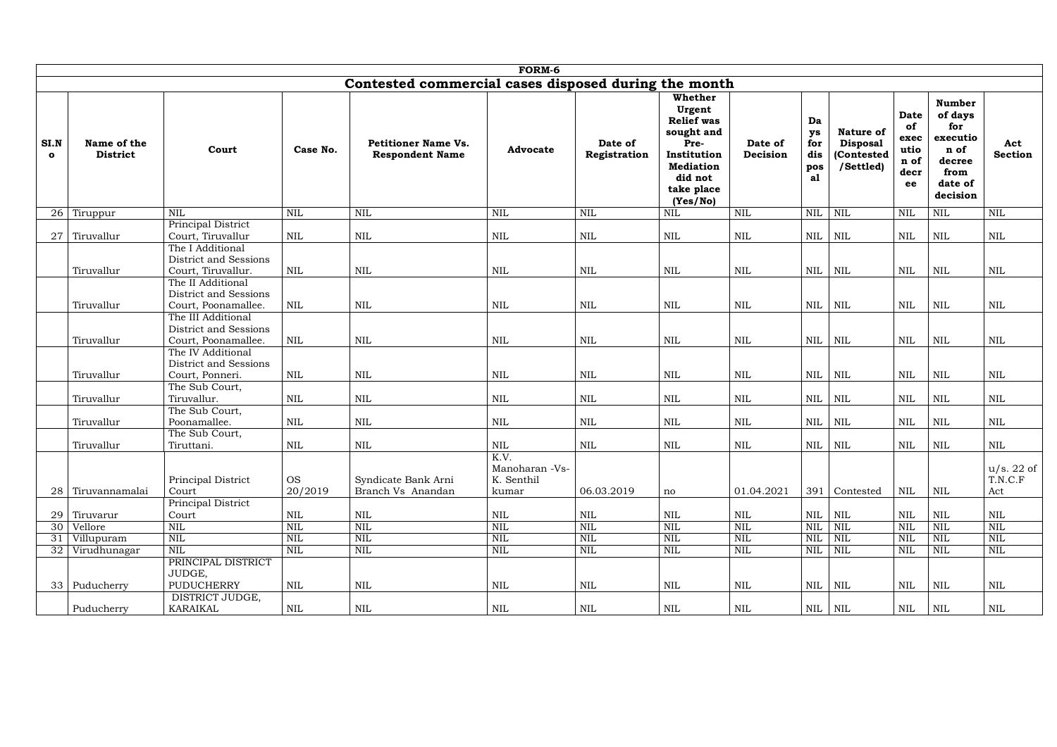|                      | FORM-6                         |                                                                    |                            |                                                      |                                       |                          |                                                                                                                                      |                            |                                     |                                                         |                                                         |                                                                                              |                              |
|----------------------|--------------------------------|--------------------------------------------------------------------|----------------------------|------------------------------------------------------|---------------------------------------|--------------------------|--------------------------------------------------------------------------------------------------------------------------------------|----------------------------|-------------------------------------|---------------------------------------------------------|---------------------------------------------------------|----------------------------------------------------------------------------------------------|------------------------------|
|                      |                                |                                                                    |                            | Contested commercial cases disposed during the month |                                       |                          |                                                                                                                                      |                            |                                     |                                                         |                                                         |                                                                                              |                              |
| SI.N<br>$\mathbf{o}$ | Name of the<br><b>District</b> | Court                                                              | Case No.                   | <b>Petitioner Name Vs.</b><br><b>Respondent Name</b> | <b>Advocate</b>                       | Date of<br>Registration  | Whether<br>Urgent<br><b>Relief</b> was<br>sought and<br>Pre-<br>Institution<br><b>Mediation</b><br>did not<br>take place<br>(Yes/No) | Date of<br>Decision        | Da<br>ys<br>for<br>dis<br>pos<br>al | Nature of<br><b>Disposal</b><br>(Contested<br>/Settled) | <b>Date</b><br>of<br>exec<br>utio<br>n of<br>decr<br>ee | <b>Number</b><br>of days<br>for<br>executio<br>n of<br>decree<br>from<br>date of<br>decision | Act<br><b>Section</b>        |
| 26                   | Tiruppur                       | <b>NIL</b>                                                         | <b>NIL</b>                 | $\mbox{NIL}$                                         | <b>NIL</b>                            | <b>NIL</b>               | <b>NIL</b>                                                                                                                           | $\text{NIL}$               | <b>NIL</b>                          | <b>NIL</b>                                              | <b>NIL</b>                                              | $\mbox{NIL}$                                                                                 | <b>NIL</b>                   |
| 27                   | Tiruvallur                     | Principal District<br>Court, Tiruvallur<br>The I Additional        | <b>NIL</b>                 | $\mbox{NIL}$                                         | <b>NIL</b>                            | <b>NIL</b>               | <b>NIL</b>                                                                                                                           | <b>NIL</b>                 | <b>NIL</b>                          | $\mbox{NIL}$                                            | <b>NIL</b>                                              | <b>NIL</b>                                                                                   | <b>NIL</b>                   |
|                      | Tiruvallur                     | District and Sessions<br>Court, Tiruvallur.<br>The II Additional   | <b>NIL</b>                 | $\mbox{NIL}$                                         | <b>NIL</b>                            | NIL                      | <b>NIL</b>                                                                                                                           | <b>NIL</b>                 | NIL                                 | $\mbox{NIL}$                                            | <b>NIL</b>                                              | <b>NIL</b>                                                                                   | $\mbox{NIL}$                 |
|                      | Tiruvallur                     | District and Sessions<br>Court, Poonamallee.                       | <b>NIL</b>                 | <b>NIL</b>                                           | <b>NIL</b>                            | <b>NIL</b>               | <b>NIL</b>                                                                                                                           | <b>NIL</b>                 | NIL                                 | <b>NIL</b>                                              | <b>NIL</b>                                              | <b>NIL</b>                                                                                   | <b>NIL</b>                   |
|                      | Tiruvallur                     | The III Additional<br>District and Sessions<br>Court, Poonamallee. | <b>NIL</b>                 | $\mbox{NIL}$                                         | <b>NIL</b>                            | NIL                      | <b>NIL</b>                                                                                                                           | <b>NIL</b>                 | NIL                                 | NIL                                                     | $\mbox{NIL}$                                            | $\mbox{NIL}$                                                                                 | <b>NIL</b>                   |
|                      | Tiruvallur                     | The IV Additional<br>District and Sessions<br>Court, Ponneri.      | $\mbox{NIL}$               | $\mbox{NIL}$                                         | $\mbox{NIL}$                          | <b>NIL</b>               | <b>NIL</b>                                                                                                                           | $\mbox{NIL}$               | NIL                                 | <b>NIL</b>                                              | $\mbox{NIL}$                                            | $\mbox{NIL}$                                                                                 | <b>NIL</b>                   |
|                      | Tiruvallur                     | The Sub Court,<br>Tiruvallur.                                      | <b>NIL</b>                 | $\mbox{NIL}$                                         | <b>NIL</b>                            | NIL                      | <b>NIL</b>                                                                                                                           | <b>NIL</b>                 | NIL                                 | NIL                                                     | $\mbox{NIL}$                                            | NIL                                                                                          | <b>NIL</b>                   |
|                      | Tiruvallur                     | The Sub Court,<br>Poonamallee.                                     | <b>NIL</b>                 | <b>NIL</b>                                           | <b>NIL</b>                            | <b>NIL</b>               | <b>NIL</b>                                                                                                                           | <b>NIL</b>                 | NIL                                 | <b>NIL</b>                                              | $\mbox{NIL}$                                            | <b>NIL</b>                                                                                   | $\mbox{NIL}$                 |
|                      | Tiruvallur                     | The Sub Court,<br>Tiruttani.                                       | <b>NIL</b>                 | $\mbox{NIL}$                                         | <b>NIL</b><br>K.V.                    | NIL                      | <b>NIL</b>                                                                                                                           | <b>NIL</b>                 | <b>NIL</b>                          | $\mbox{NIL}$                                            | <b>NIL</b>                                              | <b>NIL</b>                                                                                   | <b>NIL</b>                   |
| 28                   | Tiruvannamalai                 | Principal District<br>Court                                        | <b>OS</b><br>20/2019       | Syndicate Bank Arni<br>Branch Vs Anandan             | Manoharan -Vs-<br>K. Senthil<br>kumar | 06.03.2019               | $\operatorname{no}$                                                                                                                  | 01.04.2021                 |                                     | 391 Contested                                           | NIL                                                     | <b>NIL</b>                                                                                   | u/s. 22 of<br>T.N.C.F<br>Act |
|                      |                                | Principal District                                                 |                            |                                                      |                                       |                          |                                                                                                                                      |                            |                                     |                                                         |                                                         |                                                                                              |                              |
| 29                   | Tiruvarur                      | Court<br><b>NIL</b>                                                | $\mbox{NIL}$<br><b>NIL</b> | $\mbox{NIL}$<br><b>NIL</b>                           | $\mbox{NIL}$<br>$\mbox{NIL}$          | <b>NIL</b><br><b>NIL</b> | <b>NIL</b><br><b>NIL</b>                                                                                                             | <b>NIL</b><br>$\mbox{NIL}$ | NIL<br><b>NIL</b>                   | NIL<br>NIL                                              | NIL<br>NIL                                              | <b>NIL</b><br><b>NIL</b>                                                                     | $\mbox{NIL}$<br><b>NIL</b>   |
| 30<br>31             | Vellore<br>Villupuram          | <b>NIL</b>                                                         | <b>NIL</b>                 | $\mbox{NIL}$                                         | $\mbox{NIL}$                          | <b>NIL</b>               | <b>NIL</b>                                                                                                                           | $\mbox{NIL}$               | <b>NIL</b>                          | NIL                                                     | NIL                                                     | <b>NIL</b>                                                                                   | $\mbox{NIL}$                 |
| 32                   | Virudhunagar                   | $\mbox{NIL}$                                                       | $\mbox{NIL}$               | $\mbox{NIL}$                                         | $\mbox{NIL}$                          | $\mbox{NIL}$             | $\mbox{NIL}$                                                                                                                         | $\mbox{NIL}$               | $\mbox{NIL}$                        | $\mbox{NIL}$                                            | $\mbox{NIL}$                                            | <b>NIL</b>                                                                                   | $\mbox{NIL}$                 |
|                      |                                | PRINCIPAL DISTRICT<br>JUDGE,                                       |                            |                                                      |                                       |                          |                                                                                                                                      |                            |                                     |                                                         |                                                         |                                                                                              |                              |
|                      | $33$ Puducherry                | PUDUCHERRY                                                         | NIL                        | $\mbox{NIL}$                                         | NIL                                   | NIL                      | NIL                                                                                                                                  | $\mbox{NIL}$               |                                     | $NIL$   $NIL$                                           | $\mbox{NIL}$                                            | NIL                                                                                          | $\mbox{NIL}$                 |
|                      | Puducherry                     | DISTRICT JUDGE,<br>KARAIKAL                                        | $\mbox{NIL}$               | $\mbox{NIL}$                                         | $\mbox{NIL}$                          | $\mbox{NIL}$             | $\mbox{NIL}$                                                                                                                         | $\mbox{NIL}$               |                                     | $NIL$   $NIL$                                           | $\mbox{NIL}$                                            | NIL                                                                                          | $\mbox{NIL}$                 |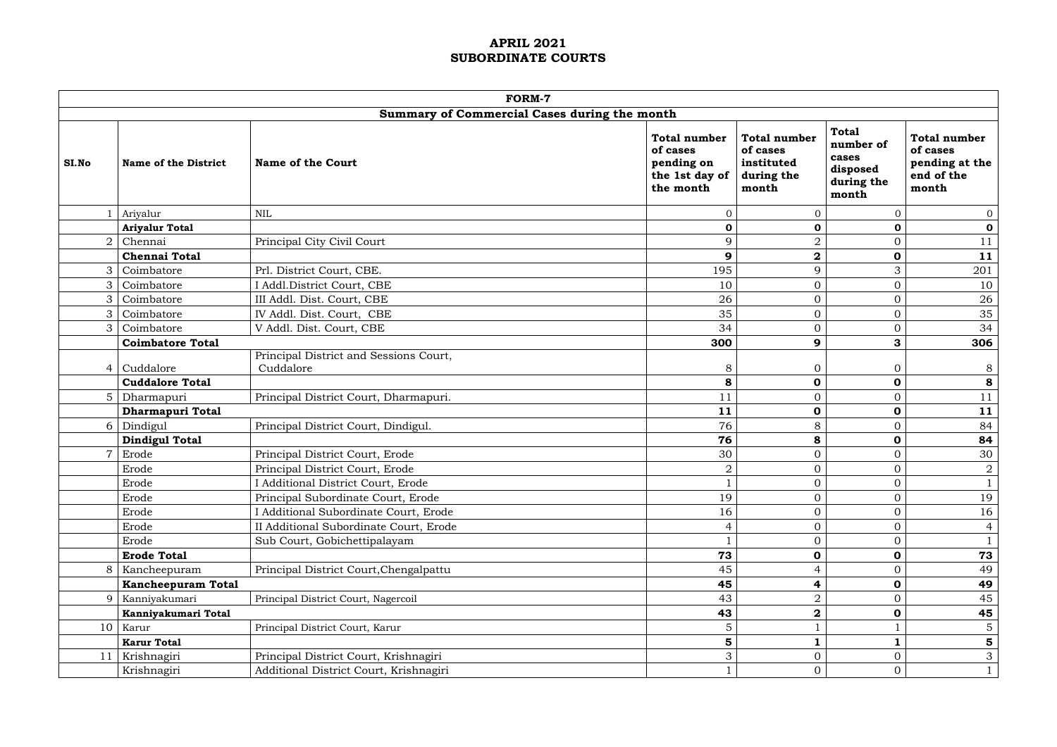|       |                             | <b>FORM-7</b>                                       |                                                                              |                                                                      |                                                                       |                                                                          |
|-------|-----------------------------|-----------------------------------------------------|------------------------------------------------------------------------------|----------------------------------------------------------------------|-----------------------------------------------------------------------|--------------------------------------------------------------------------|
|       |                             | Summary of Commercial Cases during the month        |                                                                              |                                                                      |                                                                       |                                                                          |
| SI.No | <b>Name of the District</b> | <b>Name of the Court</b>                            | <b>Total number</b><br>of cases<br>pending on<br>the 1st day of<br>the month | <b>Total number</b><br>of cases<br>instituted<br>during the<br>month | <b>Total</b><br>number of<br>cases<br>disposed<br>during the<br>month | <b>Total number</b><br>of cases<br>pending at the<br>end of the<br>month |
|       | Ariyalur                    | <b>NIL</b>                                          | $\Omega$                                                                     | $\overline{0}$                                                       | $\Omega$                                                              | $\overline{0}$                                                           |
|       | <b>Ariyalur Total</b>       |                                                     | $\mathbf 0$                                                                  | $\mathbf 0$                                                          | 0                                                                     | $\mathbf 0$                                                              |
| ∩     | Chennai                     | Principal City Civil Court                          | 9                                                                            | $\overline{2}$                                                       | $\overline{0}$                                                        | 11                                                                       |
|       | <b>Chennai Total</b>        |                                                     | 9                                                                            | $\mathbf{2}$                                                         | $\mathbf 0$                                                           | 11                                                                       |
| 3     | Coimbatore                  | Prl. District Court, CBE.                           | 195                                                                          | 9                                                                    | 3                                                                     | 201                                                                      |
|       | Coimbatore                  | I Addl.District Court, CBE                          | 10                                                                           | $\boldsymbol{0}$                                                     | $\overline{0}$                                                        | 10                                                                       |
|       | Coimbatore                  | III Addl. Dist. Court, CBE                          | 26                                                                           | $\overline{0}$                                                       | $\overline{0}$                                                        | 26                                                                       |
| 3     | Coimbatore                  | IV Addl. Dist. Court, CBE                           | 35                                                                           | $\overline{0}$                                                       | $\overline{0}$                                                        | 35                                                                       |
|       | Coimbatore                  | V Addl. Dist. Court, CBE                            | 34                                                                           | $\mathbf{0}$                                                         | $\overline{0}$                                                        | 34                                                                       |
|       | <b>Coimbatore Total</b>     |                                                     | 300                                                                          | 9                                                                    | 3                                                                     | 306                                                                      |
|       | Cuddalore                   | Principal District and Sessions Court,<br>Cuddalore | 8                                                                            | $\overline{0}$                                                       | $\mathbf{0}$                                                          | 8                                                                        |
|       | <b>Cuddalore Total</b>      |                                                     | 8                                                                            | $\mathbf 0$                                                          | $\mathbf 0$                                                           | 8                                                                        |
|       | Dharmapuri                  | Principal District Court, Dharmapuri.               | 11                                                                           | $\mathbf 0$                                                          | $\overline{0}$                                                        | 11                                                                       |
|       | <b>Dharmapuri Total</b>     |                                                     | 11                                                                           | $\mathbf 0$                                                          | $\mathbf 0$                                                           | 11                                                                       |
| 6     | Dindigul                    | Principal District Court, Dindigul.                 | 76                                                                           | 8                                                                    | $\overline{0}$                                                        | 84                                                                       |
|       | <b>Dindigul Total</b>       |                                                     | 76                                                                           | 8                                                                    | $\mathbf 0$                                                           | 84                                                                       |
|       | Erode                       | Principal District Court, Erode                     | 30                                                                           | $\mathbf 0$                                                          | $\overline{0}$                                                        | 30                                                                       |
|       | Erode                       | Principal District Court, Erode                     | $\overline{2}$                                                               | $\mathbf{0}$                                                         | $\overline{0}$                                                        | $\overline{2}$                                                           |
|       | Erode                       | I Additional District Court, Erode                  |                                                                              | $\Omega$                                                             | $\Omega$                                                              |                                                                          |
|       | Erode                       | Principal Subordinate Court, Erode                  | 19                                                                           | $\mathbf 0$                                                          | $\overline{O}$                                                        | 19                                                                       |
|       | Erode                       | I Additional Subordinate Court, Erode               | 16                                                                           | $\mathbf{0}$                                                         | 0                                                                     | 16                                                                       |
|       | Erode                       | II Additional Subordinate Court, Erode              |                                                                              | $\mathbf{0}$                                                         |                                                                       | $\overline{4}$                                                           |
|       | Erode                       | Sub Court, Gobichettipalayam                        |                                                                              | $\mathbf{0}$                                                         | $\Omega$                                                              | $\mathbf{1}$                                                             |
|       | <b>Erode Total</b>          |                                                     | 73                                                                           | $\mathbf 0$                                                          | $\mathbf 0$                                                           | 73                                                                       |
|       | Kancheepuram                | Principal District Court, Chengalpattu              | 45                                                                           | $\overline{4}$                                                       |                                                                       | 49                                                                       |
|       | <b>Kancheepuram Total</b>   |                                                     | 45                                                                           | $\overline{\mathbf{r}}$                                              | $\mathbf 0$                                                           | 49                                                                       |
| Q     | Kanniyakumari               | Principal District Court, Nagercoil                 | 43                                                                           | $\overline{2}$                                                       |                                                                       | 45                                                                       |
|       | Kanniyakumari Total         |                                                     | 43                                                                           | $\mathbf{2}$                                                         | $\mathbf 0$                                                           | 45                                                                       |
|       | $10$ Karur                  | Principal District Court, Karur                     | 5                                                                            |                                                                      |                                                                       | $5\phantom{.}$                                                           |
|       | <b>Karur Total</b>          |                                                     | 5                                                                            | $\mathbf{1}$                                                         |                                                                       | $5\phantom{.0}$                                                          |
| 11    | Krishnagiri                 | Principal District Court, Krishnagiri               | 3                                                                            | $\mathbf{0}$                                                         | $\overline{0}$                                                        | $\mathfrak{Z}$                                                           |
|       | Krishnagiri                 | Additional District Court, Krishnagiri              |                                                                              | $\mathbf{0}$                                                         | $\overline{0}$                                                        | $\mathbf{1}$                                                             |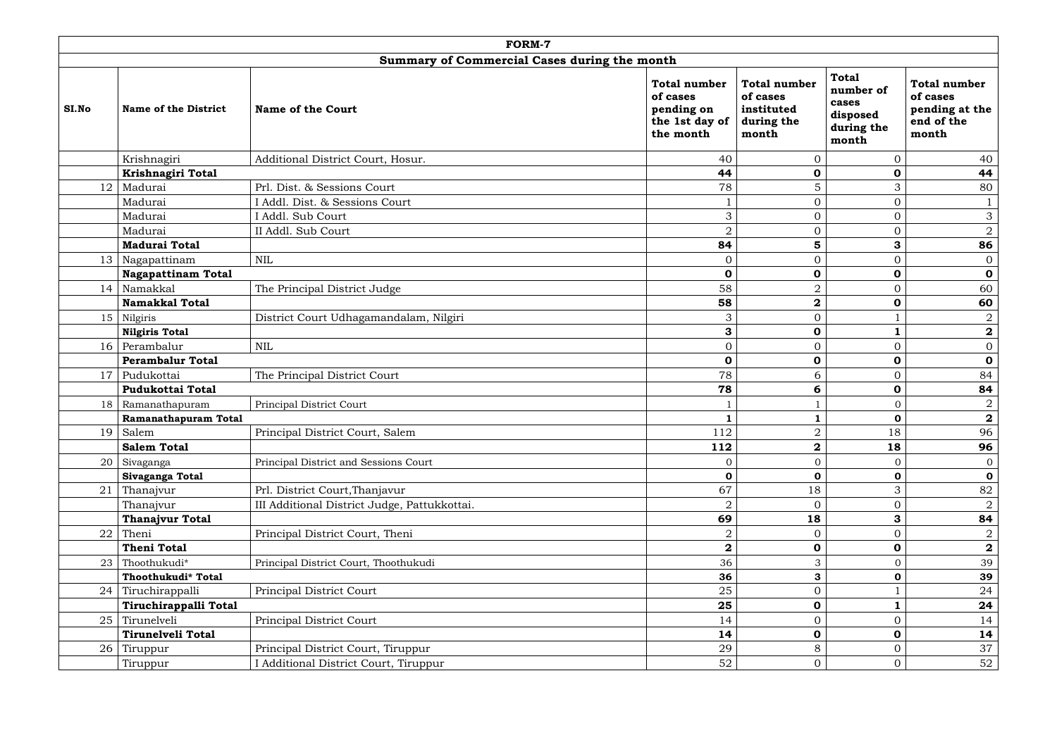|       |                             | <b>FORM-7</b>                                |                                                                              |                                                                      |                                                                       |                                                                          |
|-------|-----------------------------|----------------------------------------------|------------------------------------------------------------------------------|----------------------------------------------------------------------|-----------------------------------------------------------------------|--------------------------------------------------------------------------|
|       |                             | Summary of Commercial Cases during the month |                                                                              |                                                                      |                                                                       |                                                                          |
| SI.No | <b>Name of the District</b> | <b>Name of the Court</b>                     | <b>Total number</b><br>of cases<br>pending on<br>the 1st day of<br>the month | <b>Total number</b><br>of cases<br>instituted<br>during the<br>month | <b>Total</b><br>number of<br>cases<br>disposed<br>during the<br>month | <b>Total number</b><br>of cases<br>pending at the<br>end of the<br>month |
|       | Krishnagiri                 | Additional District Court, Hosur.            | 40                                                                           | $\overline{0}$                                                       | $\Omega$                                                              | 40                                                                       |
|       | Krishnagiri Total           |                                              | 44                                                                           | $\mathbf 0$                                                          | $\mathbf 0$                                                           | 44                                                                       |
| 12    | Madurai                     | Prl. Dist. & Sessions Court                  | 78                                                                           | $\overline{5}$                                                       | 3                                                                     | 80                                                                       |
|       | Madurai                     | I Addl. Dist. & Sessions Court               |                                                                              | $\mathbf{0}$                                                         | $\Omega$                                                              | $\mathbf{1}$                                                             |
|       | Madurai                     | I Addl. Sub Court                            | 3                                                                            | $\mathbf{0}$                                                         | $\overline{0}$                                                        | $\mathbf{3}$                                                             |
|       | Madurai                     | II Addl. Sub Court                           | $\overline{2}$                                                               | $\mathbf{0}$                                                         | $\Omega$                                                              | $\overline{a}$                                                           |
|       | <b>Madurai Total</b>        |                                              | 84                                                                           | 5                                                                    | 3                                                                     | 86                                                                       |
| 13    | Nagapattinam                | <b>NIL</b>                                   | $\mathbf{0}$                                                                 | $\mathbf{0}$                                                         | $\Omega$                                                              | $\overline{0}$                                                           |
|       | <b>Nagapattinam Total</b>   |                                              | $\mathbf 0$                                                                  | $\mathbf 0$                                                          | $\mathbf 0$                                                           | $\mathbf 0$                                                              |
|       | 14   Namakkal               | The Principal District Judge                 | 58                                                                           | $\overline{2}$                                                       | $\overline{0}$                                                        | 60                                                                       |
|       | <b>Namakkal Total</b>       |                                              | 58                                                                           | $\mathbf{2}$                                                         | $\mathbf 0$                                                           | 60                                                                       |
|       | $15$ Nilgiris               | District Court Udhagamandalam, Nilgiri       | 3                                                                            | $\mathbf{0}$                                                         |                                                                       | $\overline{a}$                                                           |
|       | <b>Nilgiris Total</b>       |                                              | 3                                                                            | $\mathbf 0$                                                          |                                                                       | $\mathbf{2}$                                                             |
|       | $16$ Perambalur             | <b>NIL</b>                                   | $\overline{0}$                                                               | $\mathbf{0}$                                                         | $\Omega$                                                              | $\overline{0}$                                                           |
|       | <b>Perambalur Total</b>     |                                              | $\mathbf 0$                                                                  | $\mathbf 0$                                                          | $\mathbf 0$                                                           | $\mathbf 0$                                                              |
| 17    | Pudukottai                  | The Principal District Court                 | 78                                                                           | 6                                                                    | $\Omega$                                                              | 84                                                                       |
|       | <b>Pudukottai Total</b>     |                                              | 78                                                                           | 6                                                                    | $\mathbf 0$                                                           | 84                                                                       |
|       | 18   Ramanathapuram         | Principal District Court                     |                                                                              |                                                                      | $\Omega$                                                              | $\overline{2}$                                                           |
|       | Ramanathapuram Total        |                                              |                                                                              | $\mathbf{1}$                                                         | $\mathbf 0$                                                           | $\mathbf{2}$                                                             |
|       | $19$ Salem                  | Principal District Court, Salem              | 112                                                                          | $\overline{2}$                                                       | 18                                                                    | 96                                                                       |
|       | <b>Salem Total</b>          |                                              | 112                                                                          | $\overline{\mathbf{2}}$                                              | 18                                                                    | 96                                                                       |
| 20    | Sivaganga                   | Principal District and Sessions Court        | $\Omega$                                                                     | $\overline{0}$                                                       |                                                                       | $\overline{0}$                                                           |
|       | Sivaganga Total             |                                              | $\mathbf 0$                                                                  | $\mathbf 0$                                                          | 0                                                                     | $\mathbf 0$                                                              |
| 21    | Thanajvur                   | Prl. District Court, Thanjavur               | 67                                                                           | 18                                                                   | 3                                                                     | 82                                                                       |
|       | Thanajvur                   | III Additional District Judge, Pattukkottai. | 2                                                                            | $\overline{0}$                                                       | $\Omega$                                                              | $\overline{2}$                                                           |
|       | <b>Thanajvur Total</b>      |                                              | 69                                                                           | 18                                                                   | 3                                                                     | 84                                                                       |
| 22    | Theni                       | Principal District Court, Theni              | $\overline{2}$                                                               | $\mathbf{0}$                                                         |                                                                       | $\overline{a}$                                                           |
|       | <b>Theni Total</b>          |                                              | $\mathbf{2}$                                                                 | $\mathbf 0$                                                          | $\mathbf 0$                                                           | $\overline{\mathbf{2}}$                                                  |
| 23    | Thoothukudi*                | Principal District Court, Thoothukudi        | 36                                                                           | 3                                                                    |                                                                       | 39                                                                       |
|       | Thoothukudi* Total          |                                              | 36                                                                           | $\mathbf{3}$                                                         | 0                                                                     | 39                                                                       |
| 24    | Tiruchirappalli             | Principal District Court                     | 25                                                                           | $\mathbf{0}$                                                         |                                                                       | 24                                                                       |
|       | Tiruchirappalli Total       |                                              | 25                                                                           | $\mathbf 0$                                                          |                                                                       | 24                                                                       |
| 25    | Tirunelveli                 | Principal District Court                     | 14                                                                           | $\mathbf{0}$                                                         | $\Omega$                                                              | 14                                                                       |
|       | Tirunelveli Total           |                                              | 14                                                                           | $\mathbf 0$                                                          | $\mathbf 0$                                                           | 14                                                                       |
| 26    | Tiruppur                    | Principal District Court, Tiruppur           | 29                                                                           | 8                                                                    | $\Omega$                                                              | 37                                                                       |
|       | Tiruppur                    | I Additional District Court, Tiruppur        | 52                                                                           | $\mathbf{0}$                                                         | $\overline{0}$                                                        | 52                                                                       |